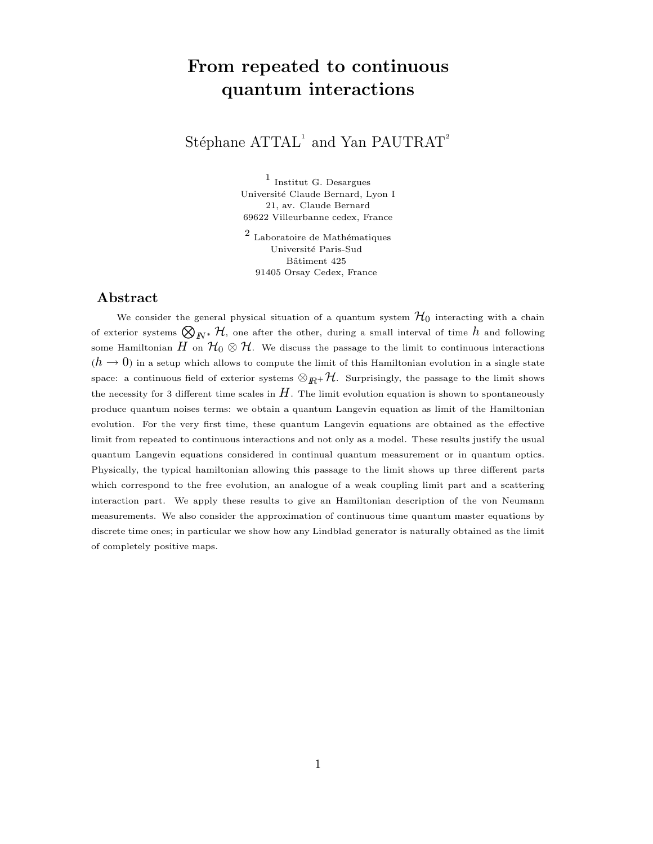# From repeated to continuous quantum interactions

## Stéphane  $\text{ATTAL}^1$  and Yan PAUTRAT<sup>2</sup>

1 Institut G. Desargues Université Claude Bernard, Lyon I 21, av. Claude Bernard 69622 Villeurbanne cedex, France

 $2$  Laboratoire de Mathématiques Université Paris-Sud Bâtiment 425 91405 Orsay Cedex, France

### Abstract

We consider the general physical situation of a quantum system  $\mathcal{H}_0$  interacting with a chain of exterior systems  $\bigotimes_{I\!\!N^*} \mathcal{H}$ , one after the other, during a small interval of time  $h$  and following some Hamiltonian  $H$  on  $\mathcal{H}_0\otimes\mathcal{H}$ . We discuss the passage to the limit to continuous interactions  $(h \to 0)$  in a setup which allows to compute the limit of this Hamiltonian evolution in a single state space: a continuous field of exterior systems  $\otimes_{I\!\!R}+\mathcal{H}$ . Surprisingly, the passage to the limit shows the necessity for 3 different time scales in  $H$ . The limit evolution equation is shown to spontaneously produce quantum noises terms: we obtain a quantum Langevin equation as limit of the Hamiltonian evolution. For the very first time, these quantum Langevin equations are obtained as the effective limit from repeated to continuous interactions and not only as a model. These results justify the usual quantum Langevin equations considered in continual quantum measurement or in quantum optics. Physically, the typical hamiltonian allowing this passage to the limit shows up three different parts which correspond to the free evolution, an analogue of a weak coupling limit part and a scattering interaction part. We apply these results to give an Hamiltonian description of the von Neumann measurements. We also consider the approximation of continuous time quantum master equations by discrete time ones; in particular we show how any Lindblad generator is naturally obtained as the limit of completely positive maps.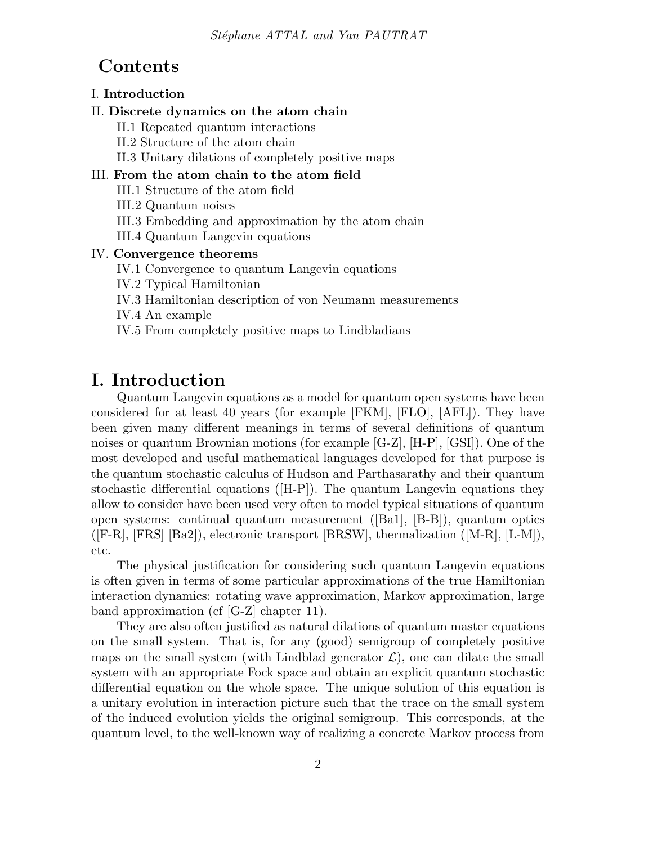## Contents

## I. Introduction

### II. Discrete dynamics on the atom chain

II.1 Repeated quantum interactions

II.2 Structure of the atom chain

II.3 Unitary dilations of completely positive maps

## III. From the atom chain to the atom field

III.1 Structure of the atom field

III.2 Quantum noises

III.3 Embedding and approximation by the atom chain

III.4 Quantum Langevin equations

### IV. Convergence theorems

IV.1 Convergence to quantum Langevin equations

IV.2 Typical Hamiltonian

IV.3 Hamiltonian description of von Neumann measurements

IV.4 An example

IV.5 From completely positive maps to Lindbladians

## I. Introduction

Quantum Langevin equations as a model for quantum open systems have been considered for at least 40 years (for example [FKM], [FLO], [AFL]). They have been given many different meanings in terms of several definitions of quantum noises or quantum Brownian motions (for example [G-Z], [H-P], [GSI]). One of the most developed and useful mathematical languages developed for that purpose is the quantum stochastic calculus of Hudson and Parthasarathy and their quantum stochastic differential equations ([H-P]). The quantum Langevin equations they allow to consider have been used very often to model typical situations of quantum open systems: continual quantum measurement ([Ba1], [B-B]), quantum optics  $([F-R], [FRS] [Ba2]),$  electronic transport  $[BRSW]$ , thermalization  $([M-R], [L-M]),$ etc.

The physical justification for considering such quantum Langevin equations is often given in terms of some particular approximations of the true Hamiltonian interaction dynamics: rotating wave approximation, Markov approximation, large band approximation (cf [G-Z] chapter 11).

They are also often justified as natural dilations of quantum master equations on the small system. That is, for any (good) semigroup of completely positive maps on the small system (with Lindblad generator  $\mathcal{L}$ ), one can dilate the small system with an appropriate Fock space and obtain an explicit quantum stochastic differential equation on the whole space. The unique solution of this equation is a unitary evolution in interaction picture such that the trace on the small system of the induced evolution yields the original semigroup. This corresponds, at the quantum level, to the well-known way of realizing a concrete Markov process from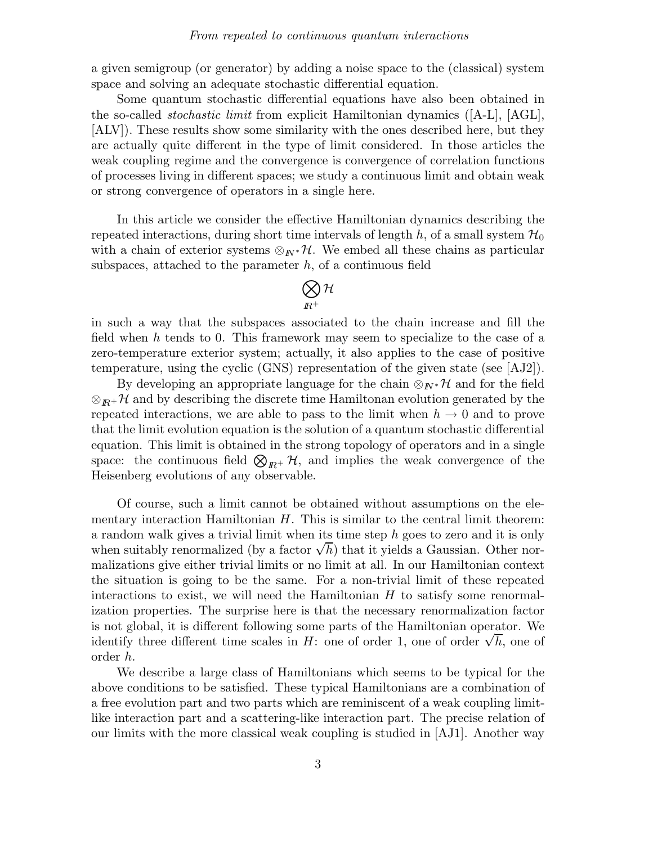a given semigroup (or generator) by adding a noise space to the (classical) system space and solving an adequate stochastic differential equation.

Some quantum stochastic differential equations have also been obtained in the so-called *stochastic limit* from explicit Hamiltonian dynamics  $([A-L], [AGL],$ [ALV]). These results show some similarity with the ones described here, but they are actually quite different in the type of limit considered. In those articles the weak coupling regime and the convergence is convergence of correlation functions of processes living in different spaces; we study a continuous limit and obtain weak or strong convergence of operators in a single here.

In this article we consider the effective Hamiltonian dynamics describing the repeated interactions, during short time intervals of length h, of a small system  $\mathcal{H}_0$ with a chain of exterior systems  $\otimes_{I\!N^*}\mathcal{H}$ . We embed all these chains as particular subspaces, attached to the parameter  $h$ , of a continuous field

$$
\bigotimes_{I\!\!R^+} {\cal H}
$$

in such a way that the subspaces associated to the chain increase and fill the field when h tends to 0. This framework may seem to specialize to the case of a zero-temperature exterior system; actually, it also applies to the case of positive temperature, using the cyclic (GNS) representation of the given state (see [AJ2]).

By developing an appropriate language for the chain  $\otimes_{I\!\!N^*}\mathcal{H}$  and for the field  $\otimes_{I\!\!R}$ + H and by describing the discrete time Hamiltonan evolution generated by the repeated interactions, we are able to pass to the limit when  $h \to 0$  and to prove that the limit evolution equation is the solution of a quantum stochastic differential equation. This limit is obtained in the strong topology of operators and in a single space: the continuous field  $\bigotimes_{I\!\!R^+}\mathcal{H}$ , and implies the weak convergence of the Heisenberg evolutions of any observable.

Of course, such a limit cannot be obtained without assumptions on the elementary interaction Hamiltonian  $H$ . This is similar to the central limit theorem: a random walk gives a trivial limit when its time step h goes to zero and it is only when suitably renormalized (by a factor  $\sqrt{h}$ ) that it yields a Gaussian. Other normalizations give either trivial limits or no limit at all. In our Hamiltonian context the situation is going to be the same. For a non-trivial limit of these repeated interactions to exist, we will need the Hamiltonian  $H$  to satisfy some renormalization properties. The surprise here is that the necessary renormalization factor is not global, it is different following some parts of the Hamiltonian operator. We identify three different time scales in  $H$ : one of order 1, one of order  $\sqrt{h}$ , one of order h.

We describe a large class of Hamiltonians which seems to be typical for the above conditions to be satisfied. These typical Hamiltonians are a combination of a free evolution part and two parts which are reminiscent of a weak coupling limitlike interaction part and a scattering-like interaction part. The precise relation of our limits with the more classical weak coupling is studied in [AJ1]. Another way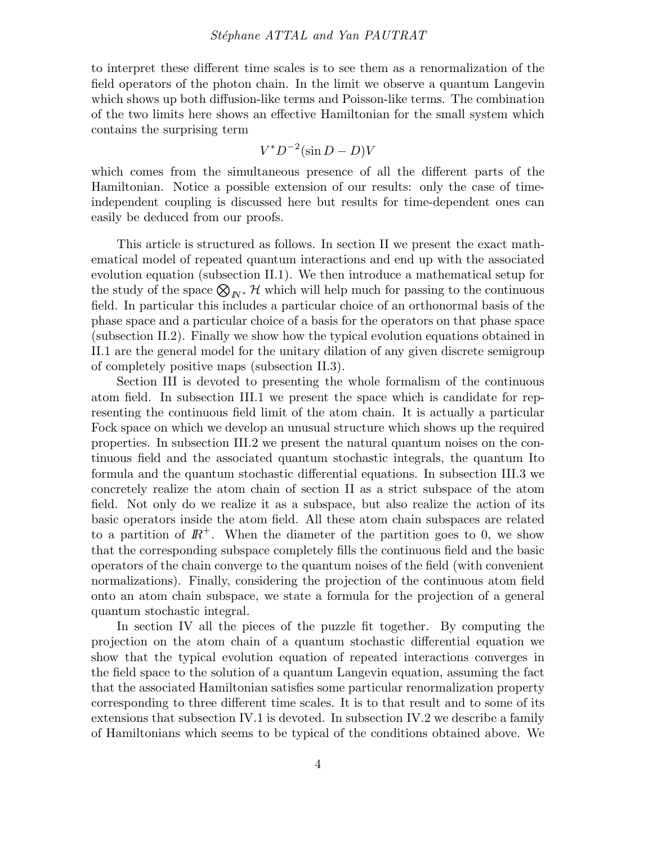#### Stéphane ATTAL and Yan PAUTRAT

to interpret these different time scales is to see them as a renormalization of the field operators of the photon chain. In the limit we observe a quantum Langevin which shows up both diffusion-like terms and Poisson-like terms. The combination of the two limits here shows an effective Hamiltonian for the small system which contains the surprising term

$$
V^* D^{-2} (\sin D - D)V
$$

which comes from the simultaneous presence of all the different parts of the Hamiltonian. Notice a possible extension of our results: only the case of timeindependent coupling is discussed here but results for time-dependent ones can easily be deduced from our proofs.

This article is structured as follows. In section II we present the exact mathematical model of repeated quantum interactions and end up with the associated evolution equation (subsection II.1). We then introduce a mathematical setup for the study of the space  $\bigotimes_{N^*} \mathcal{H}$  which will help much for passing to the continuous field. In particular this includes a particular choice of an orthonormal basis of the phase space and a particular choice of a basis for the operators on that phase space (subsection II.2). Finally we show how the typical evolution equations obtained in II.1 are the general model for the unitary dilation of any given discrete semigroup of completely positive maps (subsection II.3).

Section III is devoted to presenting the whole formalism of the continuous atom field. In subsection III.1 we present the space which is candidate for representing the continuous field limit of the atom chain. It is actually a particular Fock space on which we develop an unusual structure which shows up the required properties. In subsection III.2 we present the natural quantum noises on the continuous field and the associated quantum stochastic integrals, the quantum Ito formula and the quantum stochastic differential equations. In subsection III.3 we concretely realize the atom chain of section II as a strict subspace of the atom field. Not only do we realize it as a subspace, but also realize the action of its basic operators inside the atom field. All these atom chain subspaces are related to a partition of  $\mathbb{R}^+$ . When the diameter of the partition goes to 0, we show that the corresponding subspace completely fills the continuous field and the basic operators of the chain converge to the quantum noises of the field (with convenient normalizations). Finally, considering the projection of the continuous atom field onto an atom chain subspace, we state a formula for the projection of a general quantum stochastic integral.

In section IV all the pieces of the puzzle fit together. By computing the projection on the atom chain of a quantum stochastic differential equation we show that the typical evolution equation of repeated interactions converges in the field space to the solution of a quantum Langevin equation, assuming the fact that the associated Hamiltonian satisfies some particular renormalization property corresponding to three different time scales. It is to that result and to some of its extensions that subsection IV.1 is devoted. In subsection IV.2 we describe a family of Hamiltonians which seems to be typical of the conditions obtained above. We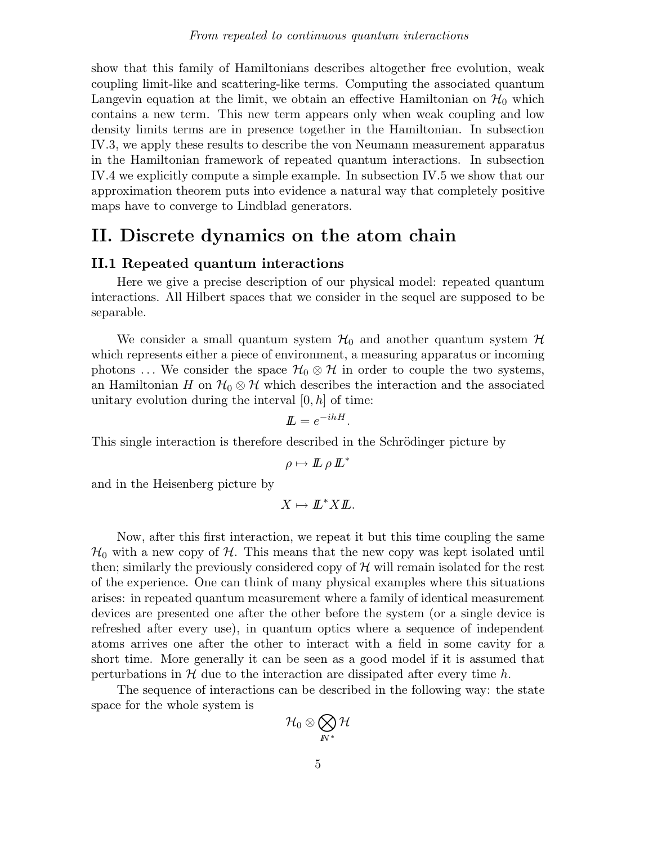show that this family of Hamiltonians describes altogether free evolution, weak coupling limit-like and scattering-like terms. Computing the associated quantum Langevin equation at the limit, we obtain an effective Hamiltonian on  $\mathcal{H}_0$  which contains a new term. This new term appears only when weak coupling and low density limits terms are in presence together in the Hamiltonian. In subsection IV.3, we apply these results to describe the von Neumann measurement apparatus in the Hamiltonian framework of repeated quantum interactions. In subsection IV.4 we explicitly compute a simple example. In subsection IV.5 we show that our approximation theorem puts into evidence a natural way that completely positive maps have to converge to Lindblad generators.

## II. Discrete dynamics on the atom chain

### II.1 Repeated quantum interactions

Here we give a precise description of our physical model: repeated quantum interactions. All Hilbert spaces that we consider in the sequel are supposed to be separable.

We consider a small quantum system  $\mathcal{H}_0$  and another quantum system  $\mathcal{H}$ which represents either a piece of environment, a measuring apparatus or incoming photons ... We consider the space  $\mathcal{H}_0 \otimes \mathcal{H}$  in order to couple the two systems, an Hamiltonian H on  $\mathcal{H}_0 \otimes \mathcal{H}$  which describes the interaction and the associated unitary evolution during the interval  $[0, h]$  of time:

$$
I\!I\!I = e^{-ihH}.
$$

This single interaction is therefore described in the Schrödinger picture by

$$
\rho \mapsto L \rho L^*
$$

and in the Heisenberg picture by

 $X \mapsto L^*XL$ .

Now, after this first interaction, we repeat it but this time coupling the same  $\mathcal{H}_0$  with a new copy of  $\mathcal{H}$ . This means that the new copy was kept isolated until then; similarly the previously considered copy of  $H$  will remain isolated for the rest of the experience. One can think of many physical examples where this situations arises: in repeated quantum measurement where a family of identical measurement devices are presented one after the other before the system (or a single device is refreshed after every use), in quantum optics where a sequence of independent atoms arrives one after the other to interact with a field in some cavity for a short time. More generally it can be seen as a good model if it is assumed that perturbations in  $\mathcal H$  due to the interaction are dissipated after every time h.

The sequence of interactions can be described in the following way: the state space for the whole system is

$$
\mathcal{H}_0\otimes\bigotimes_{I\!\!N^*}\mathcal{H}
$$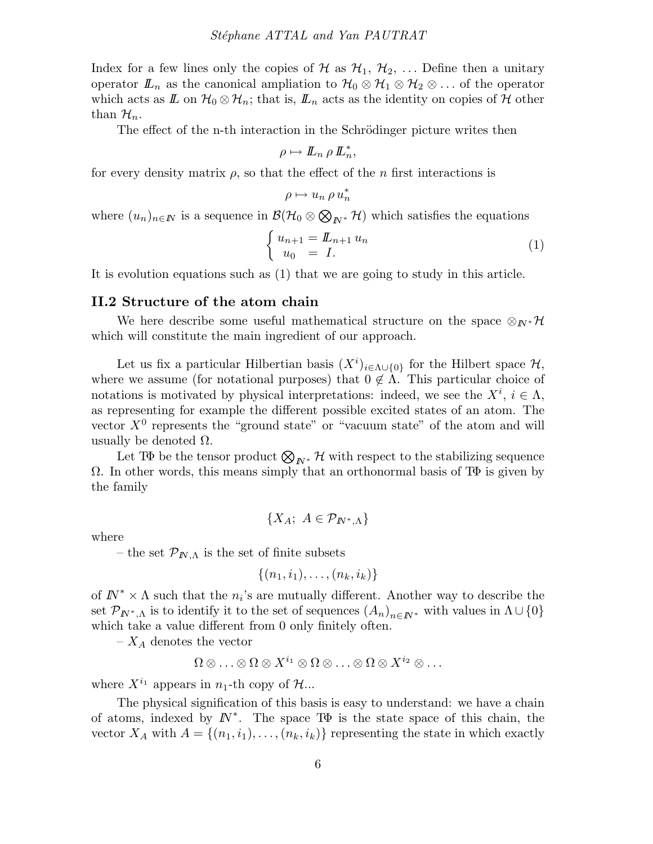Index for a few lines only the copies of H as  $\mathcal{H}_1$ ,  $\mathcal{H}_2$ , ... Define then a unitary operator  $\mathbb{L}_n$  as the canonical ampliation to  $\mathcal{H}_0 \otimes \mathcal{H}_1 \otimes \mathcal{H}_2 \otimes \ldots$  of the operator which acts as  $\mathbb{Z}$  on  $\mathcal{H}_0 \otimes \mathcal{H}_n$ ; that is,  $\mathbb{Z}_n$  acts as the identity on copies of  $\mathcal{H}$  other than  $\mathcal{H}_n$ .

The effect of the n-th interaction in the Schrödinger picture writes then

$$
\rho \mapsto L_n \, \rho \, L_n^*,
$$

for every density matrix  $\rho$ , so that the effect of the *n* first interactions is

$$
\rho \mapsto u_n \, \rho \, u_n^*
$$

where  $(u_n)_{n\in\mathbb{N}}$  is a sequence in  $\mathcal{B}(\mathcal{H}_0\otimes\bigotimes_{\mathbb{N}^*}\mathcal{H})$  which satisfies the equations

$$
\begin{cases}\n u_{n+1} = \mathbb{L}_{n+1} u_n \\
 u_0 = I.\n\end{cases} \tag{1}
$$

It is evolution equations such as (1) that we are going to study in this article.

#### II.2 Structure of the atom chain

We here describe some useful mathematical structure on the space  $\otimes_{I\!N^*}\mathcal{H}$ which will constitute the main ingredient of our approach.

Let us fix a particular Hilbertian basis  $(X<sup>i</sup>)_{i \in \Lambda \cup \{0\}}$  for the Hilbert space  $\mathcal{H}$ , where we assume (for notational purposes) that  $0 \notin \Lambda$ . This particular choice of notations is motivated by physical interpretations: indeed, we see the  $X^i$ ,  $i \in \Lambda$ , as representing for example the different possible excited states of an atom. The vector  $X^0$  represents the "ground state" or "vacuum state" of the atom and will usually be denoted  $\Omega$ .

Let TΦ be the tensor product  $\bigotimes_{N^*} \mathcal{H}$  with respect to the stabilizing sequence  $\Omega$ . In other words, this means simply that an orthonormal basis of T $\Phi$  is given by the family

$$
\{X_A; A \in \mathcal{P}_{I\!\!N^*,\Lambda}\}
$$

where

– the set  $\mathcal{P}_{I\!N,\Lambda}$  is the set of finite subsets

$$
\{(n_1,i_1),\ldots,(n_k,i_k)\}
$$

of  $I\!\!N^* \times \Lambda$  such that the  $n_i$ 's are mutually different. Another way to describe the set  $\mathcal{P}_{I\!N^*,\Lambda}$  is to identify it to the set of sequences  $(A_n)_{n\in I\!N^*}$  with values in  $\Lambda\cup\{0\}$ which take a value different from 0 only finitely often.

 $-X_A$  denotes the vector

$$
\Omega\otimes\ldots\otimes\Omega\otimes X^{i_1}\otimes\Omega\otimes\ldots\otimes\Omega\otimes X^{i_2}\otimes\ldots
$$

where  $X^{i_1}$  appears in  $n_1$ -th copy of  $\mathcal{H}$ ...

The physical signification of this basis is easy to understand: we have a chain of atoms, indexed by  $\mathbb{N}^*$ . The space T $\Phi$  is the state space of this chain, the vector  $X_A$  with  $A = \{(n_1, i_1), \ldots, (n_k, i_k)\}\)$  representing the state in which exactly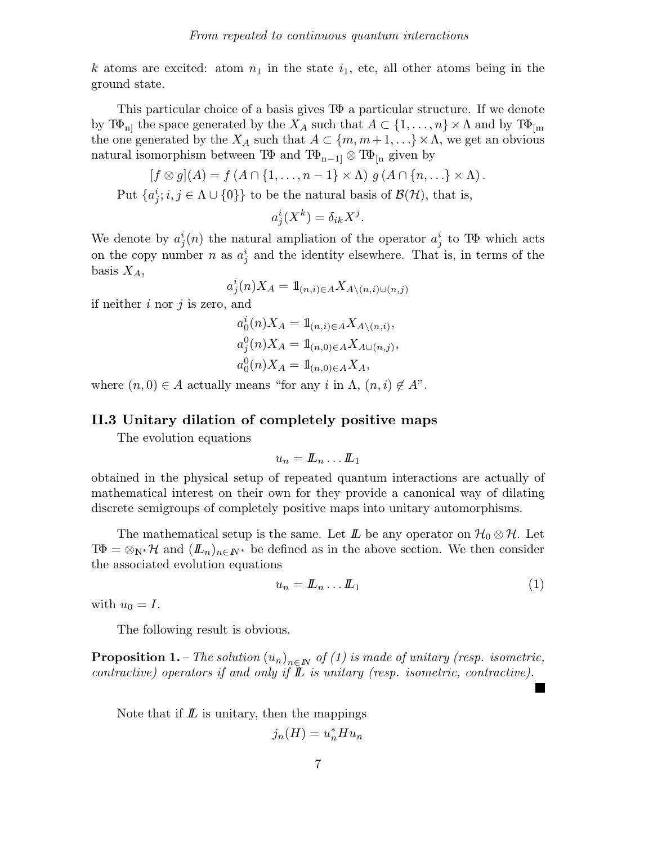k atoms are excited: atom  $n_1$  in the state  $i_1$ , etc, all other atoms being in the ground state.

This particular choice of a basis gives TΦ a particular structure. If we denote by  $T\Phi_{\text{nl}}$  the space generated by the  $X_A$  such that  $A \subset \{1, \ldots, n\} \times \Lambda$  and by  $T\Phi_{\text{lm}}$ the one generated by the  $X_A$  such that  $A \subset \{m, m+1, \ldots\} \times \Lambda$ , we get an obvious natural isomorphism between T $\Phi$  and T $\Phi_{n-1}$   $\otimes$  T $\Phi$ <sub>[n</sub> given by

$$
[f \otimes g](A) = f(A \cap \{1, \ldots, n-1\} \times \Lambda) g(A \cap \{n, \ldots\} \times \Lambda).
$$

Put  $\{a_j^i; i, j \in \Lambda \cup \{0\}\}\$ to be the natural basis of  $\mathcal{B}(\mathcal{H})$ , that is,

$$
a_j^i(X^k) = \delta_{ik} X^j.
$$

We denote by  $a_j^i(n)$  the natural ampliation of the operator  $a_j^i$  to TΦ which acts on the copy number n as  $a_j^i$  and the identity elsewhere. That is, in terms of the basis  $X_A$ ,

$$
a_j^i(n)X_A = 1\!\!1_{(n,i)\in A}X_{A\setminus(n,i)\cup(n,j)}
$$

if neither  $i$  nor  $j$  is zero, and

$$
a_0^i(n)X_A = 1\!\!1_{(n,i)\in A} X_{A\setminus(n,i)},
$$
  
\n
$$
a_j^0(n)X_A = 1\!\!1_{(n,0)\in A} X_{A\cup(n,j)},
$$
  
\n
$$
a_0^0(n)X_A = 1\!\!1_{(n,0)\in A} X_A,
$$

where  $(n, 0) \in A$  actually means "for any i in  $\Lambda$ ,  $(n, i) \notin A$ ".

## II.3 Unitary dilation of completely positive maps

The evolution equations

$$
u_n = \pmb{\mathit{L}}_n \ldots \pmb{\mathit{L}}_1
$$

obtained in the physical setup of repeated quantum interactions are actually of mathematical interest on their own for they provide a canonical way of dilating discrete semigroups of completely positive maps into unitary automorphisms.

The mathematical setup is the same. Let  $\mathbb{L}$  be any operator on  $\mathcal{H}_0 \otimes \mathcal{H}$ . Let  $T\Phi = \otimes_{N^*} \mathcal{H}$  and  $(L_n)_{n \in \mathbb{N}^*}$  be defined as in the above section. We then consider the associated evolution equations

$$
u_n = \mathbf{L}_n \dots \mathbf{L}_1 \tag{1}
$$

with  $u_0 = I$ .

The following result is obvious.

**Proposition 1.** – The solution  $(u_n)_{n\in\mathbb{N}}$  of (1) is made of unitary (resp. isometric, contractive) operators if and only if  $\mathbb L$  is unitary (resp. isometric, contractive).

Note that if  $\mathbf{L}$  is unitary, then the mappings

$$
j_n(H) = u_n^* H u_n
$$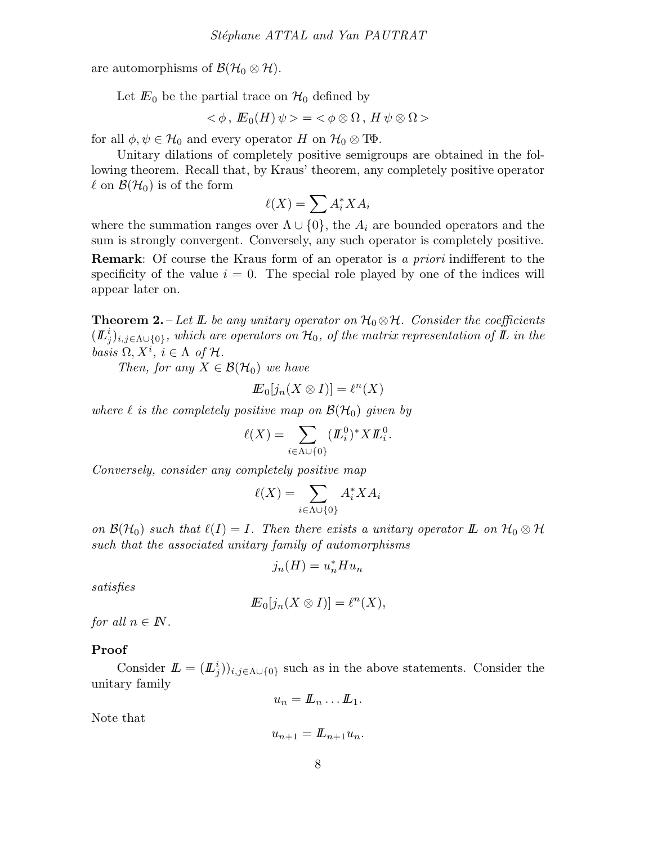are automorphisms of  $\mathcal{B}(\mathcal{H}_0 \otimes \mathcal{H})$ .

Let  $E_0$  be the partial trace on  $\mathcal{H}_0$  defined by

$$
\langle \phi, E_0(H) \psi \rangle = \langle \phi \otimes \Omega, H \psi \otimes \Omega \rangle
$$

for all  $\phi, \psi \in \mathcal{H}_0$  and every operator H on  $\mathcal{H}_0 \otimes \mathbb{T}\Phi$ .

Unitary dilations of completely positive semigroups are obtained in the following theorem. Recall that, by Kraus' theorem, any completely positive operator  $\ell$  on  $\mathcal{B}(\mathcal{H}_0)$  is of the form

$$
\ell(X) = \sum A_i^* X A_i
$$

where the summation ranges over  $\Lambda \cup \{0\}$ , the  $A_i$  are bounded operators and the sum is strongly convergent. Conversely, any such operator is completely positive.

**Remark:** Of course the Kraus form of an operator is a priori indifferent to the specificity of the value  $i = 0$ . The special role played by one of the indices will appear later on.

**Theorem 2.** – Let  $\mathbb{L}$  be any unitary operator on  $\mathcal{H}_0 \otimes \mathcal{H}$ . Consider the coefficients  $(\mathbf{L}^i_j)_{i,j\in\Lambda\cup\{0\}},$  which are operators on  $\mathcal{H}_0$ , of the matrix representation of  $\mathbf L$  in the basis  $\Omega, X^i, i \in \Lambda$  of  $\mathcal{H}$ .

Then, for any  $X \in \mathcal{B}(\mathcal{H}_0)$  we have

$$
I\!\!E_0[j_n(X\otimes I)]=\ell^n(X)
$$

where  $\ell$  is the completely positive map on  $\mathcal{B}(\mathcal{H}_0)$  given by

$$
\ell(X) = \sum_{i \in \Lambda \cup \{0\}} (\underline{\mathit{IL}}_i^0)^* X \underline{\mathit{IL}}_i^0.
$$

Conversely, consider any completely positive map

$$
\ell(X) = \sum_{i \in \Lambda \cup \{0\}} A_i^* X A_i
$$

on  $\mathcal{B}(\mathcal{H}_0)$  such that  $\ell(I) = I$ . Then there exists a unitary operator  $\mathbb{L}$  on  $\mathcal{H}_0 \otimes \mathcal{H}$ such that the associated unitary family of automorphisms

$$
j_n(H) = u_n^* H u_n
$$

satisfies

$$
I\!\!E_0[j_n(X \otimes I)] = \ell^n(X),
$$

for all  $n \in \mathbb{N}$ .

#### Proof

Consider  $\mathbf{L} = (L^i_j)_{i,j \in \Lambda \cup \{0\}}$  such as in the above statements. Consider the unitary family

$$
u_n = \underline{L}_n \dots \underline{L}_1.
$$

Note that

$$
u_{n+1} = L_{n+1}u_n.
$$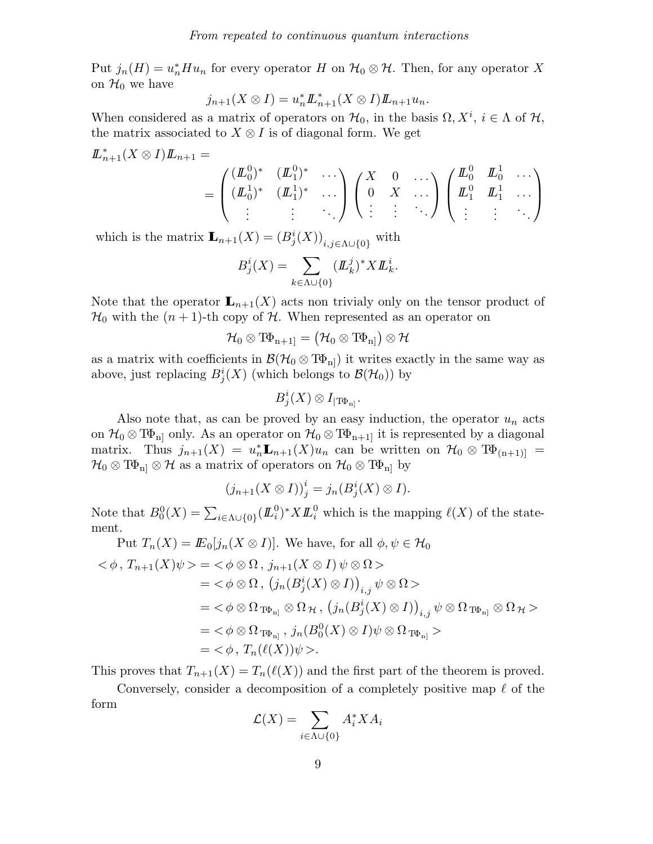Put  $j_n(H) = u_n^* H u_n$  for every operator H on  $\mathcal{H}_0 \otimes \mathcal{H}$ . Then, for any operator X on  $\mathcal{H}_0$  we have

$$
j_{n+1}(X\otimes I)=u_n^*{\mathbf L}_{n+1}^*(X\otimes I){\mathbf L}_{n+1}u_n.
$$

When considered as a matrix of operators on  $\mathcal{H}_0$ , in the basis  $\Omega, X^i, i \in \Lambda$  of  $\mathcal{H}$ , the matrix associated to  $X \otimes I$  is of diagonal form. We get

$$
\underline{L}_{n+1}^*(X \otimes I)\underline{L}_{n+1} = \begin{pmatrix} (\underline{L}_0^0)^* & (\underline{L}_1^0)^* & \cdots \\ (\underline{L}_0^1)^* & (\underline{L}_1^1)^* & \cdots \\ \vdots & \vdots & \ddots \end{pmatrix} \begin{pmatrix} X & 0 & \cdots \\ 0 & X & \cdots \\ \vdots & \vdots & \ddots \end{pmatrix} \begin{pmatrix} \underline{L}_0^0 & \underline{L}_0^1 & \cdots \\ \underline{L}_1^0 & \underline{L}_1^1 & \cdots \\ \vdots & \vdots & \ddots \end{pmatrix}
$$

which is the matrix  $\mathbf{L}_{n+1}(X) = (B_j^i(X))_{i,j \in \Lambda \cup \{0\}}$  with

$$
B_j^i(X) = \sum_{k \in \Lambda \cup \{0\}} (L_k^j)^* X L_k^i.
$$

Note that the operator  $\mathbf{L}_{n+1}(X)$  acts non trivialy only on the tensor product of  $\mathcal{H}_0$  with the  $(n+1)$ -th copy of  $\mathcal{H}$ . When represented as an operator on

$$
\mathcal{H}_0\otimes\mathbb{T}\!\Phi_{\rm n+1]}=\big(\mathcal{H}_0\otimes\mathbb{T}\!\Phi_{\rm n]}\big)\otimes\mathcal{H}
$$

as a matrix with coefficients in  $\mathcal{B}(\mathcal{H}_0\otimes T\Phi_{\text{n}})$  it writes exactly in the same way as above, just replacing  $B_j^i(X)$  (which belongs to  $\mathcal{B}(\mathcal{H}_0)$ ) by

$$
B^i_j(X)\otimes I_{|\mathrm{T}\Phi_{\rm n}]}.
$$

Also note that, as can be proved by an easy induction, the operator  $u_n$  acts on  $\mathcal{H}_0 \otimes T\Phi_{n]}$  only. As an operator on  $\mathcal{H}_0 \otimes T\Phi_{n+1}$  it is represented by a diagonal matrix. Thus  $j_{n+1}(X) = u_n^* \mathbf{L}_{n+1}(X)u_n$  can be written on  $\mathcal{H}_0 \otimes \mathbb{T}^{\mathbf{\Phi}}_{n+1}$  $\mathcal{H}_0 \otimes \mathbb{T} \Phi_{\text{nl}} \otimes \mathcal{H}$  as a matrix of operators on  $\mathcal{H}_0 \otimes \mathbb{T} \Phi_{\text{nl}}$  by

$$
(j_{n+1}(X \otimes I))^i_j = j_n(B^i_j(X) \otimes I).
$$

Note that  $B_0^0(X) = \sum_{i \in \Lambda \cup \{0\}} (L_i^0)^* X L_i^0$  which is the mapping  $\ell(X)$  of the statement.  $P(X) = E_{\alpha}(X \otimes I)$ . We have for all  $\phi \otimes H$ 

Put 
$$
T_n(X) = \mathbb{E}_0[j_n(X \otimes I)]
$$
. We have, for all  $\phi, \psi \in \mathcal{H}_0$   
\n $<\phi, T_{n+1}(X)\psi> = <\phi \otimes \Omega, j_{n+1}(X \otimes I) \psi \otimes \Omega>$   
\n $= <\phi \otimes \Omega, (j_n(B_j^i(X) \otimes I))_{i,j} \psi \otimes \Omega>$   
\n $= <\phi \otimes \Omega_{T\Phi_{n}1} \otimes \Omega_{\mathcal{H}}, (j_n(B_j^i(X) \otimes I))_{i,j} \psi \otimes \Omega_{T\Phi_{n}1} \otimes \Omega_{\mathcal{H}}>$   
\n $= <\phi \otimes \Omega_{T\Phi_{n}1}, j_n(B_0^0(X) \otimes I) \psi \otimes \Omega_{T\Phi_{n}1} >$   
\n $= <\phi, T_n(\ell(X))\psi>.$ 

This proves that  $T_{n+1}(X) = T_n(\ell(X))$  and the first part of the theorem is proved.

Conversely, consider a decomposition of a completely positive map  $\ell$  of the form

$$
\mathcal{L}(X) = \sum_{i \in \Lambda \cup \{0\}} A_i^* X A_i
$$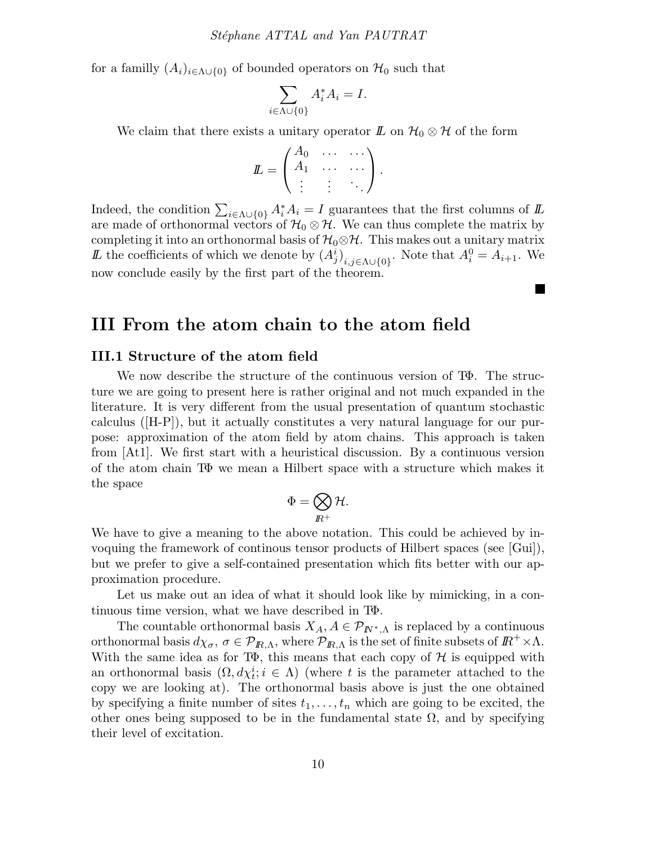for a familly  $(A_i)_{i\in\Lambda\cup\{0\}}$  of bounded operators on  $\mathcal{H}_0$  such that

$$
\sum_{i \in \Lambda \cup \{0\}} A_i^* A_i = I.
$$

We claim that there exists a unitary operator  $\mathbb{L}$  on  $\mathcal{H}_0 \otimes \mathcal{H}$  of the form

$$
L = \begin{pmatrix} A_0 & \cdots & \cdots \\ A_1 & \cdots & \cdots \\ \vdots & \vdots & \ddots \end{pmatrix}.
$$

Indeed, the condition  $\sum_{i \in \Lambda \cup \{0\}} A_i^* A_i = I$  guarantees that the first columns of  $I\!L$ are made of orthonormal vectors of  $\mathcal{H}_0 \otimes \mathcal{H}$ . We can thus complete the matrix by completing it into an orthonormal basis of  $\mathcal{H}_0 \otimes \mathcal{H}$ . This makes out a unitary matrix Let the coefficients of which we denote by  $(A_j^i)_{i,j\in\Lambda\cup\{0\}}$ . Note that  $A_i^0 = A_{i+1}$ . We now conclude easily by the first part of the theorem.

**The State** 

## III From the atom chain to the atom field

#### III.1 Structure of the atom field

We now describe the structure of the continuous version of TΦ. The structure we are going to present here is rather original and not much expanded in the literature. It is very different from the usual presentation of quantum stochastic calculus ([H-P]), but it actually constitutes a very natural language for our purpose: approximation of the atom field by atom chains. This approach is taken from [At1]. We first start with a heuristical discussion. By a continuous version of the atom chain TΦ we mean a Hilbert space with a structure which makes it the space

$$
\Phi=\bigotimes_{I\!\!R^+} {\cal H}.
$$

We have to give a meaning to the above notation. This could be achieved by invoquing the framework of continous tensor products of Hilbert spaces (see [Gui]), but we prefer to give a self-contained presentation which fits better with our approximation procedure.

Let us make out an idea of what it should look like by mimicking, in a continuous time version, what we have described in TΦ.

The countable orthonormal basis  $X_A$ ,  $A \in \mathcal{P}_{I\!\!N^*,\Lambda}$  is replaced by a continuous orthonormal basis  $d\chi_{\sigma}$ ,  $\sigma \in \mathcal{P}_{I\!R,\Lambda}$ , where  $\mathcal{P}_{I\!R,\Lambda}$  is the set of finite subsets of  $I\!R^+ \times \Lambda$ . With the same idea as for T $\Phi$ , this means that each copy of  $\mathcal H$  is equipped with an orthonormal basis  $(\Omega, d\chi_t^i; i \in \Lambda)$  (where t is the parameter attached to the copy we are looking at). The orthonormal basis above is just the one obtained by specifying a finite number of sites  $t_1, \ldots, t_n$  which are going to be excited, the other ones being supposed to be in the fundamental state  $\Omega$ , and by specifying their level of excitation.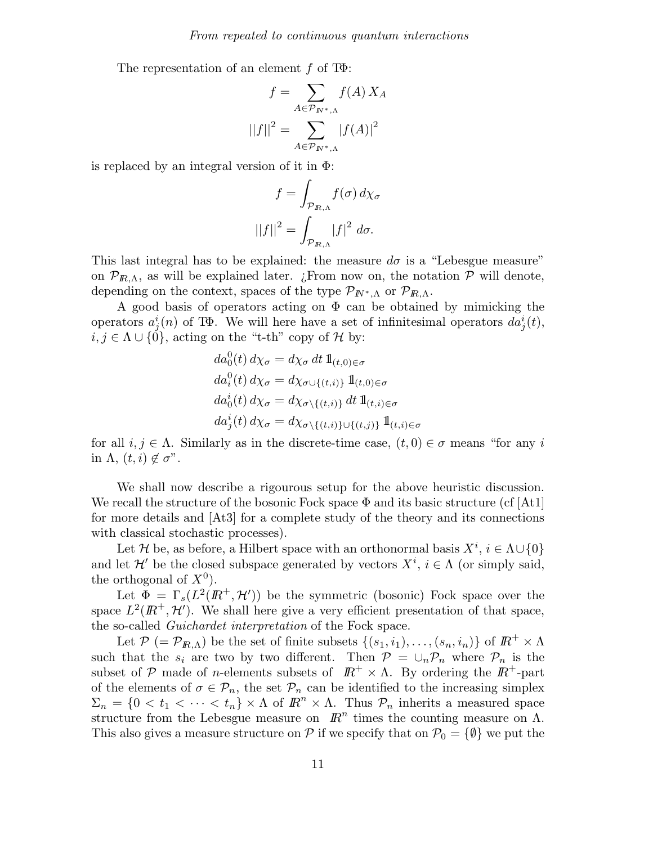The representation of an element  $f$  of T $\Phi$ :

$$
f = \sum_{A \in \mathcal{P}_{N^*,\Lambda}} f(A) X_A
$$

$$
||f||^2 = \sum_{A \in \mathcal{P}_{N^*,\Lambda}} |f(A)|^2
$$

is replaced by an integral version of it in  $\Phi$ :

$$
f = \int_{\mathcal{P}_{R,\Lambda}} f(\sigma) \, d\chi_{\sigma}
$$

$$
||f||^2 = \int_{\mathcal{P}_{R,\Lambda}} |f|^2 \, d\sigma.
$$

This last integral has to be explained: the measure  $d\sigma$  is a "Lebesgue measure" on  $\mathcal{P}_{R,\Lambda}$ , as will be explained later. ¿From now on, the notation  $\mathcal{P}$  will denote, depending on the context, spaces of the type  $\mathcal{P}_{I\!\!N^*,\Lambda}$  or  $\mathcal{P}_{I\!\!R,\Lambda}$ .

A good basis of operators acting on  $\Phi$  can be obtained by mimicking the operators  $a_j^i(n)$  of T $\Phi$ . We will here have a set of infinitesimal operators  $da_j^i(t)$ ,  $i, j \in \Lambda \cup \{0\}$ , acting on the "t-th" copy of H by:

$$
da_0^0(t) d\chi_{\sigma} = d\chi_{\sigma} dt 1\!\!1_{(t,0)\in\sigma}
$$
  
\n
$$
da_i^0(t) d\chi_{\sigma} = d\chi_{\sigma\cup\{(t,i)\}} 1\!\!1_{(t,0)\in\sigma}
$$
  
\n
$$
da_0^i(t) d\chi_{\sigma} = d\chi_{\sigma\setminus\{(t,i)\}} dt 1\!\!1_{(t,i)\in\sigma}
$$
  
\n
$$
da_j^i(t) d\chi_{\sigma} = d\chi_{\sigma\setminus\{(t,i)\}\cup\{(t,j)\}} 1\!\!1_{(t,i)\in\sigma}
$$

for all  $i, j \in \Lambda$ . Similarly as in the discrete-time case,  $(t, 0) \in \sigma$  means "for any i in  $\Lambda$ ,  $(t, i) \notin \sigma$ ".

We shall now describe a rigourous setup for the above heuristic discussion. We recall the structure of the bosonic Fock space  $\Phi$  and its basic structure (cf [At1] for more details and [At3] for a complete study of the theory and its connections with classical stochastic processes).

Let H be, as before, a Hilbert space with an orthonormal basis  $X^i$ ,  $i \in \Lambda \cup \{0\}$ and let  $\mathcal{H}'$  be the closed subspace generated by vectors  $X^i$ ,  $i \in \Lambda$  (or simply said, the orthogonal of  $X^0$ ).

Let  $\Phi = \Gamma_s(L^2(I\!\! R^+,\mathcal{H}'))$  be the symmetric (bosonic) Fock space over the space  $L^2(\mathbb{R}^+, \mathcal{H}')$ . We shall here give a very efficient presentation of that space, the so-called Guichardet interpretation of the Fock space.

Let  $\mathcal{P}$  (=  $\mathcal{P}_{I\!R,\Lambda}$ ) be the set of finite subsets  $\{(s_1,i_1),\ldots,(s_n,i_n)\}$  of  $I\!R^+\times\Lambda$ such that the  $s_i$  are two by two different. Then  $P = \bigcup_n P_n$  where  $P_n$  is the subset of P made of n-elements subsets of  $\mathbb{R}^+ \times \Lambda$ . By ordering the  $\mathbb{R}^+$ -part of the elements of  $\sigma \in \mathcal{P}_n$ , the set  $\mathcal{P}_n$  can be identified to the increasing simplex  $\Sigma_n = \{0 \le t_1 \le \cdots \le t_n\} \times \Lambda$  of  $\mathbb{R}^n \times \Lambda$ . Thus  $\mathcal{P}_n$  inherits a measured space structure from the Lebesgue measure on  $\mathbb{R}^n$  times the counting measure on  $\Lambda$ . This also gives a measure structure on  $P$  if we specify that on  $P_0 = \{\emptyset\}$  we put the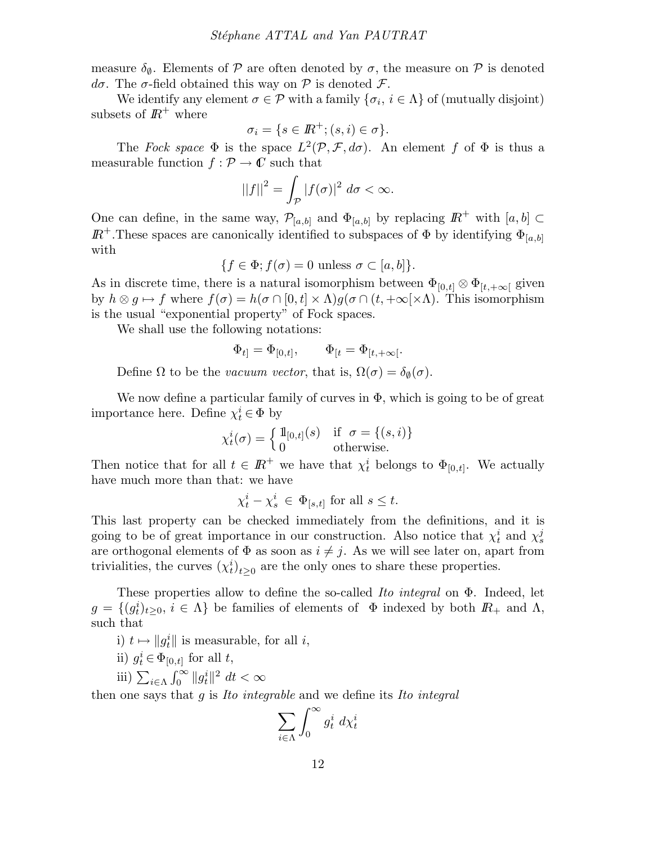measure  $\delta_{\emptyset}$ . Elements of P are often denoted by  $\sigma$ , the measure on P is denoted  $d\sigma$ . The σ-field obtained this way on  $\mathcal P$  is denoted  $\mathcal F$ .

We identify any element  $\sigma \in \mathcal{P}$  with a family  $\{\sigma_i, i \in \Lambda\}$  of (mutually disjoint) subsets of  $\mathbb{R}^+$  where

$$
\sigma_i = \{ s \in I\!\!R^+; (s,i) \in \sigma \}.
$$

The Fock space  $\Phi$  is the space  $L^2(\mathcal{P}, \mathcal{F}, d\sigma)$ . An element f of  $\Phi$  is thus a measurable function  $f : \mathcal{P} \to \mathbb{C}$  such that

$$
||f||^2 = \int_{\mathcal{P}} |f(\sigma)|^2 \, d\sigma < \infty.
$$

One can define, in the same way,  $\mathcal{P}_{[a,b]}$  and  $\Phi_{[a,b]}$  by replacing  $\mathbb{R}^+$  with  $[a,b] \subset$  $I\!\!R^+$ . These spaces are canonically identified to subspaces of  $\Phi$  by identifying  $\Phi_{[a,b]}$ with

$$
\{f \in \Phi; f(\sigma) = 0 \text{ unless } \sigma \subset [a, b] \}.
$$

As in discrete time, there is a natural isomorphism between  $\Phi_{[0,t]} \otimes \Phi_{[t,+\infty]}$  given by  $h \otimes g \mapsto f$  where  $f(\sigma) = h(\sigma \cap [0, t] \times \Lambda)g(\sigma \cap (t, +\infty[\times \Lambda))$ . This isomorphism is the usual "exponential property" of Fock spaces.

We shall use the following notations:

$$
\Phi_{t]}=\Phi_{[0,t]},\qquad \Phi_{[t}=\Phi_{[t,+\infty[}.
$$

Define  $\Omega$  to be the vacuum vector, that is,  $\Omega(\sigma) = \delta_{\emptyset}(\sigma)$ .

We now define a particular family of curves in  $\Phi$ , which is going to be of great importance here. Define  $\chi_t^i \in \Phi$  by

$$
\chi_t^i(\sigma) = \begin{cases} \mathbb{1}_{[0,t]}(s) & \text{if } \sigma = \{(s,i)\} \\ 0 & \text{otherwise.} \end{cases}
$$

Then notice that for all  $t \in \mathbb{R}^+$  we have that  $\chi_t^i$  belongs to  $\Phi_{[0,t]}$ . We actually have much more than that: we have

$$
\chi_t^i - \chi_s^i \in \Phi_{[s,t]}
$$
 for all  $s \le t$ .

This last property can be checked immediately from the definitions, and it is going to be of great importance in our construction. Also notice that  $\chi_t^i$  and  $\chi_s^j$ are orthogonal elements of  $\Phi$  as soon as  $i \neq j$ . As we will see later on, apart from trivialities, the curves  $(\chi_t^i)_{t\geq 0}$  are the only ones to share these properties.

These properties allow to define the so-called Ito integral on Φ. Indeed, let  $g = \{(g_t^i)_{t \geq 0}, i \in \Lambda\}$  be families of elements of  $\Phi$  indexed by both  $\mathbb{R}_+$  and  $\Lambda$ , such that

i)  $t \mapsto \|g_t^i\|$  is measurable, for all *i*,

- ii)  $g_t^i \in \Phi_{[0,t]}$  for all  $t$ ,
- iii)  $\sum_{i \in \Lambda}$  $\int_0^\infty ||g_t^i||^2 dt < \infty$

then one says that  $q$  is *Ito integrable* and we define its *Ito integral* 

$$
\sum_{i\in\Lambda}\int_0^\infty g_t^i\;d\chi_t^i
$$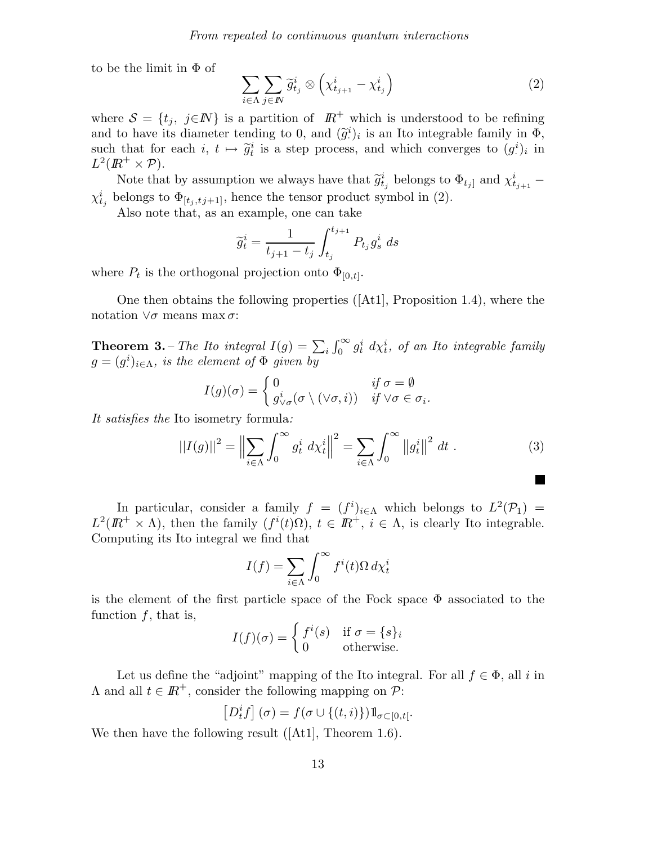to be the limit in  $\Phi$  of

$$
\sum_{i \in \Lambda} \sum_{j \in \mathbb{N}} \widetilde{g}_{t_j}^i \otimes \left( \chi_{t_{j+1}}^i - \chi_{t_j}^i \right) \tag{2}
$$

where  $S = \{t_j, j \in \mathbb{N}\}\$ is a partition of  $\mathbb{R}^+$  which is understood to be refining and to have its diameter tending to 0, and  $(\tilde{g}^i)_i$  is an Ito integrable family in  $\Phi$ , such that for each  $i, t \mapsto \tilde{g}_t^i$  is a step process, and which converges to  $(g_t^i)$  $i)$ <sub>i</sub> in  $L^2(\mathbb{R}^+\times \mathcal{P}).$ 

Note that by assumption we always have that  $\tilde{g}_{t_j}^i$  belongs to  $\Phi_{t_j}$  and  $\chi_{t_{j+1}}^i$  –  $\chi_{t_j}^i$  belongs to  $\Phi_{[t_j,t_j+1]}$ , hence the tensor product symbol in (2).

Also note that, as an example, one can take

$$
\widetilde{g}_t^i = \frac{1}{t_{j+1} - t_j} \int_{t_j}^{t_{j+1}} P_{t_j} g_s^i ds
$$

where  $P_t$  is the orthogonal projection onto  $\Phi_{[0,t]}$ .

One then obtains the following properties ([At1], Proposition 1.4), where the notation  $\forall \sigma$  means max  $\sigma$ :

**Theorem 3.** – The Ito integral  $I(g) = \sum_i \int_0^\infty g_t^i \ d\chi_t^i$ , of an Ito integrable family  $g=(g^i)$  $\mathcal{L}^i_{\cdot}$ )<sub>i</sub> $\in \Lambda$ , is the element of  $\Phi$  given by

$$
I(g)(\sigma) = \begin{cases} 0 & \text{if } \sigma = \emptyset \\ g^i_{\vee \sigma}(\sigma \setminus (\vee \sigma, i)) & \text{if } \vee \sigma \in \sigma_i. \end{cases}
$$

It satisfies the Ito isometry formula:

$$
||I(g)||^2 = \left\| \sum_{i \in \Lambda} \int_0^\infty g_t^i \, d\chi_t^i \right\|^2 = \sum_{i \in \Lambda} \int_0^\infty \left\| g_t^i \right\|^2 \, dt \,. \tag{3}
$$

In particular, consider a family  $f = (f^i)_{i \in \Lambda}$  which belongs to  $L^2(\mathcal{P}_1) =$  $L^2(\mathbb{R}^+ \times \Lambda)$ , then the family  $(f^i(t)\Omega)$ ,  $t \in \mathbb{R}^+$ ,  $i \in \Lambda$ , is clearly Ito integrable. Computing its Ito integral we find that

$$
I(f) = \sum_{i \in \Lambda} \int_0^\infty f^i(t) \Omega \, d\chi_t^i
$$

is the element of the first particle space of the Fock space  $\Phi$  associated to the function  $f$ , that is,

$$
I(f)(\sigma) = \begin{cases} f^i(s) & \text{if } \sigma = \{s\}_i \\ 0 & \text{otherwise.} \end{cases}
$$

Let us define the "adjoint" mapping of the Ito integral. For all  $f \in \Phi$ , all i in  $\Lambda$  and all  $t \in \mathbb{R}^+$ , consider the following mapping on  $\mathcal{P}$ :

$$
\left[D_t^if\right](\sigma)=f(\sigma\cup\{(t,i)\})1\!\!1_{\sigma\subset [0,t[}.
$$

We then have the following result ([At1], Theorem 1.6).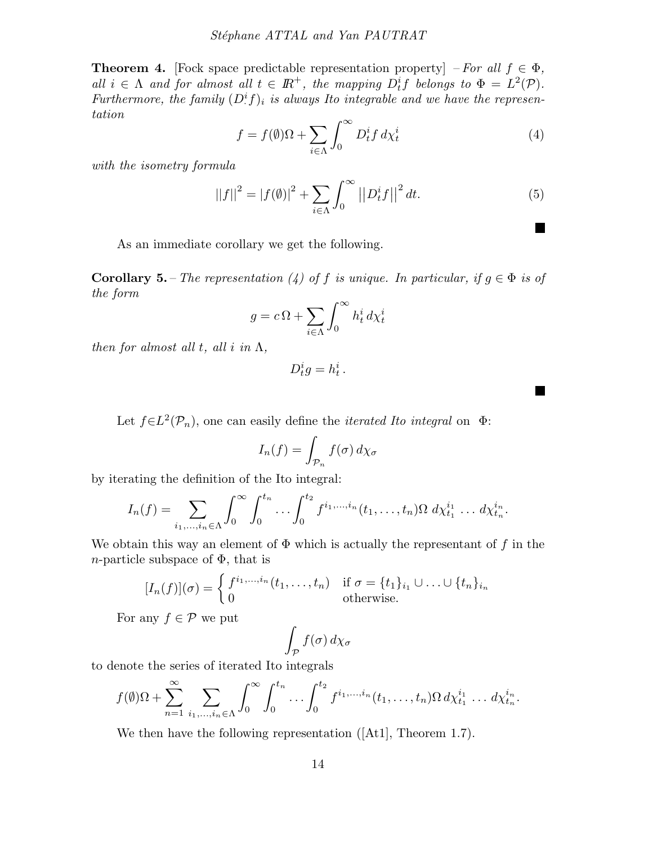**Theorem 4.** [Fock space predictable representation property] – For all  $f \in \Phi$ , all  $i \in \Lambda$  and for almost all  $t \in \mathbb{R}^+$ , the mapping  $D_t^i f$  belongs to  $\Phi = L^2(\mathcal{P})$ . Furthermore, the family  $(D^i f)_i$  is always Ito integrable and we have the representation

$$
f = f(\emptyset)\Omega + \sum_{i \in \Lambda} \int_0^\infty D_t^i f \, d\chi_t^i \tag{4}
$$

with the isometry formula

$$
||f||^{2} = |f(\emptyset)|^{2} + \sum_{i \in \Lambda} \int_{0}^{\infty} | |D_{t}^{i} f| |^{2} dt.
$$
 (5)

**The State** 

H

As an immediate corollary we get the following.

**Corollary 5.** – The representation (4) of f is unique. In particular, if  $g \in \Phi$  is of the form

$$
g = c\,\Omega + \sum_{i \in \Lambda} \int_0^\infty h_t^i \, d\chi_t^i
$$

then for almost all t, all i in  $\Lambda$ ,

$$
D_t^i g = h_t^i.
$$

Let  $f \in L^2(\mathcal{P}_n)$ , one can easily define the *iterated Ito integral* on  $\Phi$ :

$$
I_n(f) = \int_{\mathcal{P}_n} f(\sigma) \, d\chi_{\sigma}
$$

by iterating the definition of the Ito integral:

$$
I_n(f) = \sum_{i_1,\dots,i_n \in \Lambda} \int_0^{\infty} \int_0^{t_n} \dots \int_0^{t_2} f^{i_1,\dots,i_n}(t_1,\dots,t_n) \Omega \, d\chi_{t_1}^{i_1} \dots d\chi_{t_n}^{i_n}.
$$

We obtain this way an element of  $\Phi$  which is actually the representant of f in the *n*-particle subspace of  $\Phi$ , that is

$$
[I_n(f)](\sigma) = \begin{cases} f^{i_1,\dots,i_n}(t_1,\dots,t_n) & \text{if } \sigma = \{t_1\}_{i_1} \cup \dots \cup \{t_n\}_{i_n} \\ 0 & \text{otherwise.} \end{cases}
$$

For any  $f \in \mathcal{P}$  we put

$$
\int_{\mathcal{P}} f(\sigma) \, d\chi_{\sigma}
$$

to denote the series of iterated Ito integrals

$$
f(\emptyset)\Omega + \sum_{n=1}^{\infty} \sum_{i_1,\dots,i_n \in \Lambda} \int_0^{\infty} \int_0^{t_n} \dots \int_0^{t_2} f^{i_1,\dots,i_n}(t_1,\dots,t_n) \Omega \, d\chi_{t_1}^{i_1} \dots \, d\chi_{t_n}^{i_n}.
$$

We then have the following representation ([At1], Theorem 1.7).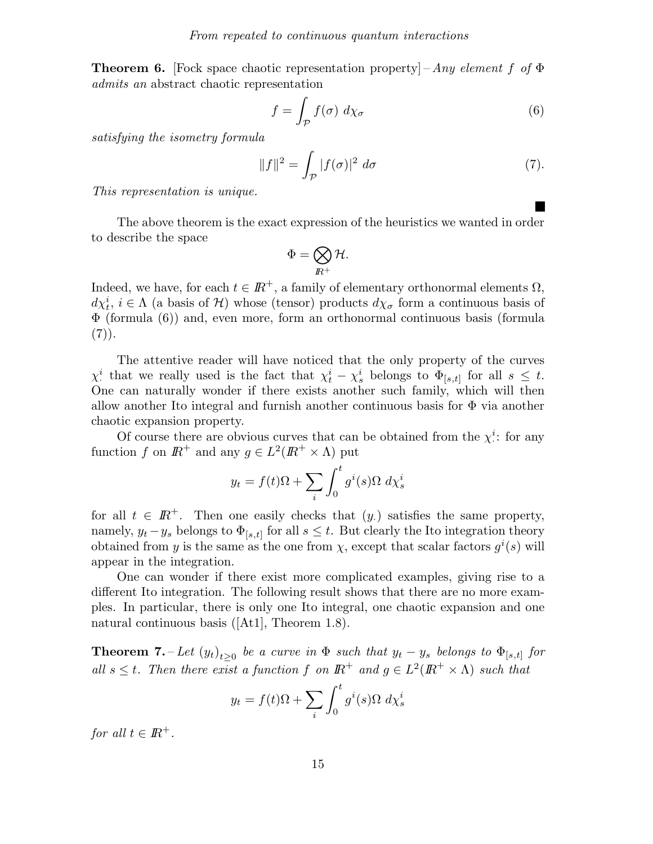**Theorem 6.** [Fock space chaotic representation property] – Any element f of  $\Phi$ admits an abstract chaotic representation

$$
f = \int_{\mathcal{P}} f(\sigma) \, d\chi_{\sigma} \tag{6}
$$

satisfying the isometry formula

$$
||f||^2 = \int_{\mathcal{P}} |f(\sigma)|^2 d\sigma \tag{7}.
$$

This representation is unique.

The above theorem is the exact expression of the heuristics we wanted in order to describe the space

$$
\Phi=\bigotimes_{I\!\!R^+} {\cal H}.
$$

Indeed, we have, for each  $t \in \mathbb{R}^+$ , a family of elementary orthonormal elements  $\Omega$ ,  $d\chi_t^i$ ,  $i \in \Lambda$  (a basis of  $\mathcal{H}$ ) whose (tensor) products  $d\chi_{\sigma}$  form a continuous basis of Φ (formula (6)) and, even more, form an orthonormal continuous basis (formula  $(7)$ .

The attentive reader will have noticed that the only property of the curves  $\chi^i_\cdot$ <sup>i</sup> that we really used is the fact that  $\chi_t^i - \chi_s^i$  belongs to  $\Phi_{[s,t]}$  for all  $s \leq t$ . One can naturally wonder if there exists another such family, which will then allow another Ito integral and furnish another continuous basis for  $\Phi$  via another chaotic expansion property.

Of course there are obvious curves that can be obtained from the  $\chi^i$ .  $\stackrel{i}{\therefore}$  for any function f on  $I\!\!R^+$  and any  $g \in L^2(I\!\!R^+ \times \Lambda)$  put

$$
y_t = f(t)\Omega + \sum_i \int_0^t g^i(s)\Omega \ d\chi_s^i
$$

for all  $t \in \mathbb{R}^+$ . Then one easily checks that  $(y)$  satisfies the same property, namely,  $y_t - y_s$  belongs to  $\Phi_{[s,t]}$  for all  $s \leq t$ . But clearly the Ito integration theory obtained from y is the same as the one from  $\chi$ , except that scalar factors  $g^{i}(s)$  will appear in the integration.

One can wonder if there exist more complicated examples, giving rise to a different Ito integration. The following result shows that there are no more examples. In particular, there is only one Ito integral, one chaotic expansion and one natural continuous basis ([At1], Theorem 1.8).

**Theorem 7.** – Let  $(y_t)_{t\geq 0}$  be a curve in  $\Phi$  such that  $y_t - y_s$  belongs to  $\Phi_{[s,t]}$  for all  $s \leq t$ . Then there exist a function f on  $\mathbb{R}^+$  and  $g \in L^2(\mathbb{R}^+ \times \Lambda)$  such that

$$
y_t = f(t)\Omega + \sum_i \int_0^t g^i(s)\Omega \ d\chi_s^i
$$

for all  $t \in \mathbb{R}^+$ .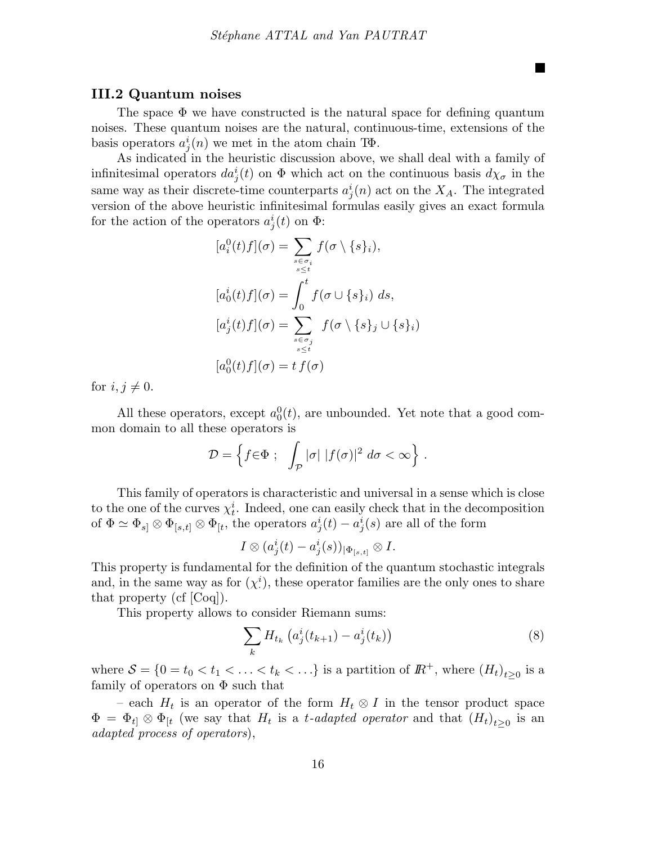#### III.2 Quantum noises

The space  $\Phi$  we have constructed is the natural space for defining quantum noises. These quantum noises are the natural, continuous-time, extensions of the basis operators  $a_j^i(n)$  we met in the atom chain T $\Phi$ .

As indicated in the heuristic discussion above, we shall deal with a family of infinitesimal operators  $da_j^i(t)$  on  $\Phi$  which act on the continuous basis  $d\chi_{\sigma}$  in the same way as their discrete-time counterparts  $a_j^i(n)$  act on the  $X_A$ . The integrated version of the above heuristic infinitesimal formulas easily gives an exact formula for the action of the operators  $a_j^i(t)$  on  $\Phi$ :

$$
[a_i^0(t)f](\sigma) = \sum_{\substack{s \in \sigma_i \\ s \le t}} f(\sigma \setminus \{s\}_i),
$$
  

$$
[a_0^i(t)f](\sigma) = \int_0^t f(\sigma \cup \{s\}_i) ds,
$$
  

$$
[a_j^i(t)f](\sigma) = \sum_{\substack{s \in \sigma_j \\ s \le t}} f(\sigma \setminus \{s\}_j \cup \{s\}_i)
$$
  

$$
[a_0^0(t)f](\sigma) = t f(\sigma)
$$

for  $i, j \neq 0$ .

All these operators, except  $a_0^0(t)$ , are unbounded. Yet note that a good common domain to all these operators is

$$
\mathcal{D} = \left\{ f \in \Phi \; ; \; \int_{\mathcal{P}} |\sigma| \; |f(\sigma)|^2 \; d\sigma < \infty \right\} \, .
$$

This family of operators is characteristic and universal in a sense which is close to the one of the curves  $\chi_t^i$ . Indeed, one can easily check that in the decomposition of  $\Phi \simeq \Phi_{s} \otimes \Phi_{[s,t]} \otimes \Phi_{[t]}$ , the operators  $a_j^i(t) - a_j^i(s)$  are all of the form

$$
I\otimes (a^i_j(t)-a^i_j(s))_{|\Phi_{[s,t]}}\otimes I.
$$

This property is fundamental for the definition of the quantum stochastic integrals and, in the same way as for  $(\chi^i)$ · ), these operator families are the only ones to share that property (cf [Coq]).

This property allows to consider Riemann sums:

$$
\sum_{k} H_{t_k} \left( a_j^i(t_{k+1}) - a_j^i(t_k) \right) \tag{8}
$$

where  $S = \{0 = t_0 < t_1 < \ldots < t_k < \ldots\}$  is a partition of  $\mathbb{R}^+$ , where  $(H_t)_{t \geq 0}$  is a family of operators on  $\Phi$  such that

– each  $H_t$  is an operator of the form  $H_t \otimes I$  in the tensor product space  $\Phi = \Phi_{t} \otimes \Phi_{t}$  (we say that  $H_t$  is a t-adapted operator and that  $(H_t)_{t \geq 0}$  is an adapted process of operators),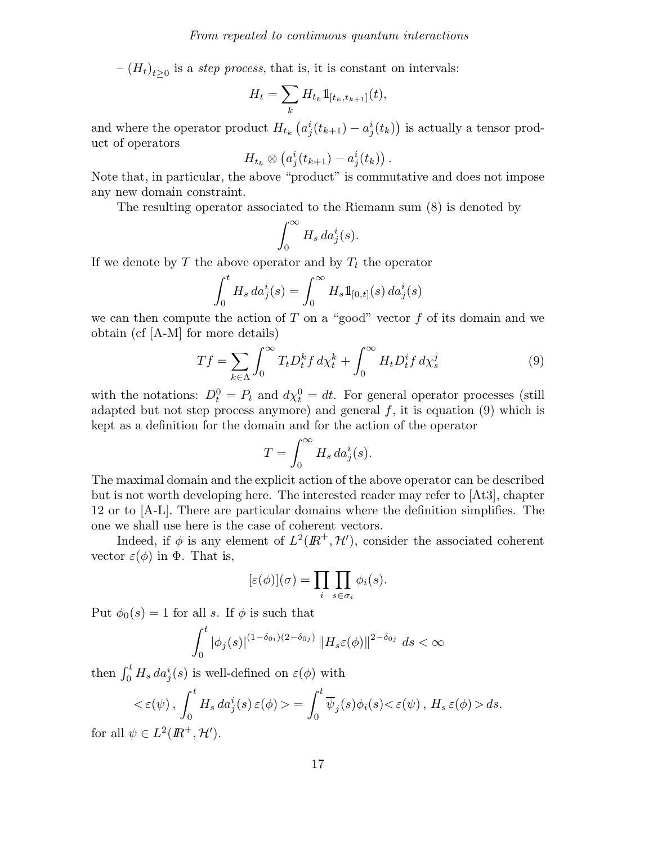$-(H_t)_{t\geq 0}$  is a *step process*, that is, it is constant on intervals:

$$
H_t = \sum_k H_{t_k} \mathbb{1}_{[t_k, t_{k+1}]}(t),
$$

and where the operator product  $H_{t_k}\left(a^i_j(t_{k+1}) - a^i_j(t_k)\right)$  is actually a tensor product of operators

$$
H_{t_k}\otimes\left(a^i_j(t_{k+1})-a^i_j(t_k)\right).
$$

Note that, in particular, the above "product" is commutative and does not impose any new domain constraint.

The resulting operator associated to the Riemann sum (8) is denoted by

$$
\int_0^\infty H_s\, da^i_j(s).
$$

If we denote by T the above operator and by  $T_t$  the operator

$$
\int_0^t H_s \, da_j^i(s) = \int_0^\infty H_s \mathbb{1}_{[0,t]}(s) \, da_j^i(s)
$$

we can then compute the action of T on a "good" vector  $f$  of its domain and we obtain (cf [A-M] for more details)

$$
Tf = \sum_{k \in \Lambda} \int_0^\infty T_t D_t^k f \, d\chi_t^k + \int_0^\infty H_t D_t^i f \, d\chi_s^j \tag{9}
$$

with the notations:  $D_t^0 = P_t$  and  $d\chi_t^0 = dt$ . For general operator processes (still adapted but not step process anymore) and general  $f$ , it is equation (9) which is kept as a definition for the domain and for the action of the operator

$$
T = \int_0^\infty H_s \, da^i_j(s).
$$

The maximal domain and the explicit action of the above operator can be described but is not worth developing here. The interested reader may refer to [At3], chapter 12 or to [A-L]. There are particular domains where the definition simplifies. The one we shall use here is the case of coherent vectors.

Indeed, if  $\phi$  is any element of  $L^2(\mathbb{R}^+, \mathcal{H}')$ , consider the associated coherent vector  $\varepsilon(\phi)$  in  $\Phi$ . That is,

$$
[\varepsilon(\phi)](\sigma) = \prod_i \prod_{s \in \sigma_i} \phi_i(s).
$$

Put  $\phi_0(s) = 1$  for all s. If  $\phi$  is such that

$$
\int_0^t |\phi_j(s)|^{(1-\delta_{0i})(2-\delta_{0j})} ||H_s \varepsilon(\phi)||^{2-\delta_{0j}} ds < \infty
$$

then  $\int_0^t H_s \, da_j^i(s)$  is well-defined on  $\varepsilon(\phi)$  with

$$
\langle \varepsilon(\psi), \int_0^t H_s \, da_j^i(s) \, \varepsilon(\phi) \rangle = \int_0^t \overline{\psi}_j(s) \phi_i(s) \langle \varepsilon(\psi), H_s \, \varepsilon(\phi) \rangle \, ds.
$$
  
 
$$
\psi \in L^2(\mathbb{R}^+ \, \mathcal{H}')
$$

for all  $\psi \in L^2(\mathbb{R}^+,\mathcal{H}').$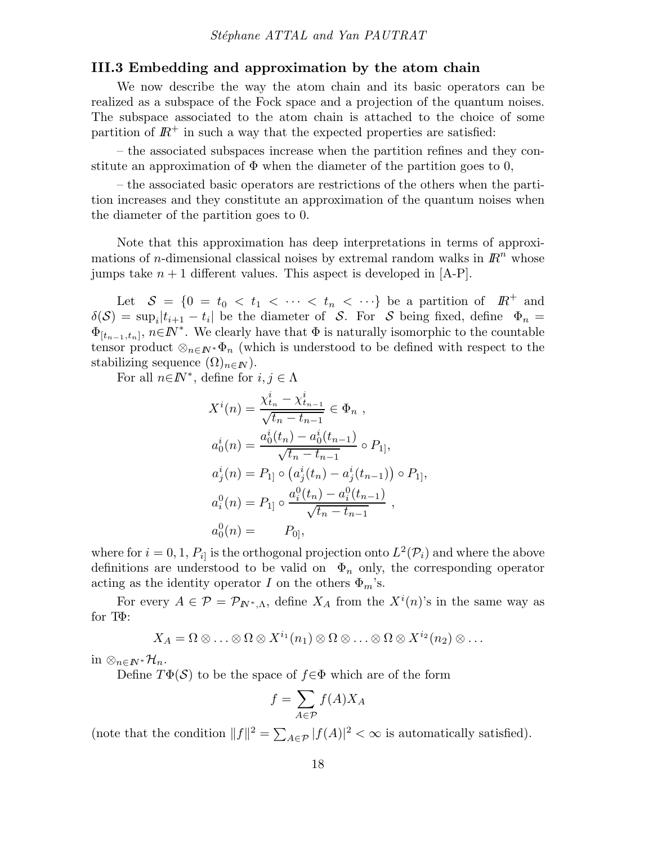#### III.3 Embedding and approximation by the atom chain

We now describe the way the atom chain and its basic operators can be realized as a subspace of the Fock space and a projection of the quantum noises. The subspace associated to the atom chain is attached to the choice of some partition of  $\mathbb{R}^+$  in such a way that the expected properties are satisfied:

– the associated subspaces increase when the partition refines and they constitute an approximation of  $\Phi$  when the diameter of the partition goes to 0,

– the associated basic operators are restrictions of the others when the partition increases and they constitute an approximation of the quantum noises when the diameter of the partition goes to 0.

Note that this approximation has deep interpretations in terms of approximations of *n*-dimensional classical noises by extremal random walks in  $\mathbb{R}^n$  whose jumps take  $n + 1$  different values. This aspect is developed in [A-P].

Let  $S = \{0 = t_0 < t_1 < \cdots < t_n < \cdots\}$  be a partition of  $\mathbb{R}^+$  and  $\delta(\mathcal{S}) = \sup_i |t_{i+1} - t_i|$  be the diameter of  $\mathcal{S}$ . For  $\mathcal{S}$  being fixed, define  $\Phi_n =$  $\Phi_{[t_{n-1},t_n]}, n \in \mathbb{N}^*$ . We clearly have that  $\Phi$  is naturally isomorphic to the countable tensor product  $\otimes_{n\in I\!\!N^*}\Phi_n$  (which is understood to be defined with respect to the stabilizing sequence  $(\Omega)_{n\in\mathbb{N}}$ .

For all  $n \in \mathbb{N}^*$ , define for  $i, j \in \Lambda$ 

$$
X^{i}(n) = \frac{\chi_{t_{n}}^{i} - \chi_{t_{n-1}}^{i}}{\sqrt{t_{n} - t_{n-1}}} \in \Phi_{n},
$$
  
\n
$$
a_{0}^{i}(n) = \frac{a_{0}^{i}(t_{n}) - a_{0}^{i}(t_{n-1})}{\sqrt{t_{n} - t_{n-1}}} \circ P_{1]},
$$
  
\n
$$
a_{j}^{i}(n) = P_{1} \circ (a_{j}^{i}(t_{n}) - a_{j}^{i}(t_{n-1})) \circ P_{1},
$$
  
\n
$$
a_{i}^{0}(n) = P_{1} \circ \frac{a_{i}^{0}(t_{n}) - a_{i}^{0}(t_{n-1})}{\sqrt{t_{n} - t_{n-1}}},
$$
  
\n
$$
a_{0}^{0}(n) = P_{0},
$$

where for  $i = 0, 1, P_{i}$  is the orthogonal projection onto  $L^2(\mathcal{P}_i)$  and where the above definitions are understood to be valid on  $\Phi_n$  only, the corresponding operator acting as the identity operator I on the others  $\Phi_m$ 's.

For every  $A \in \mathcal{P} = \mathcal{P}_{I\!\!N^*,\Lambda}$ , define  $X_A$  from the  $X^i(n)$ 's in the same way as for TΦ:

$$
X_A = \Omega \otimes \ldots \otimes \Omega \otimes X^{i_1}(n_1) \otimes \Omega \otimes \ldots \otimes \Omega \otimes X^{i_2}(n_2) \otimes \ldots
$$

in ⊗<sub>n∈IN</sub>\* $\mathcal{H}_n$ .

Define  $T\Phi(\mathcal{S})$  to be the space of  $f \in \Phi$  which are of the form

$$
f = \sum_{A \in \mathcal{P}} f(A) X_A
$$

(note that the condition  $||f||^2 = \sum_{A \in \mathcal{P}} |f(A)|^2 < \infty$  is automatically satisfied).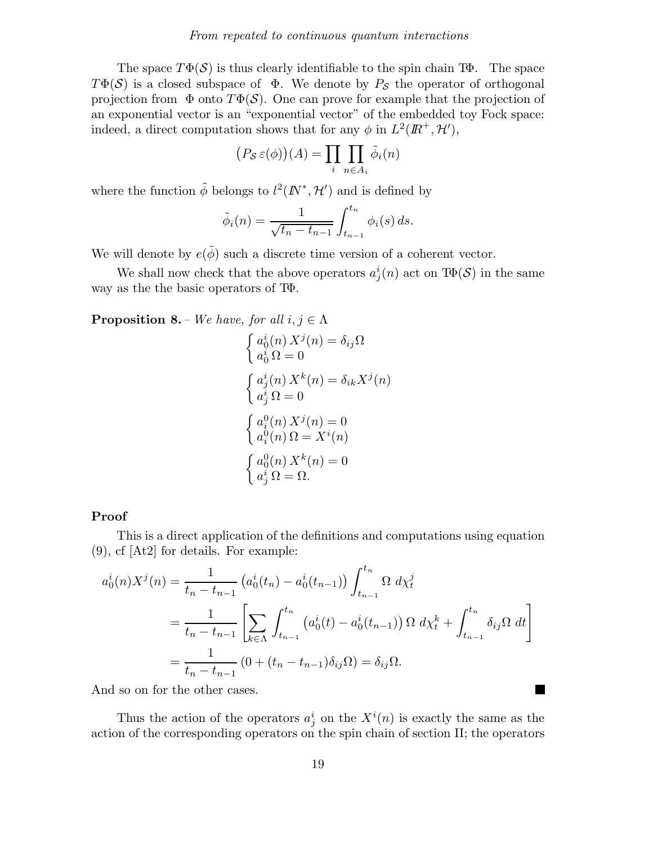The space  $T\Phi(\mathcal{S})$  is thus clearly identifiable to the spin chain T $\Phi$ . The space  $T\Phi(\mathcal{S})$  is a closed subspace of  $\Phi$ . We denote by  $P_{\mathcal{S}}$  the operator of orthogonal projection from  $\Phi$  onto  $T\Phi(\mathcal{S})$ . One can prove for example that the projection of an exponential vector is an "exponential vector" of the embedded toy Fock space: indeed, a direct computation shows that for any  $\phi$  in  $L^2(\mathbb{R}^+, \mathcal{H}')$ ,

$$
(P_{\mathcal{S}}\,\varepsilon(\phi))(A) = \prod_{i} \prod_{n \in A_i} \tilde{\phi}_i(n)
$$

where the function  $\tilde{\phi}$  belongs to  $l^2(I\!N^*, \mathcal{H}')$  and is defined by

$$
\tilde{\phi}_i(n) = \frac{1}{\sqrt{t_n - t_{n-1}}} \int_{t_{n-1}}^{t_n} \phi_i(s) \, ds.
$$

We will denote by  $e(\tilde{\phi})$  such a discrete time version of a coherent vector.

We shall now check that the above operators  $a_j^i(n)$  act on  $\text{Tr}(\mathcal{S})$  in the same way as the the basic operators of TΦ.

**Proposition 8.** – We have, for all  $i, j \in \Lambda$ 

$$
\begin{cases}\na_0^i(n) X^j(n) = \delta_{ij}\Omega \\
a_0^i \Omega = 0\n\end{cases}
$$
\n
$$
\begin{cases}\na_j^i(n) X^k(n) = \delta_{ik} X^j(n) \\
a_j^i \Omega = 0\n\end{cases}
$$
\n
$$
\begin{cases}\na_0^0(n) X^j(n) = 0 \\
a_0^0(n) \Omega = X^i(n) \\
a_j^i \Omega = \Omega.\n\end{cases}
$$

#### Proof

This is a direct application of the definitions and computations using equation (9), cf [At2] for details. For example:

$$
a_0^i(n)X^j(n) = \frac{1}{t_n - t_{n-1}} \left( a_0^i(t_n) - a_0^i(t_{n-1}) \right) \int_{t_{n-1}}^{t_n} \Omega \, d\chi_t^j
$$
  
= 
$$
\frac{1}{t_n - t_{n-1}} \left[ \sum_{k \in \Lambda} \int_{t_{n-1}}^{t_n} \left( a_0^i(t) - a_0^i(t_{n-1}) \right) \Omega \, d\chi_t^k + \int_{t_{n-1}}^{t_n} \delta_{ij} \Omega \, dt \right]
$$
  
= 
$$
\frac{1}{t_n - t_{n-1}} \left( 0 + (t_n - t_{n-1}) \delta_{ij} \Omega \right) = \delta_{ij} \Omega.
$$

And so on for the other cases.

Thus the action of the operators  $a_j^i$  on the  $X^i(n)$  is exactly the same as the action of the corresponding operators on the spin chain of section II; the operators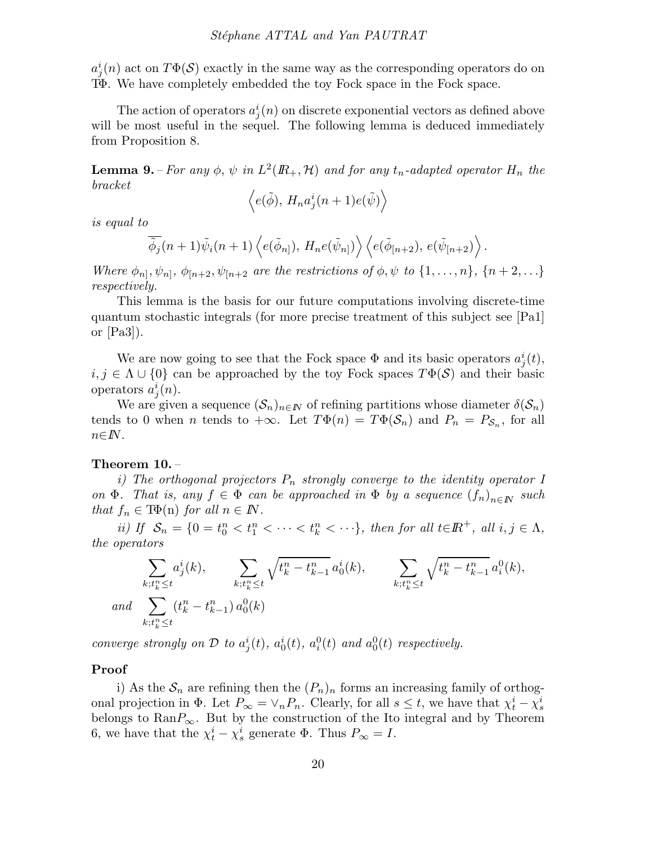$a_j^i(n)$  act on  $T\Phi(\mathcal{S})$  exactly in the same way as the corresponding operators do on TΦ. We have completely embedded the toy Fock space in the Fock space.

The action of operators  $a_j^i(n)$  on discrete exponential vectors as defined above will be most useful in the sequel. The following lemma is deduced immediately from Proposition 8.

**Lemma 9.** – For any  $\phi$ ,  $\psi$  in  $L^2(\mathbb{R}_+, \mathcal{H})$  and for any  $t_n$ -adapted operator  $H_n$  the bracket

$$
\left\langle e(\tilde{\phi}),\, H_n a^i_j(n+1)e(\tilde{\psi})\right\rangle
$$

is equal to

$$
\overline{\tilde{\phi}_j}(n+1)\tilde{\psi}_i(n+1)\left\langle e(\tilde{\phi}_{n]},\,H_n e(\tilde{\psi}_{n}]\right\rangle\left\langle e(\tilde{\phi}_{[n+2}),\,e(\tilde{\psi}_{[n+2})\right\rangle.
$$

Where  $\phi_{n}$ ,  $\psi_{n}$ ,  $\phi_{[n+2}, \psi_{[n+2]}$  are the restrictions of  $\phi$ ,  $\psi$  to  $\{1, \ldots, n\}$ ,  $\{n+2, \ldots\}$ respectively.

This lemma is the basis for our future computations involving discrete-time quantum stochastic integrals (for more precise treatment of this subject see [Pa1] or [Pa3]).

We are now going to see that the Fock space  $\Phi$  and its basic operators  $a_j^i(t)$ ,  $i, j \in \Lambda \cup \{0\}$  can be approached by the toy Fock spaces  $T\Phi(\mathcal{S})$  and their basic operators  $a_j^i(n)$ .

We are given a sequence  $(\mathcal{S}_n)_{n\in\mathbb{N}}$  of refining partitions whose diameter  $\delta(\mathcal{S}_n)$ tends to 0 when *n* tends to  $+\infty$ . Let  $T\Phi(n) = T\Phi(\mathcal{S}_n)$  and  $P_n = P_{\mathcal{S}_n}$ , for all  $n \in I\!\!N$ .

#### Theorem 10. –

i) The orthogonal projectors  $P_n$  strongly converge to the identity operator I on  $\Phi$ . That is, any  $f \in \Phi$  can be approached in  $\Phi$  by a sequence  $(f_n)_{n \in \mathbb{N}}$  such that  $f_n \in \text{TP}(n)$  for all  $n \in \mathbb{N}$ .

ii) If  $S_n = \{0 = t_0^n < t_1^n < \cdots < t_k^n < \cdots \}$ , then for all  $t \in \mathbb{R}^+$ , all  $i, j \in \Lambda$ , the operators

$$
\sum_{\substack{k;t_k^n \le t \\ \text{and} \\ k;t_k^n \le t}} a_j^i(k), \sum_{\substack{k;t_k^n \le t \\ k+1 \text{ odd}}} \sqrt{t_k^n - t_{k-1}^n} a_0^i(k), \sum_{\substack{k;t_k^n \le t \\ k;t_k^n \le t}} \sqrt{t_k^n - t_{k-1}^n} a_i^0(k),
$$

converge strongly on  $\mathcal D$  to  $a_j^i(t)$ ,  $a_0^i(t)$ ,  $a_i^0(t)$  and  $a_0^0(t)$  respectively.

#### Proof

i) As the  $S_n$  are refining then the  $(P_n)_n$  forms an increasing family of orthogonal projection in  $\Phi$ . Let  $P_{\infty} = \vee_n P_n$ . Clearly, for all  $s \leq t$ , we have that  $\chi_t^i - \chi_s^i$ belongs to  $\text{Ran}P_{\infty}$ . But by the construction of the Ito integral and by Theorem 6, we have that the  $\chi_t^i - \chi_s^i$  generate  $\Phi$ . Thus  $P_\infty = I$ .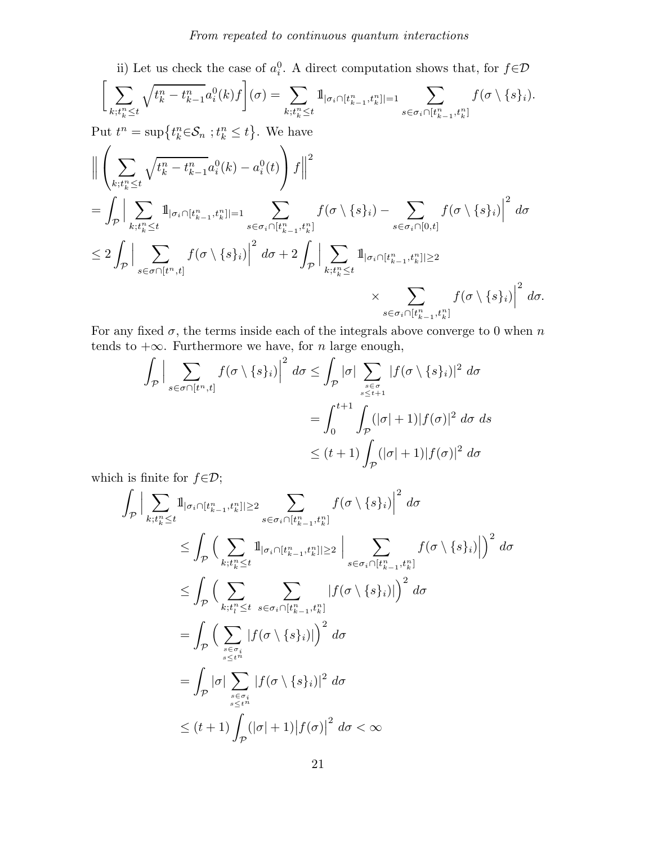ii) Let us check the case of  $a_i^0$ . A direct computation shows that, for  $f \in \mathcal{D}$ 

$$
\bigg[\sum_{k;t_k^n\leq t}\sqrt{t_k^n-t_{k-1}^n}a_i^0(k)f\bigg](\sigma)=\sum_{k;t_k^n\leq t}\mathbbm{1}_{|\sigma_i\cap[t_{k-1}^n,t_k^n]|=1}\sum_{s\in\sigma_i\cap[t_{k-1}^n,t_k^n]}f(\sigma\setminus\{s\}_i).
$$

Put  $t^n = \sup\{t_k^n \in \mathcal{S}_n : t_k^n \leq t\}$ . We have

$$
\begin{split}\n&\left\|\left(\sum_{k;t_{k}^{n}\leq t}\sqrt{t_{k}^{n}-t_{k-1}^{n}}a_{i}^{0}(k)-a_{i}^{0}(t)\right)f\right\|^{2} \\
&=\int_{\mathcal{P}}\Big|\sum_{k;t_{k}^{n}\leq t}\mathbb{1}_{|\sigma_{i}\cap[t_{k-1}^{n},t_{k}^{n}||=1}\sum_{s\in\sigma_{i}\cap[t_{k-1}^{n},t_{k}^{n}]}\left|f(\sigma\setminus\{s\}_{i})-\sum_{s\in\sigma_{i}\cap[0,t]}f(\sigma\setminus\{s\}_{i})\right|^{2}d\sigma \\
&\leq 2\int_{\mathcal{P}}\Big|\sum_{s\in\sigma\cap[t^{n},t]}\left|f(\sigma\setminus\{s\}_{i})\right|^{2}d\sigma + 2\int_{\mathcal{P}}\Big|\sum_{k;t_{k}^{n}\leq t}\mathbb{1}_{|\sigma_{i}\cap[t_{k-1}^{n},t_{k}^{n}||\geq 2} \\
&\times \sum_{s\in\sigma_{i}\cap[t_{k-1}^{n},t_{k}^{n}]}\left|f(\sigma\setminus\{s\}_{i})\right|^{2}d\sigma.\n\end{split}
$$

For any fixed  $\sigma$ , the terms inside each of the integrals above converge to 0 when n tends to  $+\infty$ . Furthermore we have, for *n* large enough,

$$
\int_{\mathcal{P}} \Big| \sum_{s \in \sigma \cap [t^n, t]} f(\sigma \setminus \{s\}_i) \Big|^2 d\sigma \le \int_{\mathcal{P}} |\sigma| \sum_{s \in \sigma \atop s \le t+1} |f(\sigma \setminus \{s\}_i)|^2 d\sigma
$$

$$
= \int_0^{t+1} \int_{\mathcal{P}} (|\sigma| + 1) |f(\sigma)|^2 d\sigma d\sigma
$$

$$
\le (t+1) \int_{\mathcal{P}} (|\sigma| + 1) |f(\sigma)|^2 d\sigma
$$

which is finite for  $f \in \mathcal{D}$ ;

$$
\int_{\mathcal{P}} \Big| \sum_{k;t_k^n \leq t} 1_{|\sigma_i \cap [t_{k-1}^n, t_k^n]| \geq 2} \sum_{s \in \sigma_i \cap [t_{k-1}^n, t_k^n]} f(\sigma \setminus \{s\}_i) \Big|^2 d\sigma
$$
\n
$$
\leq \int_{\mathcal{P}} \Big( \sum_{k;t_k^n \leq t} 1_{|\sigma_i \cap [t_{k-1}^n, t_k^n]| \geq 2} \Big| \sum_{s \in \sigma_i \cap [t_{k-1}^n, t_k^n]} f(\sigma \setminus \{s\}_i) \Big|^2 d\sigma
$$
\n
$$
\leq \int_{\mathcal{P}} \Big( \sum_{k;t_l^n \leq t} \sum_{s \in \sigma_i \cap [t_{k-1}^n, t_k^n]} |f(\sigma \setminus \{s\}_i)| \Big)^2 d\sigma
$$
\n
$$
= \int_{\mathcal{P}} \Big( \sum_{s \in \sigma_i \atop s \leq t^n} |f(\sigma \setminus \{s\}_i)| \Big)^2 d\sigma
$$
\n
$$
= \int_{\mathcal{P}} |\sigma| \sum_{s \in \sigma_i \atop s \leq t^n} |f(\sigma \setminus \{s\}_i)|^2 d\sigma
$$
\n
$$
\leq (t+1) \int_{\mathcal{P}} (|\sigma|+1) |f(\sigma)|^2 d\sigma < \infty
$$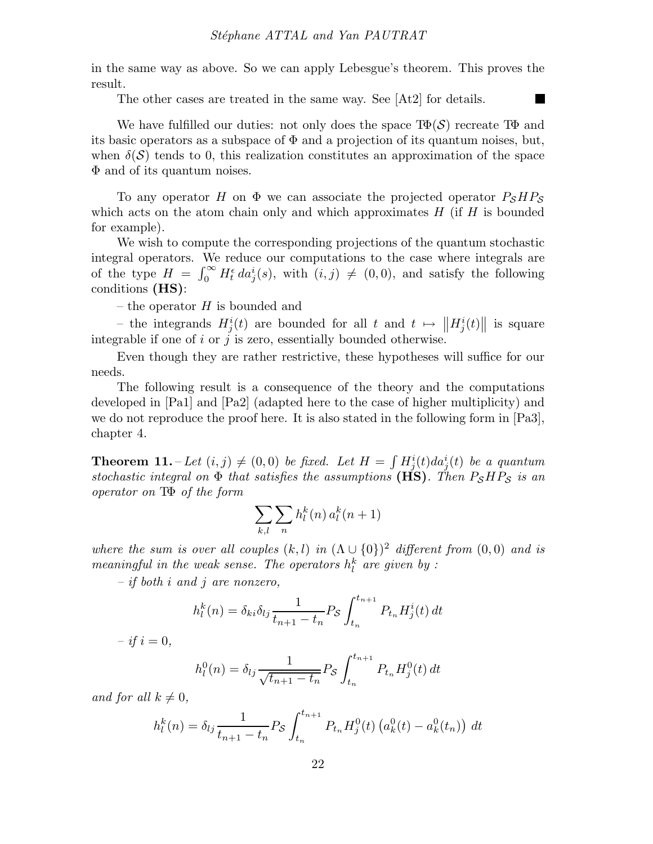in the same way as above. So we can apply Lebesgue's theorem. This proves the result.

П

The other cases are treated in the same way. See [At2] for details.

We have fulfilled our duties: not only does the space  $T\Phi(\mathcal{S})$  recreate T $\Phi$  and its basic operators as a subspace of  $\Phi$  and a projection of its quantum noises, but, when  $\delta(\mathcal{S})$  tends to 0, this realization constitutes an approximation of the space Φ and of its quantum noises.

To any operator H on  $\Phi$  we can associate the projected operator  $P_{\mathcal{S}}HP_{\mathcal{S}}$ which acts on the atom chain only and which approximates  $H$  (if  $H$  is bounded for example).

We wish to compute the corresponding projections of the quantum stochastic integral operators. We reduce our computations to the case where integrals are of the type  $H = \int_0^\infty H_t^{\epsilon} da_j^i(s)$ , with  $(i, j) \neq (0, 0)$ , and satisfy the following conditions (HS):

– the operator  $H$  is bounded and

- the integrands  $H_j^i(t)$  are bounded for all t and  $t \mapsto ||H_j^i(t)||$  is square integrable if one of i or j is zero, essentially bounded otherwise.

Even though they are rather restrictive, these hypotheses will suffice for our needs.

The following result is a consequence of the theory and the computations developed in [Pa1] and [Pa2] (adapted here to the case of higher multiplicity) and we do not reproduce the proof here. It is also stated in the following form in [Pa3], chapter 4.

**Theorem 11.**  $-\text{Let } (i, j) \neq (0, 0)$  be fixed. Let  $H = \int H_j^i(t) da_j^i(t)$  be a quantum stochastic integral on  $\Phi$  that satisfies the assumptions (HS). Then  $P_{\mathcal{S}}HP_{\mathcal{S}}$  is an operator on TΦ of the form

$$
\sum_{k,l}\sum_{n}h_l^k(n)\,a_l^k(n+1)
$$

where the sum is over all couples  $(k, l)$  in  $(\Lambda \cup \{0\})^2$  different from  $(0, 0)$  and is meaningful in the weak sense. The operators  $h_l^k$  are given by :

 $-$  if both i and j are nonzero,

$$
h_l^k(n) = \delta_{ki}\delta_{lj}\frac{1}{t_{n+1} - t_n} P_{\mathcal{S}} \int_{t_n}^{t_{n+1}} P_{t_n} H_j^i(t) dt
$$

 $- if i = 0,$ 

$$
h_l^0(n) = \delta_{lj} \frac{1}{\sqrt{t_{n+1} - t_n}} P_{\mathcal{S}} \int_{t_n}^{t_{n+1}} P_{t_n} H_j^0(t) dt
$$

and for all  $k \neq 0$ ,

$$
h_l^k(n) = \delta_{lj} \frac{1}{t_{n+1} - t_n} P_{\mathcal{S}} \int_{t_n}^{t_{n+1}} P_{t_n} H_j^0(t) \left( a_k^0(t) - a_k^0(t_n) \right) dt
$$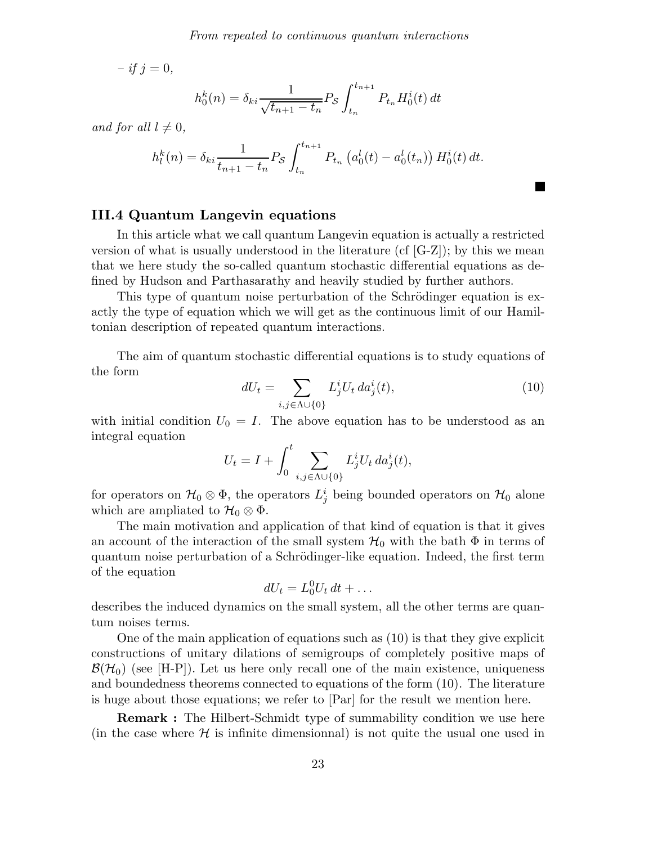$- if j = 0,$ 

$$
h_0^k(n) = \delta_{ki} \frac{1}{\sqrt{t_{n+1} - t_n}} P_{\mathcal{S}} \int_{t_n}^{t_{n+1}} P_{t_n} H_0^i(t) dt
$$

and for all  $l \neq 0$ ,

$$
h_l^k(n) = \delta_{ki} \frac{1}{t_{n+1} - t_n} P_{\mathcal{S}} \int_{t_n}^{t_{n+1}} P_{t_n} \left( a_0^l(t) - a_0^l(t_n) \right) H_0^i(t) dt.
$$

### III.4 Quantum Langevin equations

In this article what we call quantum Langevin equation is actually a restricted version of what is usually understood in the literature (cf  $[G-Z]$ ); by this we mean that we here study the so-called quantum stochastic differential equations as defined by Hudson and Parthasarathy and heavily studied by further authors.

This type of quantum noise perturbation of the Schrödinger equation is exactly the type of equation which we will get as the continuous limit of our Hamiltonian description of repeated quantum interactions.

The aim of quantum stochastic differential equations is to study equations of the form

$$
dU_t = \sum_{i,j \in \Lambda \cup \{0\}} L_j^i U_t \, da_j^i(t),\tag{10}
$$

with initial condition  $U_0 = I$ . The above equation has to be understood as an integral equation

$$
U_t = I + \int_0^t \sum_{i,j \in \Lambda \cup \{0\}} L_j^i U_t \, da_j^i(t),
$$

for operators on  $\mathcal{H}_0 \otimes \Phi$ , the operators  $L^i_j$  being bounded operators on  $\mathcal{H}_0$  alone which are ampliated to  $\mathcal{H}_0 \otimes \Phi$ .

The main motivation and application of that kind of equation is that it gives an account of the interaction of the small system  $\mathcal{H}_0$  with the bath  $\Phi$  in terms of quantum noise perturbation of a Schrödinger-like equation. Indeed, the first term of the equation

$$
dU_t = L_0^0 U_t dt + \dots
$$

describes the induced dynamics on the small system, all the other terms are quantum noises terms.

One of the main application of equations such as (10) is that they give explicit constructions of unitary dilations of semigroups of completely positive maps of  $\mathcal{B}(\mathcal{H}_0)$  (see [H-P]). Let us here only recall one of the main existence, uniqueness and boundedness theorems connected to equations of the form (10). The literature is huge about those equations; we refer to [Par] for the result we mention here.

**Remark :** The Hilbert-Schmidt type of summability condition we use here (in the case where  $\mathcal H$  is infinite dimensionnal) is not quite the usual one used in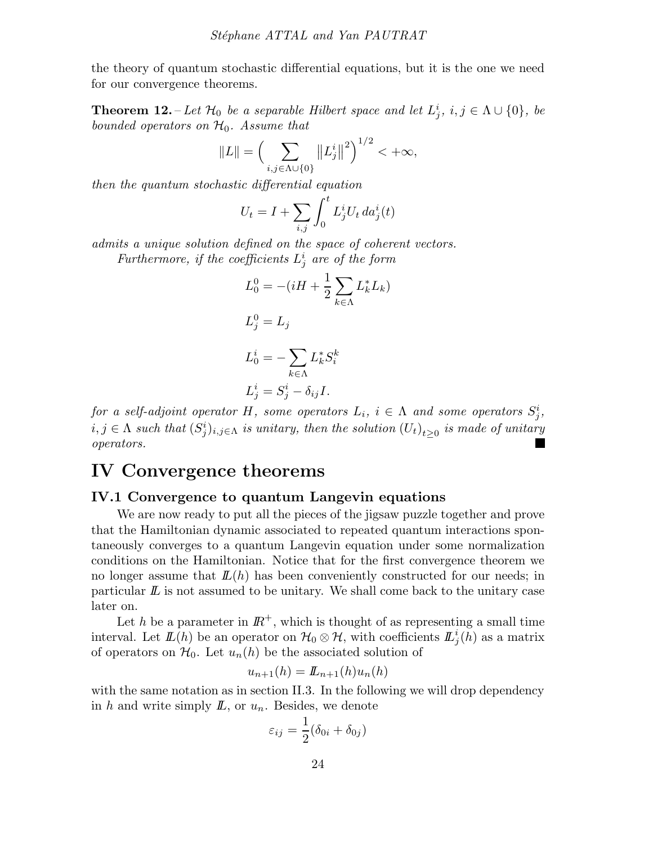the theory of quantum stochastic differential equations, but it is the one we need for our convergence theorems.

**Theorem 12.** – Let  $\mathcal{H}_0$  be a separable Hilbert space and let  $L^i_j$ ,  $i, j \in \Lambda \cup \{0\}$ , be bounded operators on  $\mathcal{H}_0$ . Assume that

$$
||L|| = \left(\sum_{i,j \in \Lambda \cup \{0\}} ||L_j^i||^2\right)^{1/2} < +\infty,
$$

then the quantum stochastic differential equation

$$
U_t = I + \sum_{i,j} \int_0^t L_j^i U_t \, da_j^i(t)
$$

admits a unique solution defined on the space of coherent vectors.

Furthermore, if the coefficients  $L^i_j$  are of the form

$$
L_0^0 = -(iH + \frac{1}{2} \sum_{k \in \Lambda} L_k^* L_k)
$$
  
\n
$$
L_j^0 = L_j
$$
  
\n
$$
L_0^i = -\sum_{k \in \Lambda} L_k^* S_i^k
$$
  
\n
$$
L_j^i = S_j^i - \delta_{ij} I.
$$

for a self-adjoint operator H, some operators  $L_i$ ,  $i \in \Lambda$  and some operators  $S_j^i$ ,  $i,j \in \Lambda$  such that  $(S_j^i)_{i,j \in \Lambda}$  is unitary, then the solution  $(U_t)_{t \geq 0}$  is made of unitary operators.

## IV Convergence theorems

### IV.1 Convergence to quantum Langevin equations

We are now ready to put all the pieces of the jigsaw puzzle together and prove that the Hamiltonian dynamic associated to repeated quantum interactions spontaneously converges to a quantum Langevin equation under some normalization conditions on the Hamiltonian. Notice that for the first convergence theorem we no longer assume that  $\mathcal{L}(h)$  has been conveniently constructed for our needs; in particular  $\mathbb L$  is not assumed to be unitary. We shall come back to the unitary case later on.

Let h be a parameter in  $\mathbb{R}^+$ , which is thought of as representing a small time interval. Let  $\mathbf{L}(h)$  be an operator on  $\mathcal{H}_0 \otimes \mathcal{H}$ , with coefficients  $\mathbf{L}^i_j(h)$  as a matrix of operators on  $\mathcal{H}_0$ . Let  $u_n(h)$  be the associated solution of

$$
u_{n+1}(h) = L_{n+1}(h)u_n(h)
$$

with the same notation as in section II.3. In the following we will drop dependency in h and write simply  $I\!L$ , or  $u_n$ . Besides, we denote

$$
\varepsilon_{ij} = \frac{1}{2} (\delta_{0i} + \delta_{0j})
$$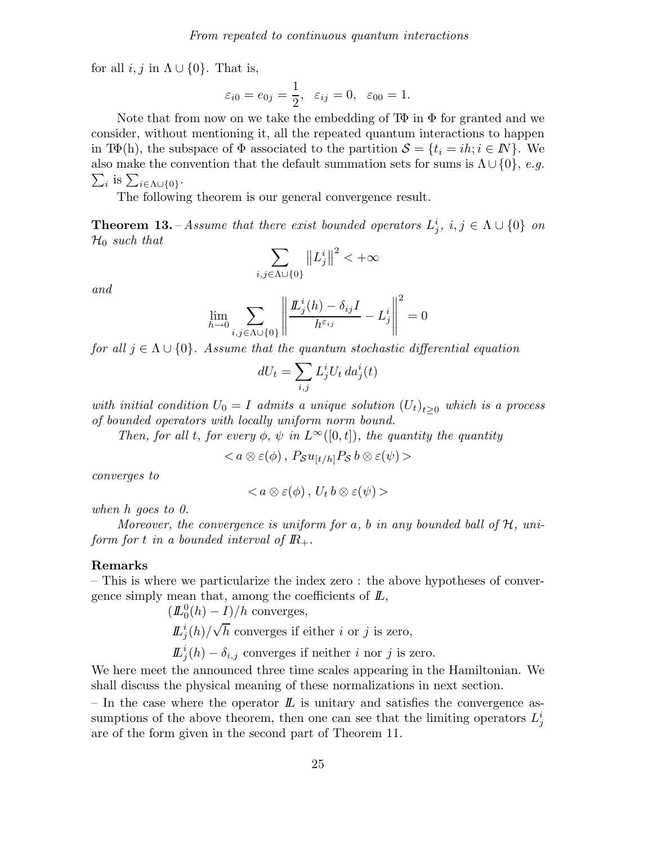for all  $i, j$  in  $\Lambda \cup \{0\}$ . That is,

$$
\varepsilon_{i0} = e_{0j} = \frac{1}{2}, \quad \varepsilon_{ij} = 0, \quad \varepsilon_{00} = 1.
$$

Note that from now on we take the embedding of  $T\Phi$  in  $\Phi$  for granted and we consider, without mentioning it, all the repeated quantum interactions to happen in T $\Phi(h)$ , the subspace of  $\Phi$  associated to the partition  $\mathcal{S} = \{t_i = ih; i \in \mathbb{N}\}\.$  We also make the convention that the default summation sets for sums is  $\Lambda \cup \{0\}$ , e.g.  $\sum_i$  is  $\sum_{i \in \Lambda \cup \{0\}}$ .

The following theorem is our general convergence result.

**Theorem 13.** – Assume that there exist bounded operators  $L_j^i$ ,  $i, j \in \Lambda \cup \{0\}$  on  $\mathcal{H}_0$  such that

$$
\sum_{i,j\in\Lambda\cup\{0\}}\left\|L^i_j\right\|^2<+\infty
$$

and

$$
\lim_{h \to 0} \sum_{i,j \in \Lambda \cup \{0\}} \left\| \frac{\underline{L}_j^i(h) - \delta_{ij}I}{h^{\varepsilon_{ij}}} - L_j^i \right\|^2 = 0
$$

for all  $j \in \Lambda \cup \{0\}$ . Assume that the quantum stochastic differential equation

$$
dU_t = \sum_{i,j} L^i_j U_t \, da^i_j(t)
$$

with initial condition  $U_0 = I$  admits a unique solution  $(U_t)_{t>0}$  which is a process of bounded operators with locally uniform norm bound.

Then, for all t, for every  $\phi$ ,  $\psi$  in  $L^{\infty}([0,t])$ , the quantity the quantity

 $< a \otimes \varepsilon(\phi)$ ,  $P_S u_{[t/h]} P_S b \otimes \varepsilon(\psi) >$ 

converges to

$$
\langle a\otimes \varepsilon(\phi),\,U_t\,b\otimes \varepsilon(\psi)\rangle
$$

when h goes to 0.

Moreover, the convergence is uniform for a, b in any bounded ball of  $H$ , uniform for t in a bounded interval of  $\mathbb{R}_+$ .

#### Remarks

– This is where we particularize the index zero : the above hypotheses of convergence simply mean that, among the coefficients of  $L$ ,

$$
(L_0^0(h) - I)/h
$$
 converges,  
\n $L_j^i(h)/\sqrt{h}$  converges if either *i* or *j* is zero,  
\n $L_j^i(h) - \delta_{i,j}$  converges if neither *i* nor *j* is zero.

We here meet the announced three time scales appearing in the Hamiltonian. We shall discuss the physical meaning of these normalizations in next section.

– In the case where the operator  $\mathbb L$  is unitary and satisfies the convergence assumptions of the above theorem, then one can see that the limiting operators  $L_j^i$ are of the form given in the second part of Theorem 11.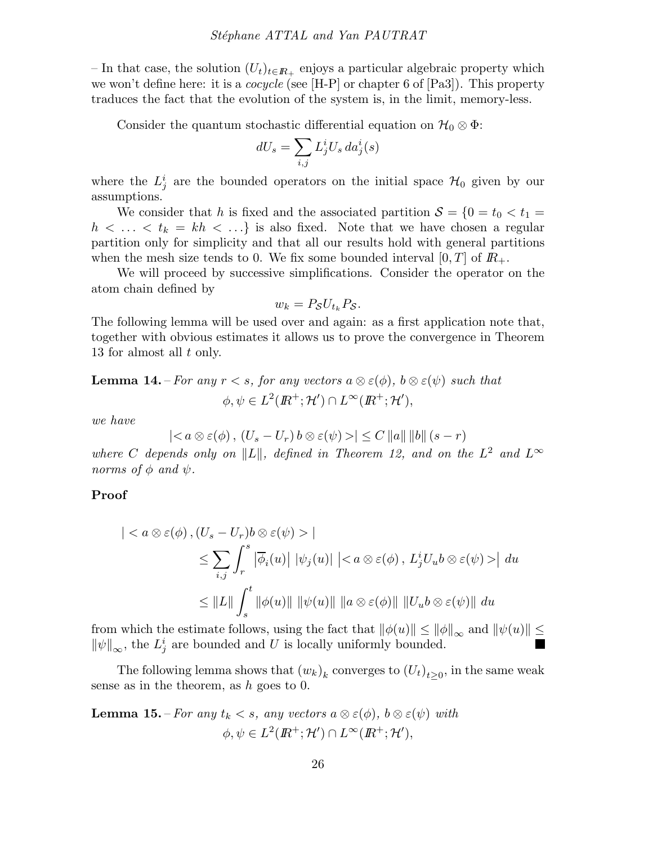– In that case, the solution  $(U_t)_{t\in\mathbb{R}_+}$  enjoys a particular algebraic property which we won't define here: it is a *cocycle* (see  $[H-P]$  or chapter 6 of  $[Pa3]$ ). This property traduces the fact that the evolution of the system is, in the limit, memory-less.

Consider the quantum stochastic differential equation on  $\mathcal{H}_0 \otimes \Phi$ :

$$
dU_s = \sum_{i,j} L_j^i U_s \, da_j^i(s)
$$

where the  $L_j^i$  are the bounded operators on the initial space  $\mathcal{H}_0$  given by our assumptions.

We consider that h is fixed and the associated partition  $S = \{0 = t_0 < t_1 =$  $h \lt \ldots \lt t_k = kh \lt \ldots$  is also fixed. Note that we have chosen a regular partition only for simplicity and that all our results hold with general partitions when the mesh size tends to 0. We fix some bounded interval  $[0, T]$  of  $\mathbb{R}_+$ .

We will proceed by successive simplifications. Consider the operator on the atom chain defined by

$$
w_k = P_{\mathcal{S}} U_{t_k} P_{\mathcal{S}}.
$$

The following lemma will be used over and again: as a first application note that, together with obvious estimates it allows us to prove the convergence in Theorem 13 for almost all t only.

**Lemma 14.** – For any 
$$
r < s
$$
, for any vectors  $a \otimes \varepsilon(\phi)$ ,  $b \otimes \varepsilon(\psi)$  such that  
\n $\phi, \psi \in L^2(\mathbb{R}^+; \mathcal{H}') \cap L^\infty(\mathbb{R}^+; \mathcal{H}'),$ 

we have

$$
|< a \otimes \varepsilon(\phi), (U_s - U_r) b \otimes \varepsilon(\psi) > | \leq C ||a|| ||b|| (s - r)
$$

where C depends only on  $||L||$ , defined in Theorem 12, and on the  $L^2$  and  $L^{\infty}$ norms of  $\phi$  and  $\psi$ .

Proof

$$
\begin{aligned} \left| &< a \otimes \varepsilon(\phi), (U_s - U_r)b \otimes \varepsilon(\psi) > \right| \\ &\leq \sum_{i,j} \int_r^s \left| \overline{\phi}_i(u) \right| \left| \psi_j(u) \right| \left| \leq a \otimes \varepsilon(\phi), L^i_j U_u b \otimes \varepsilon(\psi) > \right| \, du \\ &\leq \left\| L \right\| \int_s^t \left\| \phi(u) \right\| \, \left\| \psi(u) \right\| \, \left\| a \otimes \varepsilon(\phi) \right\| \, \left\| U_u b \otimes \varepsilon(\psi) \right\| \, du \end{aligned}
$$

from which the estimate follows, using the fact that  $\|\phi(u)\| \le \|\phi\|_{\infty}$  and  $\|\psi(u)\| \le$  $\|\psi\|_{\infty}$ , the  $L^i_j$  are bounded and U is locally uniformly bounded.

The following lemma shows that  $(w_k)_k$  converges to  $(U_t)_{t\geq 0}$ , in the same weak sense as in the theorem, as  $h$  goes to 0.

**Lemma 15.** – For any  $t_k < s$ , any vectors  $a \otimes \varepsilon(\phi)$ ,  $b \otimes \varepsilon(\psi)$  with  $\phi, \psi \in L^2(\mathbb{R}^+; \mathcal{H}') \cap L^\infty(\mathbb{R}^+; \mathcal{H}'),$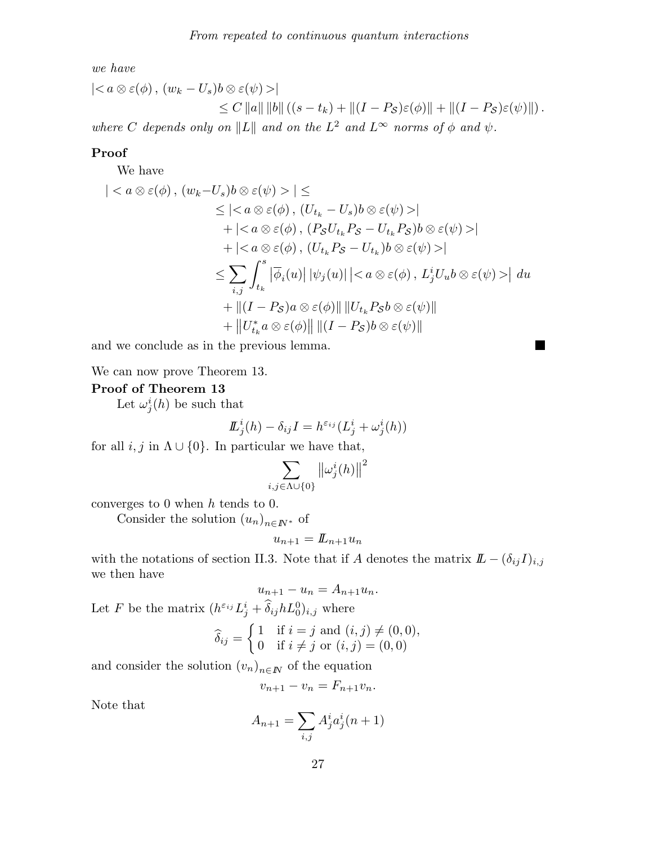we have

$$
\begin{aligned} \left| < a \otimes \varepsilon(\phi), (w_k - U_s)b \otimes \varepsilon(\psi) > \right| \\ &\leq C \left\|a\right\| \left\|b\right\| \left( (s - t_k) + \left\|(I - P_S)\varepsilon(\phi)\right\| + \left\|(I - P_S)\varepsilon(\psi)\right\| \right). \end{aligned}
$$

where C depends only on  $||L||$  and on the  $L^2$  and  $L^{\infty}$  norms of  $\phi$  and  $\psi$ .

#### Proof

We have

$$
\begin{aligned}\n|&|\leq \\
&\leq |&|\n\\ &+|&|\n\\ &+|&|\n\\ &\leq \sum_{i,j}\int_{t_k}^s |\overline{\phi}_i(u)|\,|\psi_j(u)|\,|&|\,du\n\\ &+||(I - P_S)a\otimes\varepsilon(\phi)||\,||U_{t_k} P_Sb\otimes\varepsilon(\psi)||\n\\ &+||U_{t_k}^* a\otimes\varepsilon(\phi)||\,||(I - P_S)b\otimes\varepsilon(\psi)||\n\end{aligned}
$$

H

and we conclude as in the previous lemma.

We can now prove Theorem 13.

### Proof of Theorem 13

Let  $\omega_j^i(h)$  be such that

$$
L_j^i(h) - \delta_{ij} I = h^{\varepsilon_{ij}}(L_j^i + \omega_j^i(h))
$$

for all  $i, j$  in  $\Lambda \cup \{0\}$ . In particular we have that,

$$
\sum_{i,j\in\Lambda\cup\{0\}}\left\|\omega_j^i(h)\right\|^2
$$

converges to  $0$  when  $h$  tends to  $0$ .

Consider the solution  $(u_n)_{n\in I\!\!N^*}$  of

$$
u_{n+1} = L_{n+1}u_n
$$

with the notations of section II.3. Note that if A denotes the matrix  $\mathbf{L} - (\delta_{ij} I)_{i,j}$ we then have

$$
u_{n+1} - u_n = A_{n+1}u_n.
$$

Let F be the matrix  $(h^{\varepsilon_{ij}}L_j^i + \hat{\delta}_{ij}hL_0^0)_{i,j}$  where

$$
\widehat{\delta}_{ij} = \begin{cases} 1 & \text{if } i = j \text{ and } (i, j) \neq (0, 0), \\ 0 & \text{if } i \neq j \text{ or } (i, j) = (0, 0) \end{cases}
$$

and consider the solution  $(v_n)_{n\in I\!\!N}$  of the equation

$$
v_{n+1} - v_n = F_{n+1}v_n.
$$

Note that

$$
A_{n+1} = \sum_{i,j} A_j^i a_j^i (n+1)
$$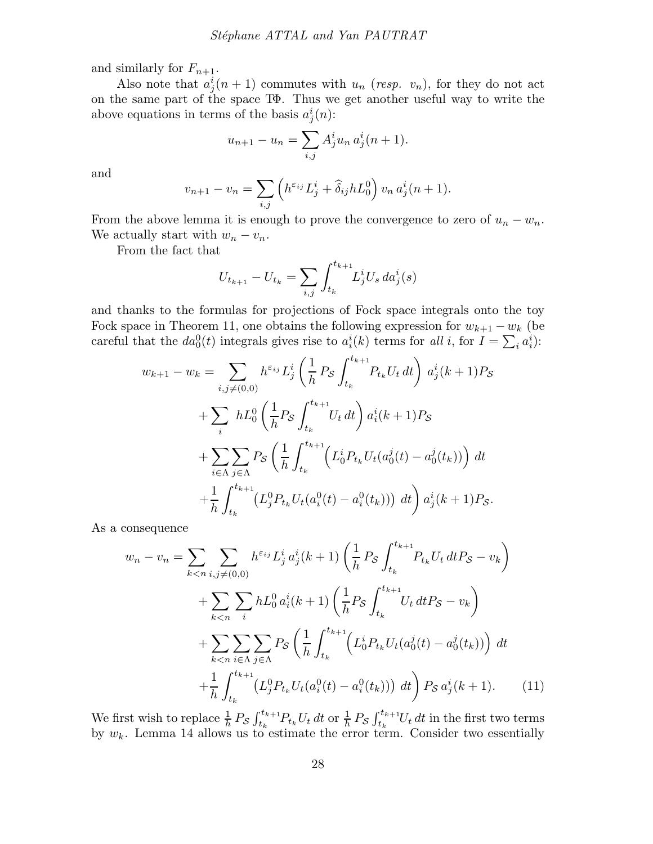and similarly for  $F_{n+1}$ .

Also note that  $a_j^i(n+1)$  commutes with  $u_n$  (resp.  $v_n$ ), for they do not act on the same part of the space TΦ. Thus we get another useful way to write the above equations in terms of the basis  $a_j^i(n)$ :

$$
u_{n+1} - u_n = \sum_{i,j} A_j^i u_n a_j^i (n+1).
$$

and

$$
v_{n+1} - v_n = \sum_{i,j} \left( h^{\varepsilon_{ij}} L_j^i + \widehat{\delta}_{ij} h L_0^0 \right) v_n a_j^i (n+1).
$$

From the above lemma it is enough to prove the convergence to zero of  $u_n - w_n$ . We actually start with  $w_n - v_n$ .

From the fact that

$$
U_{t_{k+1}} - U_{t_k} = \sum_{i,j} \int_{t_k}^{t_{k+1}} L_j^i U_s \, da_j^i(s)
$$

and thanks to the formulas for projections of Fock space integrals onto the toy Fock space in Theorem 11, one obtains the following expression for  $w_{k+1} - w_k$  (be careful that the  $da_0^0(t)$  integrals gives rise to  $a_i^i(k)$  terms for all i, for  $I = \sum_i a_i^i$ :

$$
w_{k+1} - w_k = \sum_{i,j \neq (0,0)} h^{\epsilon_{ij}} L_j^i \left( \frac{1}{h} P_S \int_{t_k}^{t_{k+1}} P_{t_k} U_t dt \right) a_j^i(k+1) P_S
$$
  
+ 
$$
\sum_i h L_0^0 \left( \frac{1}{h} P_S \int_{t_k}^{t_{k+1}} U_t dt \right) a_i^i(k+1) P_S
$$
  
+ 
$$
\sum_{i \in \Lambda} \sum_{j \in \Lambda} P_S \left( \frac{1}{h} \int_{t_k}^{t_{k+1}} \left( L_0^i P_{t_k} U_t (a_0^j(t) - a_0^j(t_k)) \right) dt
$$
  
+ 
$$
\frac{1}{h} \int_{t_k}^{t_{k+1}} \left( L_j^0 P_{t_k} U_t (a_i^0(t) - a_i^0(t_k)) \right) dt \right) a_j^i(k+1) P_S.
$$

As a consequence

$$
w_n - v_n = \sum_{k < n} \sum_{i,j \neq (0,0)} h^{\varepsilon_{ij}} L_j^i a_j^i (k+1) \left( \frac{1}{h} P_{\mathcal{S}} \int_{t_k}^{t_{k+1}} P_{t_k} U_t \, dt P_{\mathcal{S}} - v_k \right) + \sum_{k < n} \sum_i h L_0^0 a_i^i (k+1) \left( \frac{1}{h} P_{\mathcal{S}} \int_{t_k}^{t_{k+1}} U_t \, dt P_{\mathcal{S}} - v_k \right) + \sum_{k < n} \sum_{i \in \Lambda} \sum_{j \in \Lambda} P_{\mathcal{S}} \left( \frac{1}{h} \int_{t_k}^{t_{k+1}} \left( L_0^i P_{t_k} U_t (a_0^j(t) - a_0^j(t_k)) \right) dt + \frac{1}{h} \int_{t_k}^{t_{k+1}} \left( L_j^0 P_{t_k} U_t (a_i^0(t) - a_i^0(t_k)) \right) dt \right) P_{\mathcal{S}} a_j^i (k+1).
$$
 (11)

We first wish to replace  $\frac{1}{h} P_{\mathcal{S}} \int_{t_k}^{t_{k+1}} P_{t_k} U_t dt$  or  $\frac{1}{h} P_{\mathcal{S}} \int_{t_k}^{t_{k+1}} U_t dt$  in the first two terms by  $w_k$ . Lemma 14 allows us to estimate the error term. Consider two essentially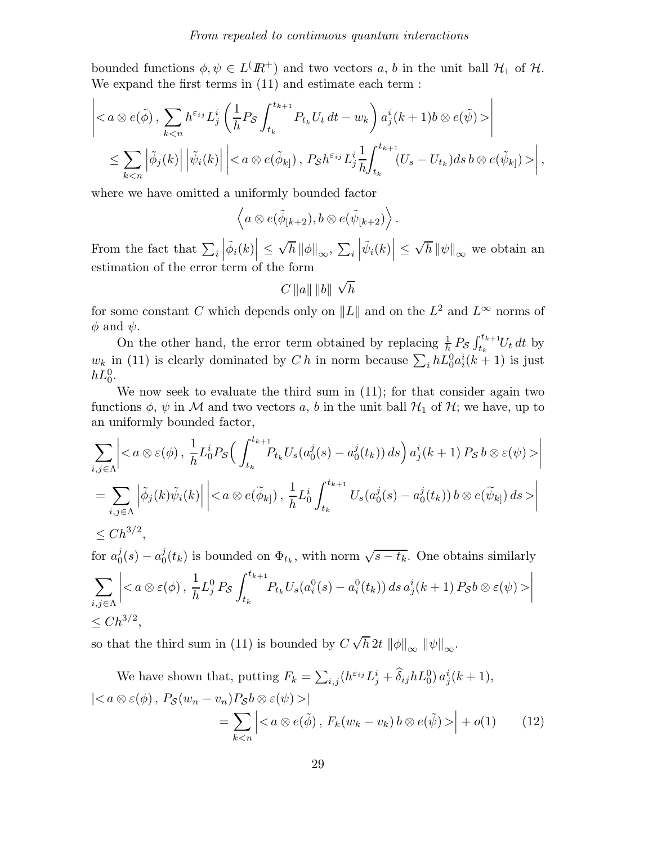bounded functions  $\phi, \psi \in L^{\prime}(I\!\!R^+)$  and two vectors a, b in the unit ball  $\mathcal{H}_1$  of  $\mathcal{H}_2$ . We expand the first terms in (11) and estimate each term :

$$
\left|\right|
$$
  

$$
\leq \sum_{k,\ P_{\mathcal{S}}h^{\varepsilon_{ij}}L_{j}^{i}\frac{1}{h}\int_{t_{k}}^{t_{k+1}}(U_{s}-U_{t_{k}})ds\,b\otimes e(\tilde{\psi}_{k})>\right|,
$$

where we have omitted a uniformly bounded factor

$$
\left\langle a\otimes e(\tilde{\phi}_{[k+2}),b\otimes e(\tilde{\psi}_{[k+2})\right\rangle.
$$

From the fact that  $\sum_i$  $\left| \tilde{\phi}_i(k) \right| \leq$  $\sqrt{h}\left\|\phi\right\|_{\infty},\ \sum_{i}$  $\left|\tilde{\psi}_i(k)\right| \leq$  $\sqrt{h}\left\Vert \psi\right\Vert _{\infty}$  we obtain an estimation of the error term of the form

$$
C\left\Vert a\right\Vert \left\Vert b\right\Vert \sqrt{h}
$$

for some constant C which depends only on  $||L||$  and on the  $L^2$  and  $L^{\infty}$  norms of  $\phi$  and  $\psi$ .

On the other hand, the error term obtained by replacing  $\frac{1}{h} P_{\mathcal{S}} \int_{t_k}^{t_{k+1}} U_t dt$  by  $w_k$  in (11) is clearly dominated by Ch in norm because  $\sum_i h L_0^0 a_i^i (k+1)$  is just  $hL_0^0$ .

We now seek to evaluate the third sum in (11); for that consider again two functions  $\phi$ ,  $\psi$  in M and two vectors a, b in the unit ball  $\mathcal{H}_1$  of  $\mathcal{H}$ ; we have, up to an uniformly bounded factor,

$$
\sum_{i,j\in\Lambda} \left| \right|
$$
\n
$$
= \sum_{i,j\in\Lambda} \left|\tilde{\phi}_j(k)\tilde{\psi}_i(k)\right|\left|\right|
$$
\n
$$
\leq Ch^{3/2},
$$

for  $a_0^j$  $j_0^j(s) - a_0^j$  $\psi_0^j(t_k)$  is bounded on  $\Phi_{t_k}$ , with norm  $\sqrt{s-t_k}$ . One obtains similarly  $\sum$  $i,j \in \Lambda$  $\Big|$ 1 h  $L^0_j$   $P_{\mathcal{S}}$  $\int_{}^{t_{k+1}}$  $t_k$  $P_{t_k} U_s(a_i^0(s) - a_i^0(t_k)) ds a_j^i(k+1) P_{\mathcal{S}} b \otimes \varepsilon(\psi) >$   $\leq Ch^{3/2},$ 

so that the third sum in (11) is bounded by  $C \sqrt{h} 2t \|\phi\|_{\infty} \|\psi\|_{\infty}$ .

We have shown that, putting  $F_k = \sum_{i,j} (h^{\varepsilon_{ij}} L_j^i + \widehat{\delta}_{ij} h L_0^0) a_j^i (k+1),$  $|\langle a\otimes \varepsilon(\phi), P_{\mathcal{S}}(w_n-v_n)P_{\mathcal{S}}b\otimes \varepsilon(\psi)\rangle|$  $=$   $\sum$  $k$  $\lt$ n  $\left| < a \otimes e(\tilde{\phi}), F_k(w_k - v_k) b \otimes e(\tilde{\psi}) > \right| + o(1)$  (12)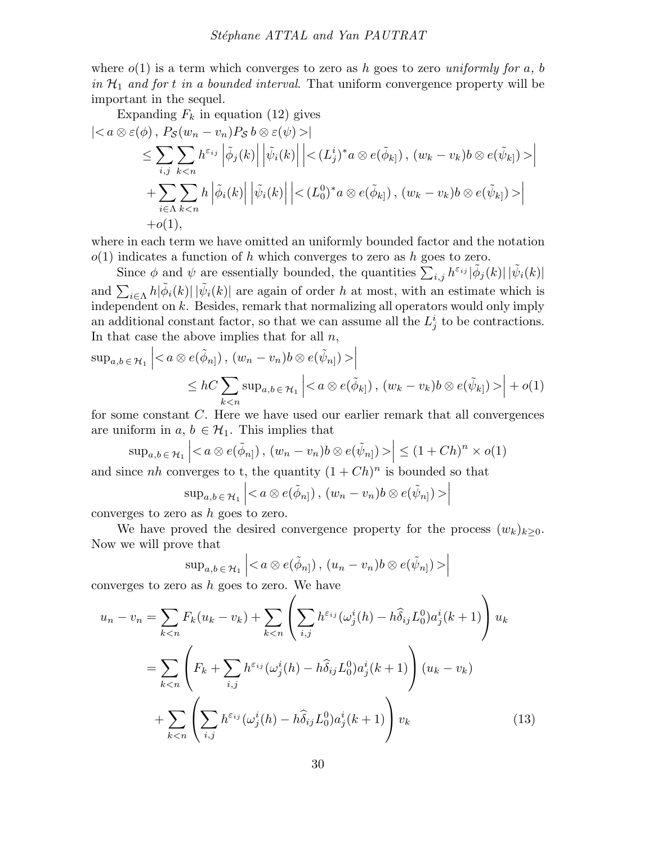where  $o(1)$  is a term which converges to zero as h goes to zero uniformly for a, b in  $\mathcal{H}_1$  and for t in a bounded interval. That uniform convergence property will be important in the sequel.

Expanding 
$$
F_k
$$
 in equation (12) gives  
\n
$$
\begin{aligned}\n&|< a \otimes \varepsilon(\phi), P_S(w_n - v_n) P_S b \otimes \varepsilon(\psi) > | \\
&\leq \sum_{i,j} \sum_{k < n} h^{\varepsilon_{ij}} \left| \tilde{\phi}_j(k) \right| \left| \tilde{\psi}_i(k) \right| \left| \leq (L^i_j)^* a \otimes e(\tilde{\phi}_{k}), (w_k - v_k) b \otimes e(\tilde{\psi}_{k}) > | \\
&+ \sum_{i \in \Lambda} \sum_{k < n} h \left| \tilde{\phi}_i(k) \right| \left| \tilde{\psi}_i(k) \right| \left| \leq (L^0_0)^* a \otimes e(\tilde{\phi}_{k}), (w_k - v_k) b \otimes e(\tilde{\psi}_{k}) > | \\
&+ o(1),\n\end{aligned}
$$

where in each term we have omitted an uniformly bounded factor and the notation  $o(1)$  indicates a function of h which converges to zero as h goes to zero.

Since  $\phi$  and  $\psi$  are essentially bounded, the quantities  $\sum_{i,j} h^{\varepsilon_{ij}} |\tilde{\phi}_j(k)| |\tilde{\psi}_i(k)|$ and  $\sum_{i\in\Lambda} h|\tilde{\phi}_i(k)| |\tilde{\psi}_i(k)|$  are again of order h at most, with an estimate which is independent on  $k$ . Besides, remark that normalizing all operators would only imply an additional constant factor, so that we can assume all the  $L_j^i$  to be contractions. In that case the above implies that for all  $n$ ,

$$
\sup_{a,b \in \mathcal{H}_1} \left| \left| \leq hC \sum\_{k < n} \sup\_{a,b \in \mathcal{H}\_1} \left| \right| + o\\(1\\)
$$

for some constant C. Here we have used our earlier remark that all convergences are uniform in  $a, b \in \mathcal{H}_1$ . This implies that

$$
\sup_{a,b\in\mathcal{H}_1}\left|< a\otimes e(\tilde{\phi}_{n}], (w_n-v_n)b\otimes e(\tilde{\psi}_{n}])>\right| \leq (1+Ch)^n \times o(1)
$$

and since nh converges to t, the quantity  $(1 + Ch)^n$  is bounded so that

$$
\sup\nolimits_{a,b\,\in\,\mathcal{H}_1}\Big|\!<\!a\otimes\mathit{e}(\tilde{\phi}_{n]})\,,\,(w_n-v_n)b\otimes\mathit{e}(\tilde{\psi}_{n]})>\Big|
$$

converges to zero as h goes to zero.

We have proved the desired convergence property for the process  $(w_k)_{k>0}$ . Now we will prove that

$$
\sup_{a,b\,\in\,\mathcal{H}_1}\left|<\,a\otimes e(\tilde{\phi}_{n]})\,,\,(u_n-v_n)b\otimes e(\tilde{\psi}_{n]})>\right|
$$

converges to zero as  $h$  goes to zero. We have

$$
u_n - v_n = \sum_{k < n} F_k(u_k - v_k) + \sum_{k < n} \left( \sum_{i,j} h^{\varepsilon_{ij}} (\omega_j^i(h) - h \hat{\delta}_{ij} L_0^0) a_j^i(k+1) \right) u_k
$$
\n
$$
= \sum_{k < n} \left( F_k + \sum_{i,j} h^{\varepsilon_{ij}} (\omega_j^i(h) - h \hat{\delta}_{ij} L_0^0) a_j^i(k+1) \right) (u_k - v_k)
$$
\n
$$
+ \sum_{k < n} \left( \sum_{i,j} h^{\varepsilon_{ij}} (\omega_j^i(h) - h \hat{\delta}_{ij} L_0^0) a_j^i(k+1) \right) v_k \tag{13}
$$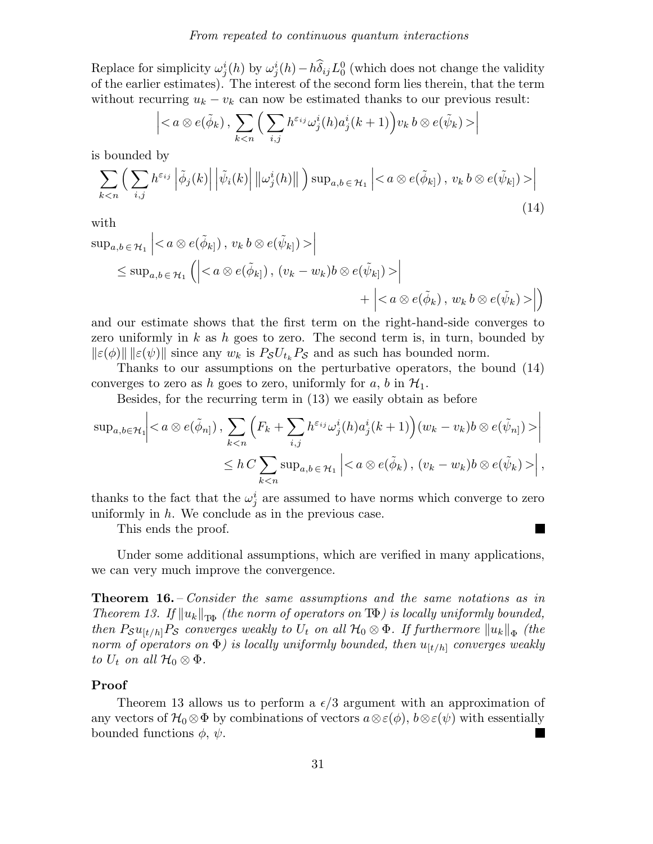Replace for simplicity  $\omega_j^i(h)$  by  $\omega_j^i(h) - h\delta_{ij}L_0^0$  (which does not change the validity of the earlier estimates). The interest of the second form lies therein, that the term without recurring  $u_k - v_k$  can now be estimated thanks to our previous result:

$$
\left|< a\otimes e(\tilde{\phi}_k)\, ,\, \sum_{k\right|
$$

is bounded by

$$
\sum_{k < n} \left( \sum_{i,j} h^{\varepsilon_{ij}} \left| \tilde{\phi}_j(k) \right| \left| \tilde{\psi}_i(k) \right| \left\| \omega_j^i(h) \right\| \right) \sup_{a,b \in \mathcal{H}_1} \left| < a \otimes e(\tilde{\phi}_{k|}), \ v_k \ b \otimes e(\tilde{\psi}_{k|}) > \right| \tag{14}
$$

with

$$
\sup_{a,b \in \mathcal{H}_1} \left| \left| \right\}
$$
  
\n
$$
\leq \sup_{a,b \in \mathcal{H}_1} \left( \left| \left| \right.\right.\n+ \left| \left| \right.\right\\)
$$

and our estimate shows that the first term on the right-hand-side converges to zero uniformly in k as h goes to zero. The second term is, in turn, bounded by  $\|\varepsilon(\phi)\|$   $\|\varepsilon(\psi)\|$  since any  $w_k$  is  $P_{\mathcal{S}} U_{t_k} P_{\mathcal{S}}$  and as such has bounded norm.

Thanks to our assumptions on the perturbative operators, the bound (14) converges to zero as h goes to zero, uniformly for a, b in  $\mathcal{H}_1$ .

Besides, for the recurring term in (13) we easily obtain as before

$$
\sup_{a,b\in\mathcal{H}_1}\Big| \Big|
$$
\n
$$
\leq h \, C \sum_{k \Big| \, ,
$$

thanks to the fact that the  $\omega_j^i$  are assumed to have norms which converge to zero uniformly in  $h$ . We conclude as in the previous case.

This ends the proof.

Under some additional assumptions, which are verified in many applications, we can very much improve the convergence.

Theorem 16. – Consider the same assumptions and the same notations as in Theorem 13. If  $||u_k||_{\text{TB}}$  (the norm of operators on T $\Phi$ ) is locally uniformly bounded, then  $P_{\mathcal{S}} u_{[t/h]} P_{\mathcal{S}}$  converges weakly to  $U_t$  on all  $\mathcal{H}_0\otimes \Phi$ . If furthermore  $\|u_k\|_{\Phi}$  (the norm of operators on  $\Phi$ ) is locally uniformly bounded, then  $u_{[t/h]}$  converges weakly to  $U_t$  on all  $\mathcal{H}_0 \otimes \Phi$ .

## Proof

Theorem 13 allows us to perform a  $\epsilon/3$  argument with an approximation of any vectors of  $\mathcal{H}_0 \otimes \Phi$  by combinations of vectors  $a \otimes \varepsilon(\phi)$ ,  $b \otimes \varepsilon(\psi)$  with essentially bounded functions  $\phi \circ \psi$ bounded functions  $\phi$ ,  $\psi$ .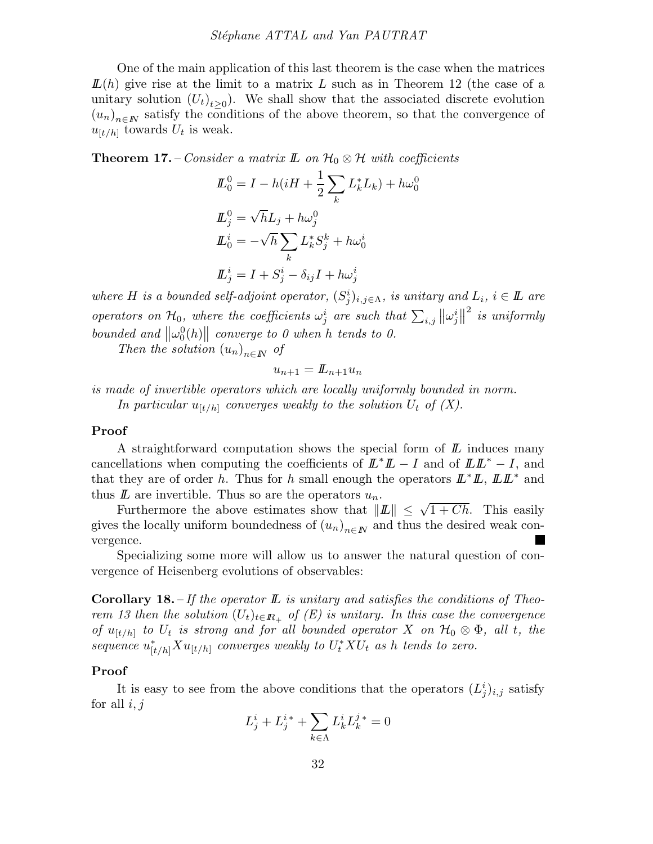One of the main application of this last theorem is the case when the matrices  $L(h)$  give rise at the limit to a matrix L such as in Theorem 12 (the case of a unitary solution  $(U_t)_{t\geq0}$ . We shall show that the associated discrete evolution  $(u_n)_{n\in\mathbb{N}}$  satisfy the conditions of the above theorem, so that the convergence of  $u_{\lbrack t/h\rbrack}$  towards  $U_t$  is weak.

**Theorem 17.** – Consider a matrix  $\mathbb{L}$  on  $\mathcal{H}_0 \otimes \mathcal{H}$  with coefficients

$$
\begin{aligned} \mathcal{L}_0^0 &= I - h(iH + \frac{1}{2} \sum_k L_k^* L_k) + h\omega_0^0 \\ \mathcal{L}_j^0 &= \sqrt{h}L_j + h\omega_j^0 \\ \mathcal{L}_0^i &= -\sqrt{h} \sum_k L_k^* S_j^k + h\omega_0^i \\ \mathcal{L}_j^i &= I + S_j^i - \delta_{ij} I + h\omega_j^i \end{aligned}
$$

where H is a bounded self-adjoint operator,  $(S_j^i)_{i,j \in \Lambda}$ , is unitary and  $L_i$ ,  $i \in \mathbb{L}$  are operators on  $\mathcal{H}_0$ , where the coefficients  $\omega_j^i$  are such that  $\sum_{i,j} ||\omega_j^i||$  $\frac{2}{3}$  is uniformly bounded and  $\|\omega_0^0(h)\|$  converge to 0 when h tends to 0.

Then the solution  $(u_n)_{n\in\mathbb{N}}$  of

$$
u_{n+1} = L_{n+1} u_n
$$

is made of invertible operators which are locally uniformly bounded in norm. In particular  $u_{[t/h]}$  converges weakly to the solution  $U_t$  of  $(X)$ .

#### Proof

A straightforward computation shows the special form of  $\mathbb{L}$  induces many cancellations when computing the coefficients of  $\mathbb{L}^* \mathbb{L} - I$  and of  $\mathbb{L} \mathbb{L}^* - I$ , and that they are of order h. Thus for h small enough the operators  $\mathbb{L}^* \mathbb{L}$ ,  $\mathbb{L} \mathbb{L}^*$  and thus  $\mathbb L$  are invertible. Thus so are the operators  $u_n$ .

Furthermore the above estimates show that  $||L|| \leq \sqrt{1 + Ch}$ . This easily gives the locally uniform boundedness of  $(u_n)_{n\in\mathbb{N}}$  and thus the desired weak convergence.

Specializing some more will allow us to answer the natural question of convergence of Heisenberg evolutions of observables:

**Corollary 18.** – If the operator  $\mathbb{L}$  is unitary and satisfies the conditions of Theorem 13 then the solution  $(U_t)_{t\in\mathbb{R}_+}$  of  $(E)$  is unitary. In this case the convergence of  $u_{[t/h]}$  to  $U_t$  is strong and for all bounded operator X on  $\mathcal{H}_0 \otimes \Phi$ , all t, the  $sequence\ u^*_{[t/h]}Xu_{[t/h]}\ converges\ weakly\ to\ U^*_tXU_t\ as\ h\ tends\ to\ zero.$ 

#### Proof

It is easy to see from the above conditions that the operators  $(L_j^i)_{i,j}$  satisfy for all  $i, j$ 

$$
L_j^i + L_j^{i*} + \sum_{k \in \Lambda} L_k^i L_k^{j*} = 0
$$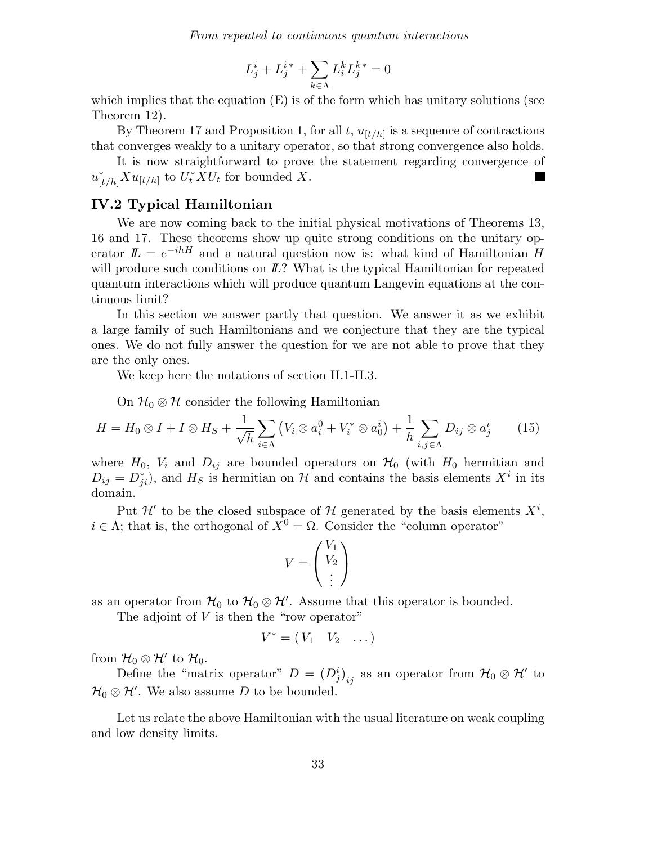$$
L_j^i + L_j^{i*} + \sum_{k \in \Lambda} L_i^k L_j^{k*} = 0
$$

which implies that the equation  $(E)$  is of the form which has unitary solutions (see Theorem 12).

By Theorem 17 and Proposition 1, for all  $t$ ,  $u_{[t/h]}$  is a sequence of contractions that converges weakly to a unitary operator, so that strong convergence also holds.

It is now straightforward to prove the statement regarding convergence of  $u_{[t/h]}^* X u_{[t/h]}$  to  $U_t^* X U_t$  for bounded X. **The State** 

## IV.2 Typical Hamiltonian

We are now coming back to the initial physical motivations of Theorems 13, 16 and 17. These theorems show up quite strong conditions on the unitary operator  $\mathbf{L} = e^{-ihH}$  and a natural question now is: what kind of Hamiltonian H will produce such conditions on  $\mathbb{L}$ ? What is the typical Hamiltonian for repeated quantum interactions which will produce quantum Langevin equations at the continuous limit?

In this section we answer partly that question. We answer it as we exhibit a large family of such Hamiltonians and we conjecture that they are the typical ones. We do not fully answer the question for we are not able to prove that they are the only ones.

We keep here the notations of section II.1-II.3.

On  $\mathcal{H}_0 \otimes \mathcal{H}$  consider the following Hamiltonian

$$
H = H_0 \otimes I + I \otimes H_S + \frac{1}{\sqrt{h}} \sum_{i \in \Lambda} \left( V_i \otimes a_i^0 + V_i^* \otimes a_0^i \right) + \frac{1}{h} \sum_{i,j \in \Lambda} D_{ij} \otimes a_j^i \tag{15}
$$

where  $H_0$ ,  $V_i$  and  $D_{ij}$  are bounded operators on  $\mathcal{H}_0$  (with  $H_0$  hermitian and  $D_{ij} = D_{ji}^*$ , and  $H_S$  is hermitian on  $\mathcal H$  and contains the basis elements  $X^i$  in its domain.

Put  $\mathcal{H}'$  to be the closed subspace of  $\mathcal{H}$  generated by the basis elements  $X^i$ ,  $i \in \Lambda$ ; that is, the orthogonal of  $X^0 = \Omega$ . Consider the "column operator"

$$
V = \begin{pmatrix} V_1 \\ V_2 \\ \vdots \end{pmatrix}
$$

as an operator from  $\mathcal{H}_0$  to  $\mathcal{H}_0 \otimes \mathcal{H}'$ . Assume that this operator is bounded.

The adjoint of  $V$  is then the "row operator"

$$
V^* = (V_1 \quad V_2 \quad \dots)
$$

from  $\mathcal{H}_0\otimes\mathcal{H}'$  to  $\mathcal{H}_0$ .

Define the "matrix operator"  $D = (D_j^i)_{ij}$  as an operator from  $\mathcal{H}_0 \otimes \mathcal{H}'$  to  $\mathcal{H}_0 \otimes \mathcal{H}'$ . We also assume D to be bounded.

Let us relate the above Hamiltonian with the usual literature on weak coupling and low density limits.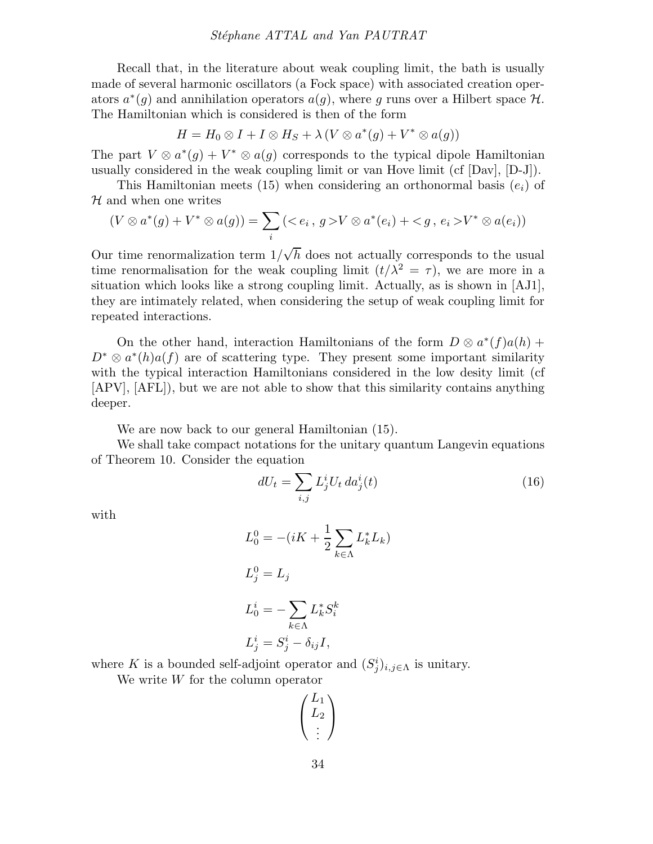#### Stéphane ATTAL and Yan PAUTRAT

Recall that, in the literature about weak coupling limit, the bath is usually made of several harmonic oscillators (a Fock space) with associated creation operators  $a^*(g)$  and annihilation operators  $a(g)$ , where g runs over a Hilbert space  $\mathcal{H}$ . The Hamiltonian which is considered is then of the form

$$
H = H_0 \otimes I + I \otimes H_S + \lambda (V \otimes a^*(g) + V^* \otimes a(g))
$$

The part  $V \otimes a^*(g) + V^* \otimes a(g)$  corresponds to the typical dipole Hamiltonian usually considered in the weak coupling limit or van Hove limit (cf [Dav], [D-J]).

This Hamiltonian meets (15) when considering an orthonormal basis  $(e_i)$  of  $H$  and when one writes

$$
(V \otimes a^*(g) + V^* \otimes a(g)) = \sum_i (\langle e_i, g \rangle V \otimes a^*(e_i) + \langle g, e_i \rangle V^* \otimes a(e_i))
$$

Our time renormalization term  $1/\sqrt{h}$  does not actually corresponds to the usual time renormalisation for the weak coupling limit  $(t/\lambda^2 = \tau)$ , we are more in a situation which looks like a strong coupling limit. Actually, as is shown in [AJ1], they are intimately related, when considering the setup of weak coupling limit for repeated interactions.

On the other hand, interaction Hamiltonians of the form  $D \otimes a^*(f)a(h) +$  $D^* \otimes a^*(h)a(f)$  are of scattering type. They present some important similarity with the typical interaction Hamiltonians considered in the low desity limit (cf [APV], [AFL]), but we are not able to show that this similarity contains anything deeper.

We are now back to our general Hamiltonian (15).

We shall take compact notations for the unitary quantum Langevin equations of Theorem 10. Consider the equation

$$
dU_t = \sum_{i,j} L_j^i U_t \, da_j^i(t) \tag{16}
$$

with

$$
L_0^0 = -(iK + \frac{1}{2} \sum_{k \in \Lambda} L_k^* L_k)
$$
  
\n
$$
L_j^0 = L_j
$$
  
\n
$$
L_0^i = -\sum_{k \in \Lambda} L_k^* S_i^k
$$
  
\n
$$
L_j^i = S_j^i - \delta_{ij} I,
$$

where K is a bounded self-adjoint operator and  $(S_j^i)_{i,j \in \Lambda}$  is unitary.

We write W for the column operator

$$
\begin{pmatrix}L_1\\L_2\\ \vdots\end{pmatrix}
$$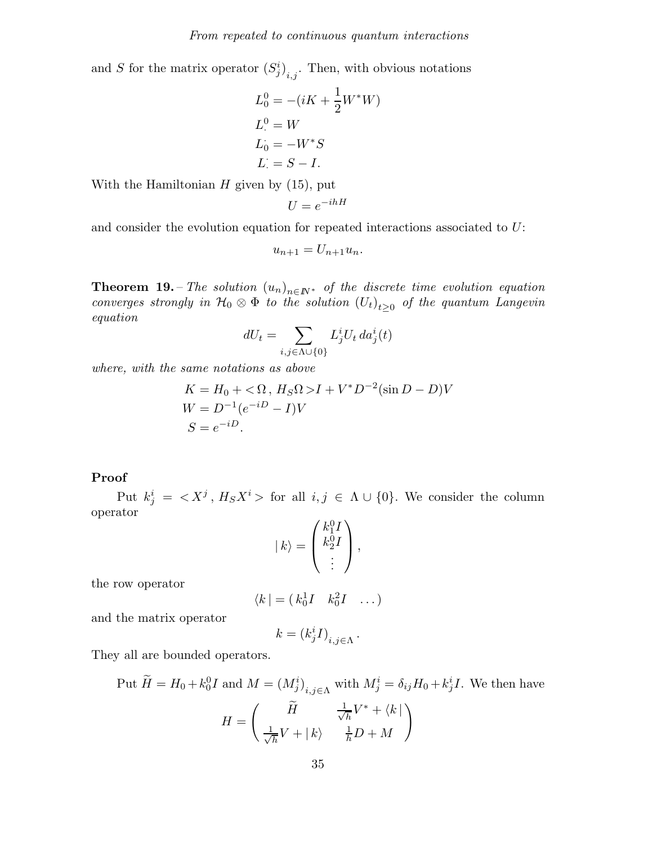and S for the matrix operator  $(S_j^i)_{i,j}$ . Then, with obvious notations

$$
L_0^0 = -(iK + \frac{1}{2}W^*W)
$$
  
\n
$$
L_0^0 = W
$$
  
\n
$$
L_0 = -W^*S
$$
  
\n
$$
L_0 = S - I.
$$

With the Hamiltonian  $H$  given by  $(15)$ , put

$$
U = e^{-ihH}
$$

and consider the evolution equation for repeated interactions associated to U:

$$
u_{n+1}=U_{n+1}u_n.
$$

**Theorem 19.** – The solution  $(u_n)_{n \in \mathbb{N}^*}$  of the discrete time evolution equation converges strongly in  $\mathcal{H}_0 \otimes \Phi$  to the solution  $(U_t)_{t\geq 0}$  of the quantum Langevin equation

$$
dU_t = \sum_{i,j \in \Lambda \cup \{0\}} L^i_j U_t \, da^i_j(t)
$$

where, with the same notations as above

$$
K = H_0 + \langle \Omega, H_S \Omega \rangle I + V^* D^{-2} (\sin D - D) V
$$
  
 
$$
W = D^{-1} (e^{-iD} - I) V
$$
  
 
$$
S = e^{-iD}.
$$

### Proof

Put  $k_j^i = \langle X^j, H_S X^i \rangle$  for all  $i, j \in \Lambda \cup \{0\}$ . We consider the column operator

$$
| k \rangle = \begin{pmatrix} k_1^0 I \\ k_2^0 I \\ \vdots \end{pmatrix},
$$

the row operator

$$
\langle k| = (k_0^1 I \quad k_0^2 I \quad \dots)
$$

and the matrix operator

$$
k = (k_j^i I)_{i,j \in \Lambda}.
$$

They all are bounded operators.

Put 
$$
\widetilde{H} = H_0 + k_0^0 I
$$
 and  $M = (M_j^i)_{i,j \in \Lambda}$  with  $M_j^i = \delta_{ij} H_0 + k_j^i I$ . We then have  
\n
$$
H = \begin{pmatrix} \widetilde{H} & \frac{1}{\sqrt{h}} V^* + \langle k | \\ \frac{1}{\sqrt{h}} V + |k \rangle & \frac{1}{h} D + M \end{pmatrix}
$$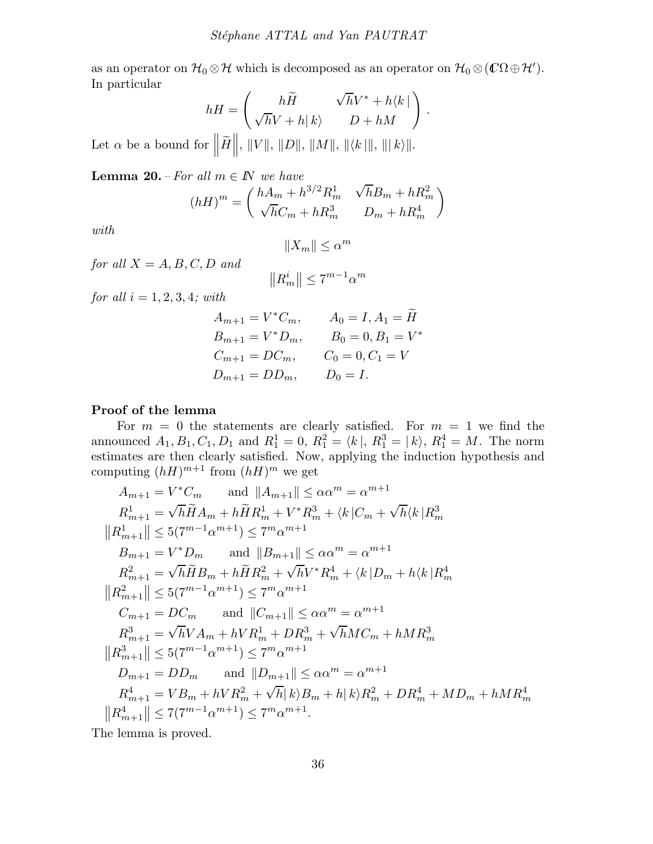as an operator on  $\mathcal{H}_0 \otimes \mathcal{H}$  which is decomposed as an operator on  $\mathcal{H}_0 \otimes (\mathbb{C}\Omega \oplus \mathcal{H}').$ In particular

$$
hH = \begin{pmatrix} h\widetilde{H} & \sqrt{h}V^* + h\langle k \mid \\ \sqrt{h}V + h \mid k \rangle & D + hM \end{pmatrix}.
$$

Let  $\alpha$  be a bound for  $\left\| \widetilde{H} \right\|$ ,  $\| V \|$ ,  $\| D \|$ ,  $\| M \|$ ,  $\| \langle k | \|$ ,  $\| | k \rangle \|$ .

**Lemma 20.** – For all  $m \in \mathbb{N}$  we have

$$
(hH)^m = \begin{pmatrix} hA_m + h^{3/2}R_m^1 & \sqrt{h}B_m + hR_m^2 \\ \sqrt{h}C_m + hR_m^3 & D_m + hR_m^4 \end{pmatrix}
$$

with

$$
||X_m|| \leq \alpha^m
$$

for all  $X = A, B, C, D$  and

$$
||R^i_m|| \leq 7^{m-1} \alpha^m
$$

for all  $i = 1, 2, 3, 4$ ; with

$$
A_{m+1} = V^* C_m, \t A_0 = I, A_1 = \widetilde{H}
$$
  
\n
$$
B_{m+1} = V^* D_m, \t B_0 = 0, B_1 = V^*
$$
  
\n
$$
C_{m+1} = DC_m, \t C_0 = 0, C_1 = V
$$
  
\n
$$
D_{m+1} = DD_m, \t D_0 = I.
$$

### Proof of the lemma

For  $m = 0$  the statements are clearly satisfied. For  $m = 1$  we find the announced  $A_1, B_1, C_1, D_1$  and  $R_1^1 = 0, R_1^2 = \langle k |, R_1^3 = | k \rangle, R_1^4 = M$ . The norm estimates are then clearly satisfied. Now, applying the induction hypothesis and computing  $(hH)^{m+1}$  from  $(hH)^m$  we get

$$
A_{m+1} = V^* C_m \quad \text{and } \|A_{m+1}\| \le \alpha \alpha^m = \alpha^{m+1}
$$
\n
$$
R_{m+1}^1 = \sqrt{h} \tilde{H} A_m + h \tilde{H} R_m^1 + V^* R_m^3 + \langle k | C_m + \sqrt{h} \langle k | R_m^3 \rangle
$$
\n
$$
||R_{m+1}^1|| \le 5(7^{m-1} \alpha^{m+1}) \le 7^m \alpha^{m+1}
$$
\n
$$
B_{m+1} = V^* D_m \quad \text{and } ||B_{m+1}|| \le \alpha \alpha^m = \alpha^{m+1}
$$
\n
$$
R_{m+1}^2 = \sqrt{h} \tilde{H} B_m + h \tilde{H} R_m^2 + \sqrt{h} V^* R_m^4 + \langle k | D_m + h \langle k | R_m^4 \rangle
$$
\n
$$
||R_{m+1}^2|| \le 5(7^{m-1} \alpha^{m+1}) \le 7^m \alpha^{m+1}
$$
\n
$$
C_{m+1} = DC_m \quad \text{and } ||C_{m+1}|| \le \alpha \alpha^m = \alpha^{m+1}
$$
\n
$$
R_{m+1}^3 = \sqrt{h} V A_m + h V R_m^1 + D R_m^3 + \sqrt{h} M C_m + h M R_m^3
$$
\n
$$
||R_{m+1}^3|| \le 5(7^{m-1} \alpha^{m+1}) \le 7^m \alpha^{m+1}
$$
\n
$$
D_{m+1} = DD_m \quad \text{and } ||D_{m+1}|| \le \alpha \alpha^m = \alpha^{m+1}
$$
\n
$$
R_{m+1}^4 = VB_m + h V R_m^2 + \sqrt{h} | k \rangle B_m + h | k \rangle R_m^2 + D R_m^4 + M D_m + h M R_m^4
$$
\n
$$
||R_{m+1}^4|| \le 7(7^{m-1} \alpha^{m+1}) \le 7^m \alpha^{m+1}.
$$

The lemma is proved.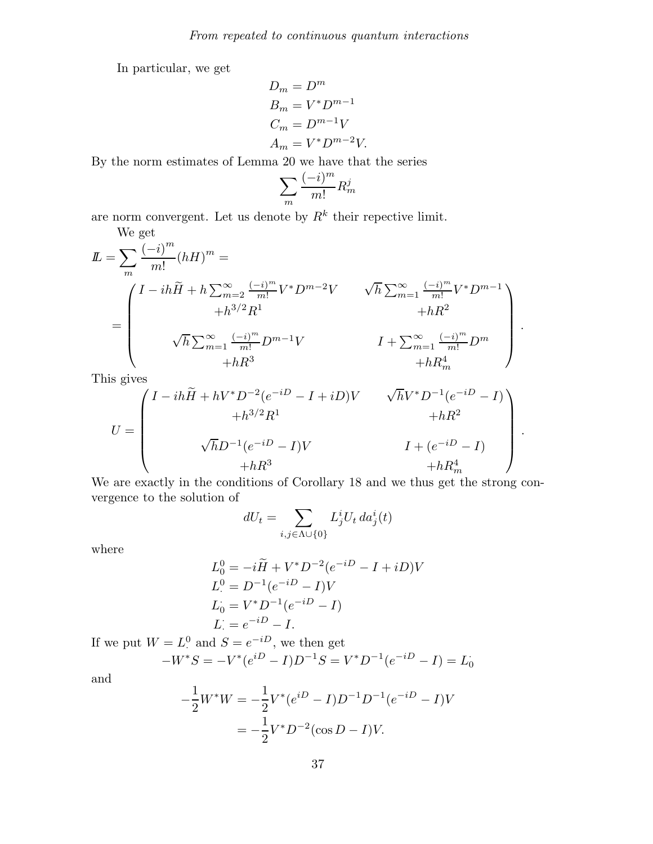In particular, we get

$$
D_m = D^m
$$
  
\n
$$
B_m = V^* D^{m-1}
$$
  
\n
$$
C_m = D^{m-1} V
$$
  
\n
$$
A_m = V^* D^{m-2} V.
$$

By the norm estimates of Lemma 20 we have that the series

$$
\sum_{m} \frac{(-i)^m}{m!} R_m^j
$$

are norm convergent. Let us denote by  $R^k$  their repective limit.

$$
L = \sum_{m} \frac{(-i)^m}{m!} (hH)^m =
$$
  
= 
$$
\begin{pmatrix} I - ih\widetilde{H} + h \sum_{m=2}^{\infty} \frac{(-i)^m}{m!} V^* D^{m-2} V & \sqrt{h} \sum_{m=1}^{\infty} \frac{(-i)^m}{m!} V^* D^{m-1} \\ + h^{3/2} R^1 & + hR^2 \\ \sqrt{h} \sum_{m=1}^{\infty} \frac{(-i)^m}{m!} D^{m-1} V & I + \sum_{m=1}^{\infty} \frac{(-i)^m}{m!} D^m \\ + hR^3 & + hR_m^4 \end{pmatrix}.
$$

This gives

$$
U = \begin{pmatrix} I - ih\widetilde{H} + hV^*D^{-2}(e^{-iD} - I + iD)V & \sqrt{h}V^*D^{-1}(e^{-iD} - I) \\ + h^{3/2}R^1 & + hR^2 \\ \sqrt{h}D^{-1}(e^{-iD} - I)V & I + (e^{-iD} - I) \\ + hR^3 & + hR_m^4 \end{pmatrix}.
$$

We are exactly in the conditions of Corollary 18 and we thus get the strong convergence to the solution of

$$
dU_t = \sum_{i,j \in \Lambda \cup \{0\}} L^i_j U_t \, da^i_j(t)
$$

where

$$
L_0^0 = -i\tilde{H} + V^* D^{-2} (e^{-iD} - I + iD)V
$$
  
\n
$$
L_-^0 = D^{-1} (e^{-iD} - I)V
$$
  
\n
$$
L_0 = V^* D^{-1} (e^{-iD} - I)
$$
  
\n
$$
L_-^0 = e^{-iD} - I.
$$

If we put  $W = L^0$ . <sup>0</sup> and  $S = e^{-iD}$ , we then get

$$
-W^*S = -V^*(e^{iD} - I)D^{-1}S = V^*D^{-1}(e^{-iD} - I) = L_0
$$

and

$$
-\frac{1}{2}W^*W = -\frac{1}{2}V^*(e^{iD} - I)D^{-1}D^{-1}(e^{-iD} - I)V
$$

$$
= -\frac{1}{2}V^*D^{-2}(\cos D - I)V.
$$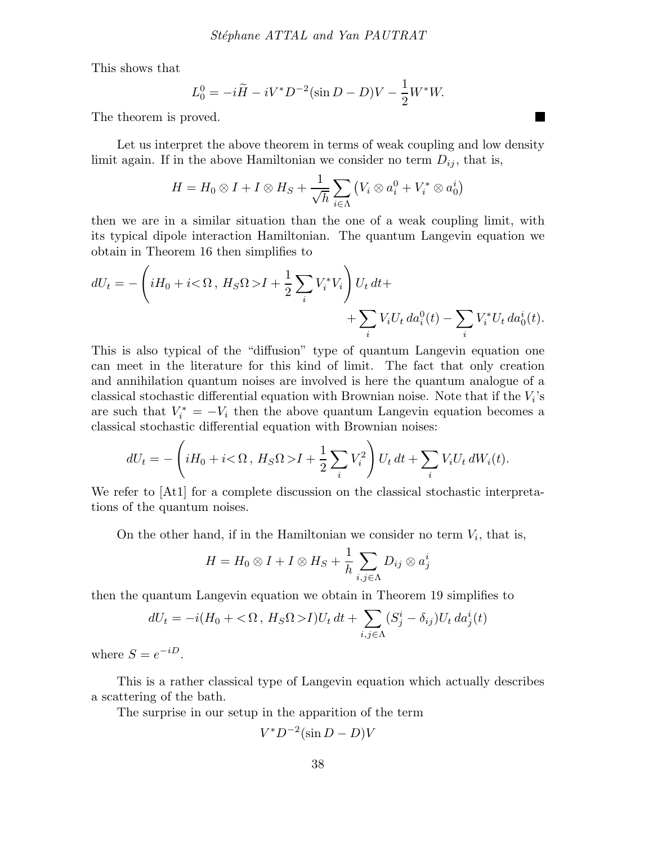This shows that

$$
L_0^0 = -i\tilde{H} - iV^*D^{-2}(\sin D - D)V - \frac{1}{2}W^*W.
$$

The theorem is proved.

Let us interpret the above theorem in terms of weak coupling and low density limit again. If in the above Hamiltonian we consider no term  $D_{ij}$ , that is,

$$
H = H_0 \otimes I + I \otimes H_S + \frac{1}{\sqrt{h}} \sum_{i \in \Lambda} (V_i \otimes a_i^0 + V_i^* \otimes a_0^i)
$$

then we are in a similar situation than the one of a weak coupling limit, with its typical dipole interaction Hamiltonian. The quantum Langevin equation we obtain in Theorem 16 then simplifies to

$$
dU_t = -\left(iH_0 + i\langle \Omega, H_S \Omega \rangle I + \frac{1}{2} \sum_i V_i^* V_i\right) U_t dt +
$$
  
+ 
$$
\sum_i V_i U_t d a_i^0(t) - \sum_i V_i^* U_t d a_0^i(t).
$$

This is also typical of the "diffusion" type of quantum Langevin equation one can meet in the literature for this kind of limit. The fact that only creation and annihilation quantum noises are involved is here the quantum analogue of a classical stochastic differential equation with Brownian noise. Note that if the  $V_i$ 's are such that  $V_i^* = -V_i$  then the above quantum Langevin equation becomes a classical stochastic differential equation with Brownian noises:

$$
dU_t = -\left(iH_0 + i\langle \Omega, H_S \Omega \rangle I + \frac{1}{2} \sum_i V_i^2\right) U_t dt + \sum_i V_i U_t dW_i(t).
$$

We refer to [At1] for a complete discussion on the classical stochastic interpretations of the quantum noises.

On the other hand, if in the Hamiltonian we consider no term  $V_i$ , that is,

$$
H = H_0 \otimes I + I \otimes H_S + \frac{1}{h} \sum_{i,j \in \Lambda} D_{ij} \otimes a_j^i
$$

then the quantum Langevin equation we obtain in Theorem 19 simplifies to

$$
dU_t = -i(H_0 + \langle \Omega, H_S \Omega \rangle I)U_t dt + \sum_{i,j \in \Lambda} (S_j^i - \delta_{ij})U_t da_j^i(t)
$$

where  $S = e^{-iD}$ .

This is a rather classical type of Langevin equation which actually describes a scattering of the bath.

The surprise in our setup in the apparition of the term

$$
V^* D^{-2} (\sin D - D)V
$$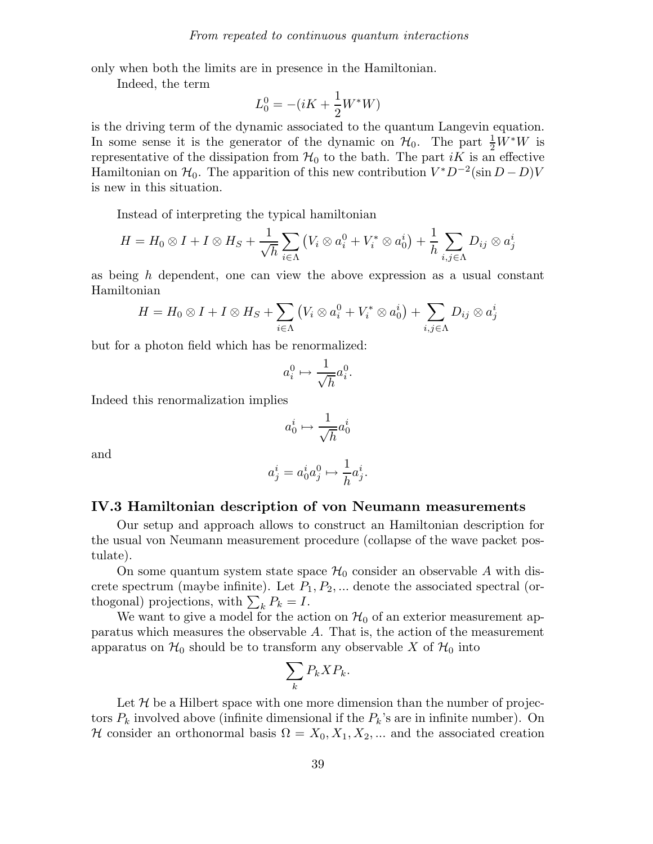only when both the limits are in presence in the Hamiltonian.

Indeed, the term

$$
L_0^0 = -(iK + \frac{1}{2}W^*W)
$$

is the driving term of the dynamic associated to the quantum Langevin equation. In some sense it is the generator of the dynamic on  $\mathcal{H}_0$ . The part  $\frac{1}{2}W^*W$  is representative of the dissipation from  $\mathcal{H}_0$  to the bath. The part iK is an effective Hamiltonian on  $\mathcal{H}_0$ . The apparition of this new contribution  $V^*D^{-2}(\sin D - D)V$ is new in this situation.

Instead of interpreting the typical hamiltonian

$$
H = H_0 \otimes I + I \otimes H_S + \frac{1}{\sqrt{h}} \sum_{i \in \Lambda} (V_i \otimes a_i^0 + V_i^* \otimes a_0^i) + \frac{1}{h} \sum_{i,j \in \Lambda} D_{ij} \otimes a_j^i
$$

as being  $h$  dependent, one can view the above expression as a usual constant Hamiltonian

$$
H = H_0 \otimes I + I \otimes H_S + \sum_{i \in \Lambda} (V_i \otimes a_i^0 + V_i^* \otimes a_0^i) + \sum_{i,j \in \Lambda} D_{ij} \otimes a_j^i
$$

but for a photon field which has be renormalized:

$$
a_i^0 \mapsto \frac{1}{\sqrt{h}} a_i^0.
$$

Indeed this renormalization implies

$$
a^i_0 \mapsto \frac{1}{\sqrt{h}} a^i_0
$$

and

$$
a_j^i = a_0^i a_j^0 \mapsto \frac{1}{h} a_j^i.
$$

#### IV.3 Hamiltonian description of von Neumann measurements

Our setup and approach allows to construct an Hamiltonian description for the usual von Neumann measurement procedure (collapse of the wave packet postulate).

On some quantum system state space  $\mathcal{H}_0$  consider an observable A with discrete spectrum (maybe infinite). Let  $P_1, P_2, \ldots$  denote the associated spectral (orthogonal) projections, with  $\sum_{k} P_k = I$ .

We want to give a model for the action on  $\mathcal{H}_0$  of an exterior measurement apparatus which measures the observable  $A$ . That is, the action of the measurement apparatus on  $\mathcal{H}_0$  should be to transform any observable X of  $\mathcal{H}_0$  into

$$
\sum_{k} P_{k} X P_{k}.
$$

Let  $\mathcal H$  be a Hilbert space with one more dimension than the number of projectors  $P_k$  involved above (infinite dimensional if the  $P_k$ 's are in infinite number). On H consider an orthonormal basis  $\Omega = X_0, X_1, X_2, ...$  and the associated creation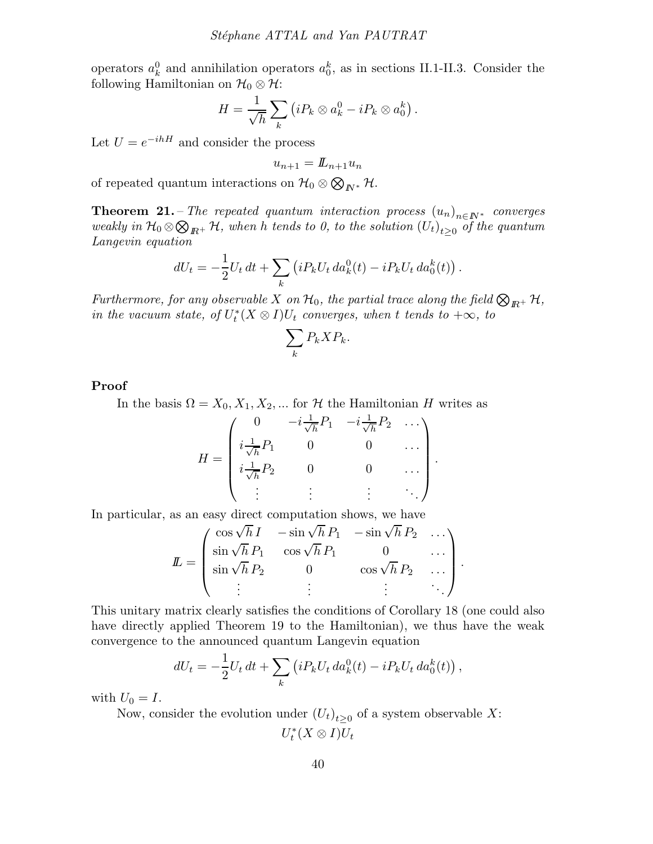operators  $a_k^0$  and annihilation operators  $a_0^k$ , as in sections II.1-II.3. Consider the following Hamiltonian on  $\mathcal{H}_0 \otimes \mathcal{H}$ :

$$
H = \frac{1}{\sqrt{h}} \sum_{k} (i P_k \otimes a_k^0 - i P_k \otimes a_0^k).
$$

Let  $U = e^{-ihH}$  and consider the process

 $u_{n+1} = L_{n+1}u_n$ 

of repeated quantum interactions on  $\mathcal{H}_0 \otimes \bigotimes_{I\!\!N^*} \mathcal{H}$ .

**Theorem 21.** – The repeated quantum interaction process  $(u_n)_{n \in \mathbb{N}^*}$  converges weakly in  $\mathcal{H}_0 \otimes \bigotimes_{I\!\!R^+}\mathcal{H}$ , when h tends to 0, to the solution  $(U_t)_{t\geq 0}$  of the quantum Langevin equation

$$
dU_t = -\frac{1}{2}U_t dt + \sum_k \left( i P_k U_t da_k^0(t) - i P_k U_t da_0^k(t) \right).
$$

Furthermore, for any observable X on  $\mathcal{H}_0$ , the partial trace along the field  $\bigotimes_{\mathbb{R}^+} \mathcal{H}$ , in the vacuum state, of  $U_t^*(X \otimes I)U_t$  converges, when t tends to  $+\infty$ , to

$$
\sum_{k} P_{k} X P_{k}.
$$

Proof

In the basis  $\Omega = X_0, X_1, X_2, ...$  for H the Hamiltonian H writes as

$$
H = \begin{pmatrix} 0 & -i\frac{1}{\sqrt{h}}P_1 & -i\frac{1}{\sqrt{h}}P_2 & \dots \\ i\frac{1}{\sqrt{h}}P_1 & 0 & 0 & \dots \\ i\frac{1}{\sqrt{h}}P_2 & 0 & 0 & \dots \\ \vdots & \vdots & \vdots & \ddots \end{pmatrix}.
$$

In particular, as an easy direct computation shows, we have

$$
\mathbf{L} = \begin{pmatrix} \cos\sqrt{h}I & -\sin\sqrt{h}P_1 & -\sin\sqrt{h}P_2 & \dots \\ \sin\sqrt{h}P_1 & \cos\sqrt{h}P_1 & 0 & \dots \\ \sin\sqrt{h}P_2 & 0 & \cos\sqrt{h}P_2 & \dots \\ \vdots & \vdots & \vdots & \ddots \end{pmatrix}.
$$

This unitary matrix clearly satisfies the conditions of Corollary 18 (one could also have directly applied Theorem 19 to the Hamiltonian), we thus have the weak convergence to the announced quantum Langevin equation

$$
dU_t = -\frac{1}{2}U_t dt + \sum_k \left( i P_k U_t da_k^0(t) - i P_k U_t da_0^k(t) \right),
$$

with  $U_0 = I$ .

Now, consider the evolution under  $(U_t)_{t\geq 0}$  of a system observable X:  $U_t^*(X \otimes I)U_t$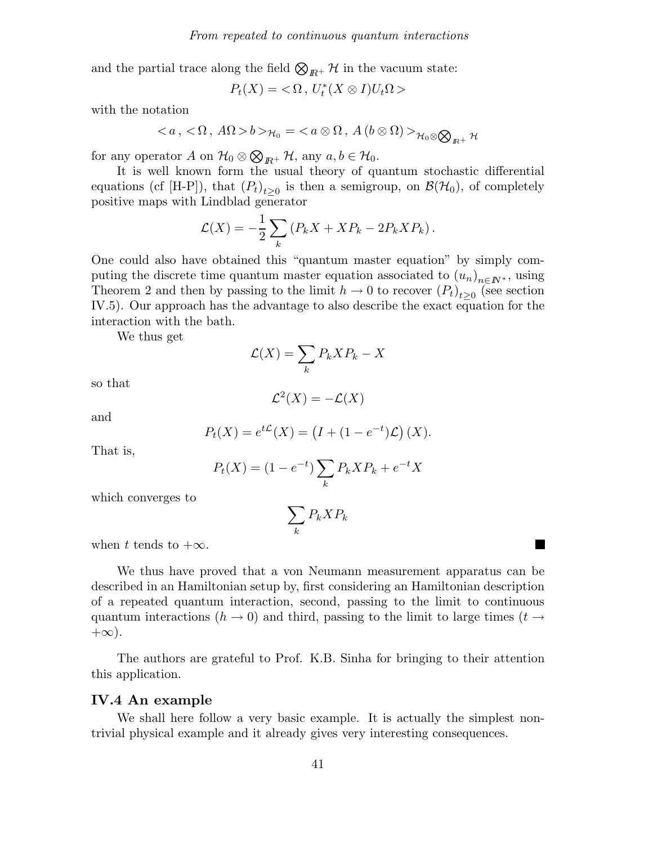and the partial trace along the field  $\bigotimes_{I\!\!R^+}\mathcal{H}$  in the vacuum state:

$$
P_t(X) = \langle \Omega, U_t^*(X \otimes I)U_t\Omega \rangle
$$

with the notation

$$
\langle a, \langle \Omega, A\Omega \rangle b \rangle_{\mathcal{H}_0} = \langle a \otimes \Omega, A(b \otimes \Omega) \rangle_{\mathcal{H}_0 \otimes \bigotimes_{R^+} \mathcal{H}_0}
$$

for any operator A on  $\mathcal{H}_0 \otimes \bigotimes_{I\!\!R^+} \mathcal{H}$ , any  $a, b \in \mathcal{H}_0$ .

It is well known form the usual theory of quantum stochastic differential equations (cf [H-P]), that  $(P_t)_{t\geq 0}$  is then a semigroup, on  $\mathcal{B}(\mathcal{H}_0)$ , of completely positive maps with Lindblad generator

$$
\mathcal{L}(X) = -\frac{1}{2} \sum_{k} \left( P_k X + X P_k - 2P_k X P_k \right).
$$

One could also have obtained this "quantum master equation" by simply computing the discrete time quantum master equation associated to  $(u_n)_{n\in\mathbb{N}^*}$ , using Theorem 2 and then by passing to the limit  $h \to 0$  to recover  $(P_t)_{t\geq 0}$  (see section IV.5). Our approach has the advantage to also describe the exact equation for the interaction with the bath.

We thus get

$$
\mathcal{L}(X) = \sum_{k} P_k X P_k - X
$$

so that

$$
\mathcal{L}^2(X) = -\mathcal{L}(X)
$$

and

$$
P_t(X) = e^{t\mathcal{L}}(X) = (I + (1 - e^{-t})\mathcal{L})(X).
$$

That is,

$$
P_t(X) = (1 - e^{-t}) \sum_{k} P_k X P_k + e^{-t} X
$$

which converges to

$$
\sum_k P_k X P_k
$$

when t tends to  $+\infty$ .

We thus have proved that a von Neumann measurement apparatus can be described in an Hamiltonian setup by, first considering an Hamiltonian description of a repeated quantum interaction, second, passing to the limit to continuous quantum interactions ( $h \to 0$ ) and third, passing to the limit to large times ( $t \to$  $+\infty$ ).

The authors are grateful to Prof. K.B. Sinha for bringing to their attention this application.

#### IV.4 An example

We shall here follow a very basic example. It is actually the simplest nontrivial physical example and it already gives very interesting consequences.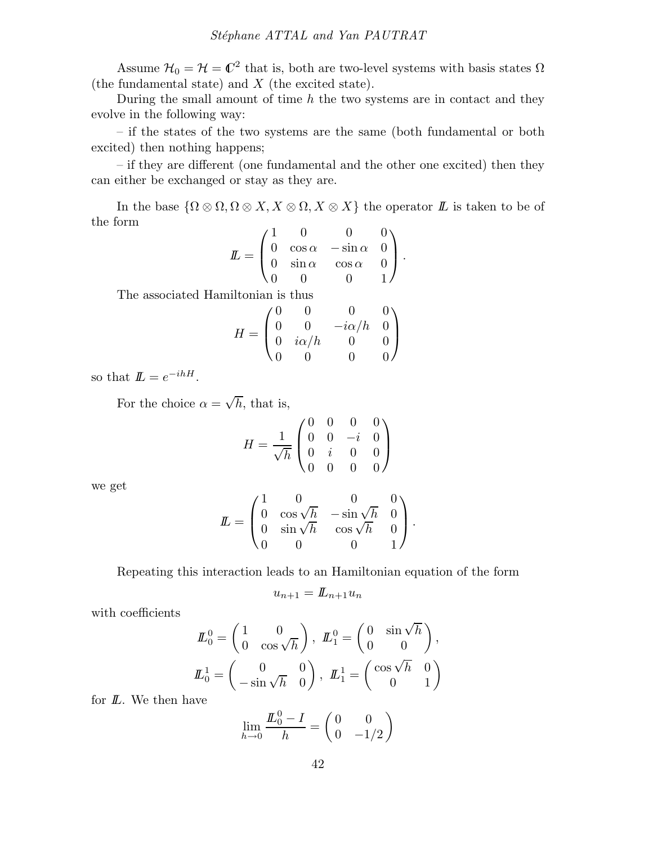Assume  $\mathcal{H}_0 = \mathcal{H} = \mathbb{C}^2$  that is, both are two-level systems with basis states  $\Omega$ (the fundamental state) and X (the excited state).

During the small amount of time  $h$  the two systems are in contact and they evolve in the following way:

– if the states of the two systems are the same (both fundamental or both excited) then nothing happens;

– if they are different (one fundamental and the other one excited) then they can either be exchanged or stay as they are.

In the base  $\{\Omega\otimes\Omega, \Omega\otimes X, X\otimes\Omega, X\otimes X\}$  the operator  $\mathbb L$  is taken to be of the form  $\bigcap$ 

$$
I\!\!L = \begin{pmatrix} 1 & 0 & 0 & 0 \\ 0 & \cos \alpha & -\sin \alpha & 0 \\ 0 & \sin \alpha & \cos \alpha & 0 \\ 0 & 0 & 0 & 1 \end{pmatrix}.
$$

The associated Hamiltonian is thus

$$
H = \begin{pmatrix} 0 & 0 & 0 & 0 \\ 0 & 0 & -i\alpha/h & 0 \\ 0 & i\alpha/h & 0 & 0 \\ 0 & 0 & 0 & 0 \end{pmatrix}
$$

so that  $\mathbf{L} = e^{-ihH}$ .

For the choice  $\alpha = \sqrt{h}$ , that is,

$$
H = \frac{1}{\sqrt{h}} \begin{pmatrix} 0 & 0 & 0 & 0 \\ 0 & 0 & -i & 0 \\ 0 & i & 0 & 0 \\ 0 & 0 & 0 & 0 \end{pmatrix}
$$

we get

$$
L = \begin{pmatrix} 1 & 0 & 0 & 0 \\ 0 & \cos\sqrt{h} & -\sin\sqrt{h} & 0 \\ 0 & \sin\sqrt{h} & \cos\sqrt{h} & 0 \\ 0 & 0 & 0 & 1 \end{pmatrix}.
$$

Repeating this interaction leads to an Hamiltonian equation of the form

$$
u_{n+1} = L_{n+1}u_n
$$

with coefficients

$$
\mathcal{L}_0^0 = \begin{pmatrix} 1 & 0 \\ 0 & \cos\sqrt{h} \end{pmatrix}, \ \mathcal{L}_1^0 = \begin{pmatrix} 0 & \sin\sqrt{h} \\ 0 & 0 \end{pmatrix}, \\ \mathcal{L}_0^1 = \begin{pmatrix} 0 & 0 \\ -\sin\sqrt{h} & 0 \end{pmatrix}, \ \mathcal{L}_1^1 = \begin{pmatrix} \cos\sqrt{h} & 0 \\ 0 & 1 \end{pmatrix}
$$

for  $L$ . We then have

$$
\lim_{h \to 0} \frac{I\!I_0^0 - I}{h} = \begin{pmatrix} 0 & 0 \\ 0 & -1/2 \end{pmatrix}
$$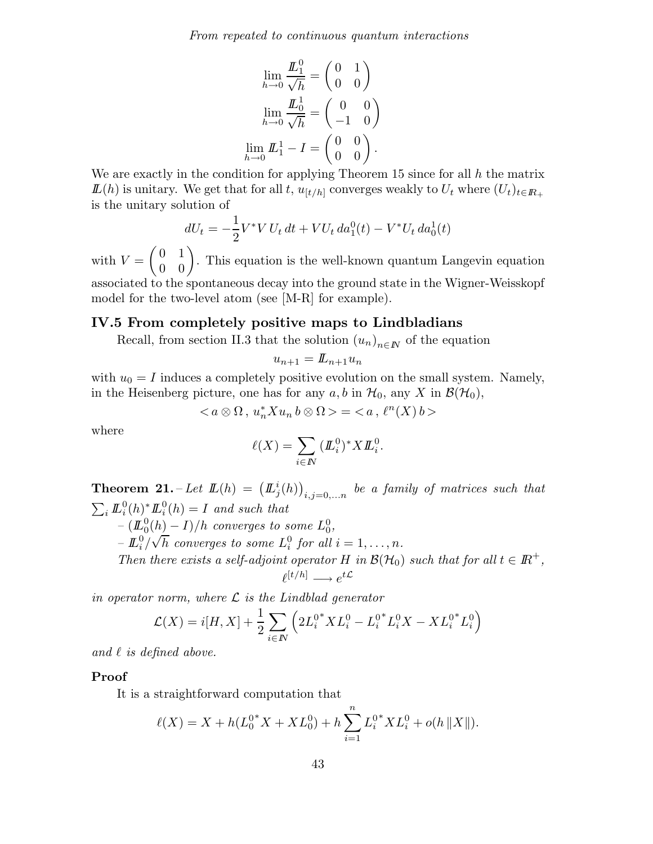From repeated to continuous quantum interactions

$$
\lim_{h \to 0} \frac{\underline{L}_1^0}{\sqrt{h}} = \begin{pmatrix} 0 & 1 \\ 0 & 0 \end{pmatrix}
$$

$$
\lim_{h \to 0} \frac{\underline{L}_0^1}{\sqrt{h}} = \begin{pmatrix} 0 & 0 \\ -1 & 0 \end{pmatrix}
$$

$$
\lim_{h \to 0} \underline{L}_1^1 - I = \begin{pmatrix} 0 & 0 \\ 0 & 0 \end{pmatrix}.
$$

We are exactly in the condition for applying Theorem 15 since for all  $h$  the matrix  $\mathbf{I}(h)$  is unitary. We get that for all t,  $u_{[t/h]}$  converges weakly to  $U_t$  where  $(U_t)_{t\in\mathbb{R}_+}$ is the unitary solution of

$$
dU_t = -\frac{1}{2}V^*V U_t dt + V U_t da_1^0(t) - V^* U_t da_0^1(t)
$$

with  $V =$  $\begin{pmatrix} 0 & 1 \\ 0 & 0 \end{pmatrix}$ . This equation is the well-known quantum Langevin equation associated to the spontaneous decay into the ground state in the Wigner-Weisskopf model for the two-level atom (see [M-R] for example).

### IV.5 From completely positive maps to Lindbladians

Recall, from section II.3 that the solution  $(u_n)_{n\in\mathbb{N}}$  of the equation

$$
u_{n+1} = L_{n+1} u_n
$$

with  $u_0 = I$  induces a completely positive evolution on the small system. Namely, in the Heisenberg picture, one has for any  $a, b$  in  $\mathcal{H}_0$ , any X in  $\mathcal{B}(\mathcal{H}_0)$ ,

$$
\langle a\otimes \Omega\,,\,u_n^*Xu_n\,b\otimes \Omega\rangle=\langle\,a\,,\,\ell^n(X)\,b\,\rangle
$$

where

$$
\ell(X) = \sum_{i \in \mathbb{N}} (\mathbf{L}_i^0)^* X \mathbf{L}_i^0.
$$

**Theorem 21.** – Let  $\mathbf{L}(h) = (L_j^i(h))_{i,j=0,...n}$  be a family of matrices such that  $\sum_i \mathbf{L}_i^0(h)^* \mathbf{L}_i^0(h) = I$  and such that

 $(\underline{I}_{0}^{0}(h) - I)/h$  converges to some  $L_{0}^{0}$ ,

 $-\stackrel{\sim}{\mu_{i}}\stackrel{\sim}{\sqrt{h}}$  converges to some  $L_{i}^{0}$  for all  $i=1,\ldots,n$ .

Then there exists a self-adjoint operator H in  $\mathcal{B}(\mathcal{H}_0)$  such that for all  $t \in \mathbb{R}^+$ ,  $\ell^{[t/h]} \longrightarrow e^{t\mathcal{L}}$ 

in operator norm, where  $\mathcal L$  is the Lindblad generator

$$
\mathcal{L}(X) = i[H, X] + \frac{1}{2} \sum_{i \in I} \left( 2L_i^{0*} X L_i^0 - L_i^{0*} L_i^0 X - X L_i^{0*} L_i^0 \right)
$$

and  $\ell$  is defined above.

#### Proof

It is a straightforward computation that

$$
\ell(X) = X + h(L_0^{0*} X + X L_0^0) + h \sum_{i=1}^n L_i^{0*} X L_i^0 + o(h ||X||).
$$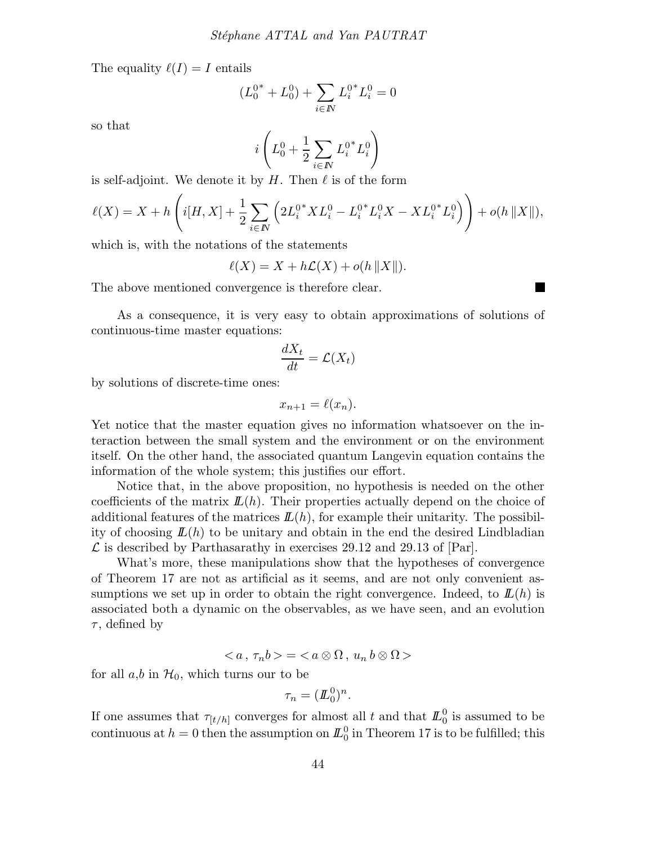The equality  $\ell(I) = I$  entails

$$
(L_0^{0^*} + L_0^0) + \sum_{i \in I} L_i^{0^*} L_i^0 = 0
$$

so that

$$
i\left(L_0^0 + \frac{1}{2}\sum_{i \in I\!\!N} {L_i^0}^*L_i^0\right)
$$

is self-adjoint. We denote it by  $H$ . Then  $\ell$  is of the form

$$
\ell(X) = X + h\left(i[H, X] + \frac{1}{2} \sum_{i \in I\!\!N} \left(2L_i^{0*} X L_i^0 - L_i^{0*} L_i^0 X - X L_i^{0*} L_i^0\right)\right) + o(h \|X\|),
$$

which is, with the notations of the statements

$$
\ell(X) = X + h\mathcal{L}(X) + o(h ||X||).
$$

The above mentioned convergence is therefore clear.

As a consequence, it is very easy to obtain approximations of solutions of continuous-time master equations:

$$
\frac{dX_t}{dt} = \mathcal{L}(X_t)
$$

by solutions of discrete-time ones:

$$
x_{n+1} = \ell(x_n).
$$

Yet notice that the master equation gives no information whatsoever on the interaction between the small system and the environment or on the environment itself. On the other hand, the associated quantum Langevin equation contains the information of the whole system; this justifies our effort.

Notice that, in the above proposition, no hypothesis is needed on the other coefficients of the matrix  $\mathbf{L}(h)$ . Their properties actually depend on the choice of additional features of the matrices  $\mathbf{L}(h)$ , for example their unitarity. The possibility of choosing  $\mathbf{L}(h)$  to be unitary and obtain in the end the desired Lindbladian  $\mathcal L$  is described by Parthasarathy in exercises 29.12 and 29.13 of  $|\text{Par}|$ .

What's more, these manipulations show that the hypotheses of convergence of Theorem 17 are not as artificial as it seems, and are not only convenient assumptions we set up in order to obtain the right convergence. Indeed, to  $\mathbf{L}(h)$  is associated both a dynamic on the observables, as we have seen, and an evolution  $\tau$ , defined by

$$
\langle a,\tau_n b \rangle = \langle a \otimes \Omega, u_n b \otimes \Omega \rangle
$$

for all  $a,b$  in  $\mathcal{H}_0$ , which turns our to be

$$
\tau_n = (\underline{\mathit{I\!I}}_0^0)^n.
$$

If one assumes that  $\tau_{[t/h]}$  converges for almost all t and that  $\mathbb{L}^0_0$  is assumed to be continuous at  $h = 0$  then the assumption on  $I\!\!L_{0}^{0}$  in Theorem 17 is to be fulfilled; this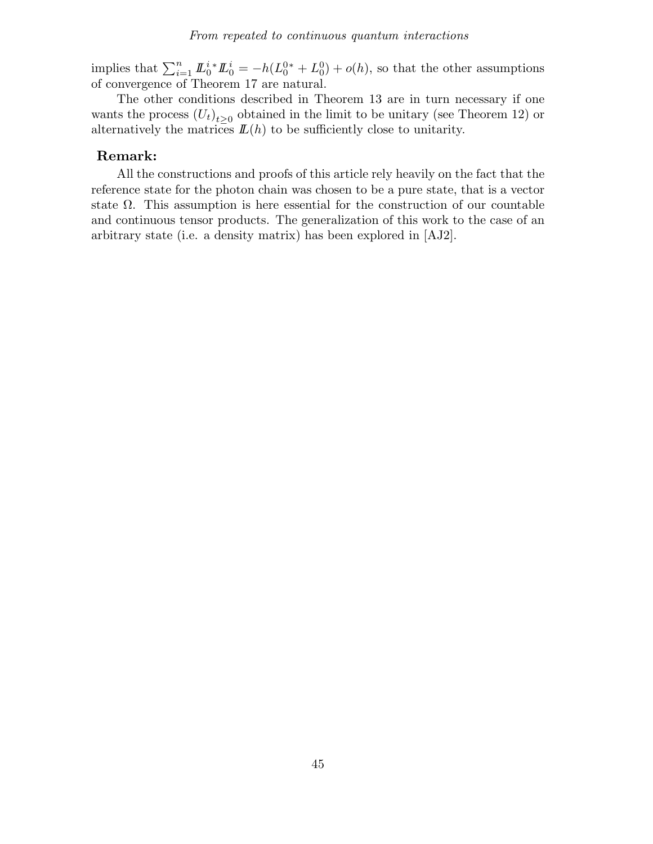implies that  $\sum_{i=1}^n \underline{L}_0^{i*} \underline{L}_0^i = -h(L_0^{0*} + L_0^0) + o(h)$ , so that the other assumptions of convergence of Theorem 17 are natural.

The other conditions described in Theorem 13 are in turn necessary if one wants the process  $(U_t)_{t\geq 0}$  obtained in the limit to be unitary (see Theorem 12) or alternatively the matrices  $\mathbf{L}(h)$  to be sufficiently close to unitarity.

### Remark:

All the constructions and proofs of this article rely heavily on the fact that the reference state for the photon chain was chosen to be a pure state, that is a vector state  $\Omega$ . This assumption is here essential for the construction of our countable and continuous tensor products. The generalization of this work to the case of an arbitrary state (i.e. a density matrix) has been explored in [AJ2].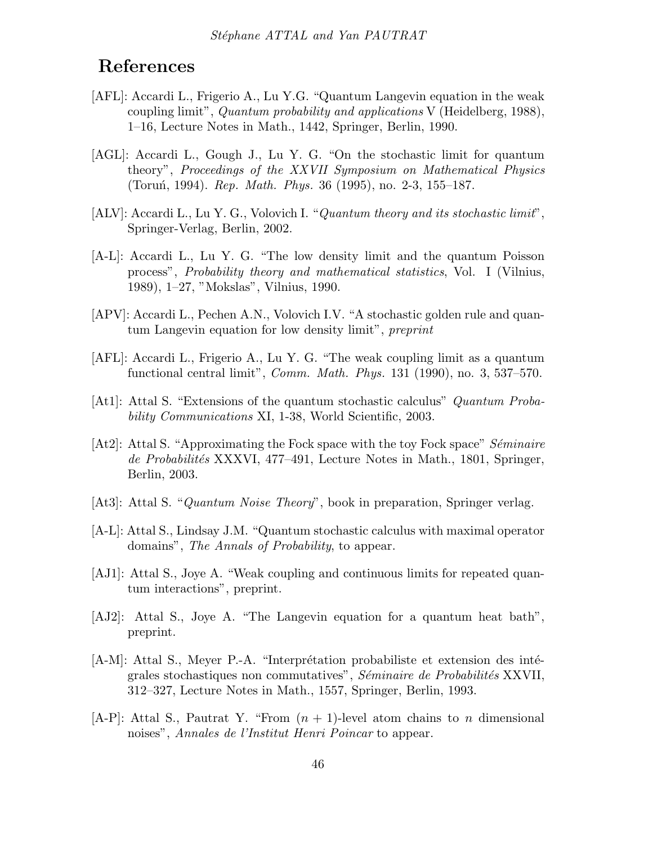## References

- [AFL]: Accardi L., Frigerio A., Lu Y.G. "Quantum Langevin equation in the weak coupling limit", Quantum probability and applications V (Heidelberg, 1988), 1–16, Lecture Notes in Math., 1442, Springer, Berlin, 1990.
- [AGL]: Accardi L., Gough J., Lu Y. G. "On the stochastic limit for quantum theory", Proceedings of the XXVII Symposium on Mathematical Physics (Toruń, 1994). *Rep. Math. Phys.* 36 (1995), no. 2-3, 155–187.
- [ALV]: Accardi L., Lu Y. G., Volovich I. "Quantum theory and its stochastic limit", Springer-Verlag, Berlin, 2002.
- [A-L]: Accardi L., Lu Y. G. "The low density limit and the quantum Poisson process", Probability theory and mathematical statistics, Vol. I (Vilnius, 1989), 1–27, "Mokslas", Vilnius, 1990.
- [APV]: Accardi L., Pechen A.N., Volovich I.V. "A stochastic golden rule and quantum Langevin equation for low density limit", preprint
- [AFL]: Accardi L., Frigerio A., Lu Y. G. "The weak coupling limit as a quantum functional central limit", *Comm. Math. Phys.* 131 (1990), no. 3, 537–570.
- [At1]: Attal S. "Extensions of the quantum stochastic calculus" Quantum Probability Communications XI, 1-38, World Scientific, 2003.
- $[At2]$ : Attal S. "Approximating the Fock space with the toy Fock space" Séminaire de Probabilités XXXVI, 477–491, Lecture Notes in Math., 1801, Springer, Berlin, 2003.
- [At3]: Attal S. "Quantum Noise Theory", book in preparation, Springer verlag.
- [A-L]: Attal S., Lindsay J.M. "Quantum stochastic calculus with maximal operator domains", The Annals of Probability, to appear.
- [AJ1]: Attal S., Joye A. "Weak coupling and continuous limits for repeated quantum interactions", preprint.
- [AJ2]: Attal S., Joye A. "The Langevin equation for a quantum heat bath", preprint.
- $[A-M]:$  Attal S., Meyer P.-A. "Interprétation probabiliste et extension des intégrales stochastiques non commutatives", Séminaire de Probabilités XXVII, 312–327, Lecture Notes in Math., 1557, Springer, Berlin, 1993.
- $[A-P]$ : Attal S., Pautrat Y. "From  $(n + 1)$ -level atom chains to n dimensional noises", Annales de l'Institut Henri Poincar to appear.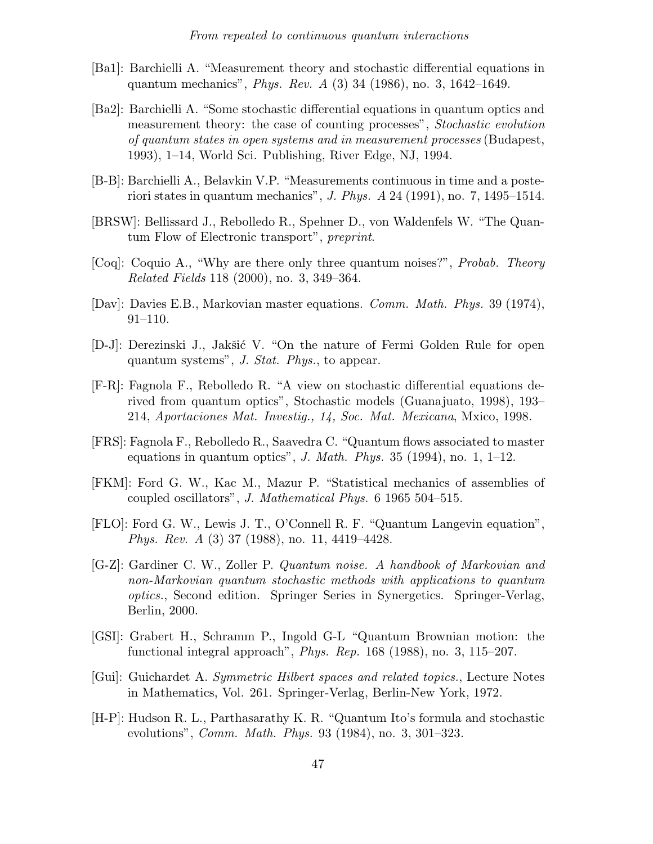- [Ba1]: Barchielli A. "Measurement theory and stochastic differential equations in quantum mechanics", Phys. Rev. A (3) 34 (1986), no. 3, 1642–1649.
- [Ba2]: Barchielli A. "Some stochastic differential equations in quantum optics and measurement theory: the case of counting processes", Stochastic evolution of quantum states in open systems and in measurement processes (Budapest, 1993), 1–14, World Sci. Publishing, River Edge, NJ, 1994.
- [B-B]: Barchielli A., Belavkin V.P. "Measurements continuous in time and a posteriori states in quantum mechanics", J. Phys. A 24 (1991), no. 7, 1495–1514.
- [BRSW]: Bellissard J., Rebolledo R., Spehner D., von Waldenfels W. "The Quantum Flow of Electronic transport", preprint.
- [Coq]: Coquio A., "Why are there only three quantum noises?", Probab. Theory Related Fields 118 (2000), no. 3, 349–364.
- [Dav]: Davies E.B., Markovian master equations. Comm. Math. Phys. 39 (1974), 91–110.
- [D-J]: Derezinski J., Jakšić V. "On the nature of Fermi Golden Rule for open quantum systems", J. Stat. Phys., to appear.
- [F-R]: Fagnola F., Rebolledo R. "A view on stochastic differential equations derived from quantum optics", Stochastic models (Guanajuato, 1998), 193– 214, Aportaciones Mat. Investig., 14, Soc. Mat. Mexicana, Mxico, 1998.
- [FRS]: Fagnola F., Rebolledo R., Saavedra C. "Quantum flows associated to master equations in quantum optics", J. Math. Phys. 35 (1994), no. 1, 1–12.
- [FKM]: Ford G. W., Kac M., Mazur P. "Statistical mechanics of assemblies of coupled oscillators", J. Mathematical Phys. 6 1965 504–515.
- [FLO]: Ford G. W., Lewis J. T., O'Connell R. F. "Quantum Langevin equation", Phys. Rev. A (3) 37 (1988), no. 11, 4419–4428.
- [G-Z]: Gardiner C. W., Zoller P. Quantum noise. A handbook of Markovian and non-Markovian quantum stochastic methods with applications to quantum optics., Second edition. Springer Series in Synergetics. Springer-Verlag, Berlin, 2000.
- [GSI]: Grabert H., Schramm P., Ingold G-L "Quantum Brownian motion: the functional integral approach", Phys. Rep. 168 (1988), no. 3, 115–207.
- [Gui]: Guichardet A. Symmetric Hilbert spaces and related topics., Lecture Notes in Mathematics, Vol. 261. Springer-Verlag, Berlin-New York, 1972.
- [H-P]: Hudson R. L., Parthasarathy K. R. "Quantum Ito's formula and stochastic evolutions", Comm. Math. Phys. 93 (1984), no. 3, 301–323.